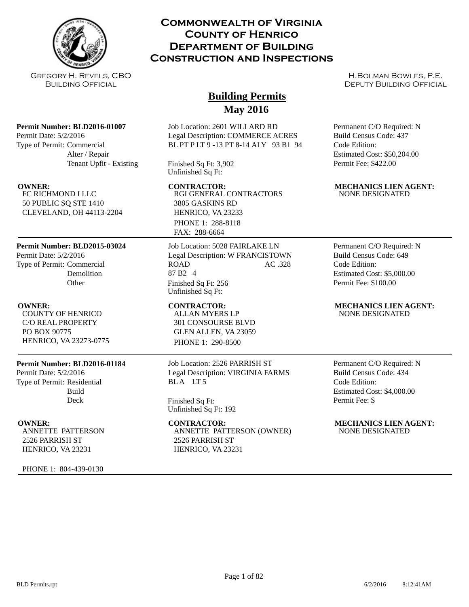

Gregory H. Revels, CBO Building Official

## **Permit Number: BLD2016-01007**

Permit Date: 5/2/2016 Type of Permit: Commercial Alter / Repair Tenant Upfit - Existing

FC RICHMOND I LLC 50 PUBLIC SQ STE 1410 CLEVELAND, OH 44113-2204

## **Permit Number: BLD2015-03024**

Permit Date: 5/2/2016 Type of Permit: Commercial **Demolition Other** 

COUNTY OF HENRICO C/O REAL PROPERTY PO BOX 90775 HENRICO, VA 23273-0775

## **Permit Number: BLD2016-01184**

Permit Date: 5/2/2016 Type of Permit: Residential Build Deck

ANNETTE PATTERSON 2526 PARRISH ST HENRICO, VA 23231

PHONE 1: 804-439-0130

## **Commonwealth of Virginia County of Henrico Department of Building Construction and Inspections**

# **Building Permits May 2016**

Job Location: 2601 WILLARD RD Legal Description: COMMERCE ACRES BL PT P LT 9 -13 PT 8-14 ALY 93 B1 94

Finished Sq Ft: 3,902 Unfinished Sq Ft:

RGI GENERAL CONTRACTORS 3805 GASKINS RD HENRICO, VA 23233 PHONE 1: 288-8118 FAX: 288-6664

Job Location: 5028 FAIRLAKE LN Legal Description: W FRANCISTOWN ROAD AC .328 87 B2 4 Finished Sq Ft: 256 Unfinished Sq Ft:

ALLAN MYERS LP 301 CONSOURSE BLVD GLEN ALLEN, VA 23059 PHONE 1: 290-8500

## Job Location: 2526 PARRISH ST Legal Description: VIRGINIA FARMS BLA LT5

Finished Sq Ft: Unfinished Sq Ft: 192

## ANNETTE PATTERSON (OWNER) 2526 PARRISH ST HENRICO, VA 23231

H.Bolman Bowles, P.E. DEPUTY BUILDING OFFICIAL

Permanent C/O Required: N Build Census Code: 437 Code Edition: Estimated Cost: \$50,204.00 Permit Fee: \$422.00

## **OWNER: CONTRACTOR: MECHANICS LIEN AGENT:** NONE DESIGNATED

Permanent C/O Required: N Build Census Code: 649 Code Edition: Estimated Cost: \$5,000.00 Permit Fee: \$100.00

## **OWNER:** CONTRACTOR: MECHANICS LIEN AGENT: NONE DESIGNATED

Permanent C/O Required: N Build Census Code: 434 Code Edition: Estimated Cost: \$4,000.00 Permit Fee: \$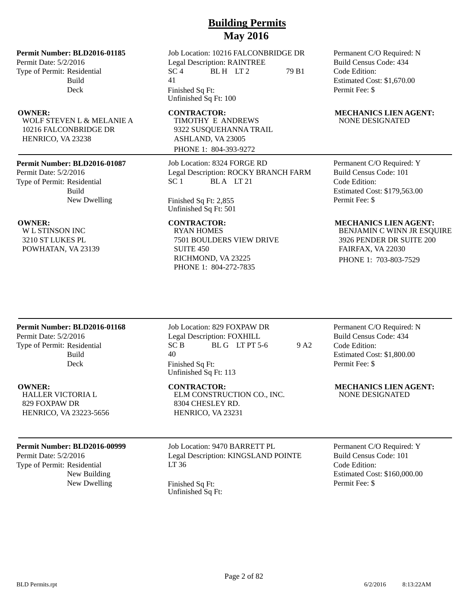## **Permit Number: BLD2016-01185**

Permit Date: 5/2/2016 Type of Permit: Residential Build Deck

WOLF STEVEN L & MELANIE A 10216 FALCONBRIDGE DR HENRICO, VA 23238

## **Permit Number: BLD2016-01087**

Permit Date: 5/2/2016 Type of Permit: Residential Build New Dwelling

W L STINSON INC 3210 ST LUKES PL POWHATAN, VA 23139

Job Location: 10216 FALCONBRIDGE DR Legal Description: RAINTREE  $SC<sub>4</sub>$  BLH LT 2 79 B1 41 Finished Sq Ft: Unfinished Sq Ft: 100

TIMOTHY E ANDREWS 9322 SUSQUEHANNA TRAIL ASHLAND, VA 23005 PHONE 1: 804-393-9272

Job Location: 8324 FORGE RD Legal Description: ROCKY BRANCH FARM SC 1 BLA LT 21

Finished Sq Ft: 2,855 Unfinished Sq Ft: 501

RYAN HOMES 7501 BOULDERS VIEW DRIVE SUITE 450 RICHMOND, VA 23225 PHONE 1: 804-272-7835

Permanent C/O Required: N Build Census Code: 434 Code Edition: Estimated Cost: \$1,670.00 Permit Fee: \$

## **OWNER:** CONTRACTOR: MECHANICS LIEN AGENT: NONE DESIGNATED

Permanent C/O Required: Y Build Census Code: 101 Code Edition: Estimated Cost: \$179,563.00 Permit Fee: \$

## **OWNER:** CONTRACTOR: MECHANICS LIEN AGENT:

BENJAMIN C WINN JR ESQUIRE 3926 PENDER DR SUITE 200 FAIRFAX, VA 22030 PHONE 1: 703-803-7529

## **Permit Number: BLD2016-01168**

Permit Date: 5/2/2016 Type of Permit: Residential Build Deck

HALLER VICTORIA L 829 FOXPAW DR HENRICO, VA 23223-5656

## **Permit Number: BLD2016-00999**

Permit Date: 5/2/2016 Type of Permit: Residential New Building

Job Location: 829 FOXPAW DR Legal Description: FOXHILL  $SC B$  BL G LT PT 5-6 9 A2 40 Finished Sq Ft: Unfinished Sq Ft: 113

ELM CONSTRUCTION CO., INC. 8304 CHESLEY RD. HENRICO, VA 23231

Job Location: 9470 BARRETT PL Legal Description: KINGSLAND POINTE LT 36

New Dwelling Finished Sq Ft: Unfinished Sq Ft: Permanent C/O Required: N Build Census Code: 434 Code Edition: Estimated Cost: \$1,800.00 Permit Fee: \$

**OWNER:** CONTRACTOR: MECHANICS LIEN AGENT: NONE DESIGNATED

> Permanent C/O Required: Y Build Census Code: 101 Code Edition: Estimated Cost: \$160,000.00 Permit Fee: \$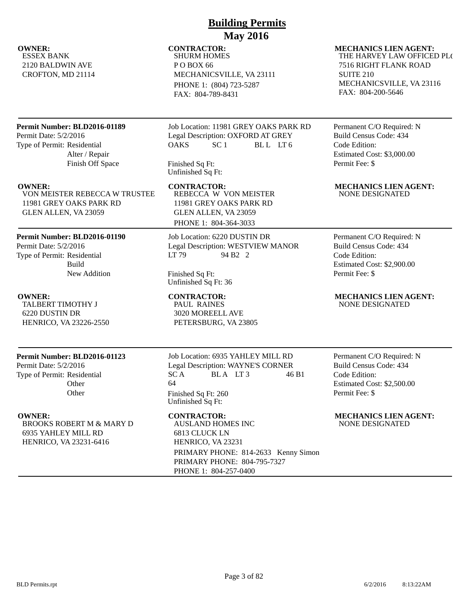ESSEX BANK 2120 BALDWIN AVE CROFTON, MD 21114

# **Building Permits May 2016**

# SHURM HOMES

P O BOX 66 MECHANICSVILLE, VA 23111 PHONE 1: (804) 723-5287 FAX: 804-789-8431

## **Permit Number: BLD2016-01189**

Permit Date: 5/2/2016 Type of Permit: Residential Alter / Repair Finish Off Space

VON MEISTER REBECCA W TRUSTEE 11981 GREY OAKS PARK RD GLEN ALLEN, VA 23059

## **Permit Number: BLD2016-01190**

Permit Date: 5/2/2016 Type of Permit: Residential Build New Addition

TALBERT TIMOTHY J 6220 DUSTIN DR HENRICO, VA 23226-2550

## **Permit Number: BLD2016-01123**

Permit Date: 5/2/2016 Type of Permit: Residential **Other Other** 

BROOKS ROBERT M & MARY D 6935 YAHLEY MILL RD HENRICO, VA 23231-6416

Job Location: 11981 GREY OAKS PARK RD Legal Description: OXFORD AT GREY OAKS SC<sub>1</sub> BLL LT<sub>6</sub>

Finished Sq Ft: Unfinished Sq Ft:

REBECCA W VON MEISTER 11981 GREY OAKS PARK RD GLEN ALLEN, VA 23059

PHONE 1: 804-364-3033

Job Location: 6220 DUSTIN DR Legal Description: WESTVIEW MANOR LT 79 94 B2 2

Finished Sq Ft: Unfinished Sq Ft: 36

PAUL RAINES 3020 MOREELL AVE PETERSBURG, VA 23805

Job Location: 6935 YAHLEY MILL RD Legal Description: WAYNE'S CORNER  $SC A$  BLA LT3 46 B1 64 Finished Sq Ft: 260 Unfinished Sq Ft:

AUSLAND HOMES INC 6813 CLUCK LN HENRICO, VA 23231 PRIMARY PHONE: 814-2633 Kenny Simon PRIMARY PHONE: 804-795-7327 PHONE 1: 804-257-0400

## **OWNER:** CONTRACTOR: MECHANICS LIEN AGENT: THE HARVEY LAW OFFICED PLC 7516 RIGHT FLANK ROAD SUITE 210 MECHANICSVILLE, VA 23116 FAX: 804-200-5646

Permanent C/O Required: N Build Census Code: 434 Code Edition: Estimated Cost: \$3,000.00 Permit Fee: \$

**OWNER: CONTRACTOR: MECHANICS LIEN AGENT:** NONE DESIGNATED

> Permanent C/O Required: N Build Census Code: 434 Code Edition: Estimated Cost: \$2,900.00 Permit Fee: \$

## **OWNER: CONTRACTOR: MECHANICS LIEN AGENT:** NONE DESIGNATED

Permanent C/O Required: N Build Census Code: 434 Code Edition: Estimated Cost: \$2,500.00 Permit Fee: \$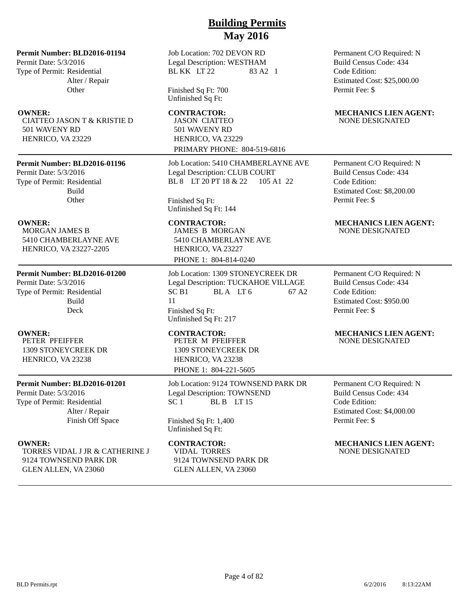**Permit Number: BLD2016-01194**

Permit Date: 5/3/2016 Type of Permit: Residential Alter / Repair **Other** 

CIATTEO JASON T & KRISTIE D 501 WAVENY RD HENRICO, VA 23229

## **Permit Number: BLD2016-01196**

Permit Date: 5/3/2016 Type of Permit: Residential Build **Other** 

MORGAN JAMES B 5410 CHAMBERLAYNE AVE HENRICO, VA 23227-2205

## **Permit Number: BLD2016-01200**

Permit Date: 5/3/2016 Type of Permit: Residential Build Deck

PETER PFEIFFER 1309 STONEYCREEK DR HENRICO, VA 23238

## **Permit Number: BLD2016-01201**

Permit Date: 5/3/2016 Type of Permit: Residential Alter / Repair Finish Off Space

TORRES VIDAL J JR & CATHERINE J 9124 TOWNSEND PARK DR GLEN ALLEN, VA 23060

Job Location: 702 DEVON RD Legal Description: WESTHAM BL KK LT 22 83 A2 1

Finished Sq Ft: 700 Unfinished Sq Ft:

JASON CIATTEO 501 WAVENY RD HENRICO, VA 23229 PRIMARY PHONE: 804-519-6816

Job Location: 5410 CHAMBERLAYNE AVE Legal Description: CLUB COURT BL 8 LT 20 PT 18 & 22 105 A1 22

Finished Sq Ft: Unfinished Sq Ft: 144

JAMES B MORGAN 5410 CHAMBERLAYNE AVE HENRICO, VA 23227 PHONE 1: 804-814-0240

Job Location: 1309 STONEYCREEK DR Legal Description: TUCKAHOE VILLAGE  $SC B1$  BLA LT 6 67 A2 11 Finished Sq Ft:

Unfinished Sq Ft: 217

PETER M PFEIFFER 1309 STONEYCREEK DR HENRICO, VA 23238 PHONE 1: 804-221-5605

Job Location: 9124 TOWNSEND PARK DR Legal Description: TOWNSEND  $SC 1$  BL B LT 15

Finished Sq Ft: 1,400 Unfinished Sq Ft:

VIDAL TORRES 9124 TOWNSEND PARK DR GLEN ALLEN, VA 23060

Permanent C/O Required: N Build Census Code: 434 Code Edition: Estimated Cost: \$25,000.00 Permit Fee: \$

## **OWNER:** CONTRACTOR: MECHANICS LIEN AGENT: NONE DESIGNATED

Permanent C/O Required: N Build Census Code: 434 Code Edition: Estimated Cost: \$8,200.00 Permit Fee: \$

## **OWNER:** CONTRACTOR: MECHANICS LIEN AGENT: NONE DESIGNATED

Permanent C/O Required: N Build Census Code: 434 Code Edition: Estimated Cost: \$950.00 Permit Fee: \$

## **OWNER: CONTRACTOR: MECHANICS LIEN AGENT:** NONE DESIGNATED

Permanent C/O Required: N Build Census Code: 434 Code Edition: Estimated Cost: \$4,000.00 Permit Fee: \$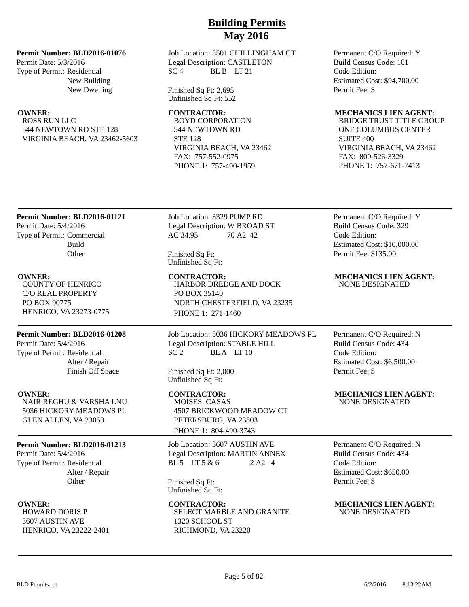## **Permit Number: BLD2016-01076**

Permit Date: 5/3/2016 Type of Permit: Residential New Building New Dwelling

ROSS RUN LLC 544 NEWTOWN RD STE 128 VIRGINIA BEACH, VA 23462-5603 Job Location: 3501 CHILLINGHAM CT Legal Description: CASTLETON  $SC<sub>4</sub>$  BL B LT 21

Finished Sq Ft: 2,695 Unfinished Sq Ft: 552

BOYD CORPORATION 544 NEWTOWN RD STE 128 VIRGINIA BEACH, VA 23462 FAX: 757-552-0975 PHONE 1: 757-490-1959

Permanent C/O Required: Y Build Census Code: 101 Code Edition: Estimated Cost: \$94,700.00 Permit Fee: \$

## **OWNER: CONTRACTOR: MECHANICS LIEN AGENT:**

BRIDGE TRUST TITLE GROUP ONE COLUMBUS CENTER SUITE 400 VIRGINIA BEACH, VA 23462 FAX: 800-526-3329 PHONE 1: 757-671-7413

## **Permit Number: BLD2016-01121**

Permit Date: 5/4/2016 Type of Permit: Commercial Build **Other** 

COUNTY OF HENRICO C/O REAL PROPERTY PO BOX 90775 HENRICO, VA 23273-0775

## **Permit Number: BLD2016-01208**

Permit Date: 5/4/2016 Type of Permit: Residential Alter / Repair Finish Off Space

NAIR REGHU & VARSHA LNU 5036 HICKORY MEADOWS PL GLEN ALLEN, VA 23059

## **Permit Number: BLD2016-01213**

Permit Date: 5/4/2016 Type of Permit: Residential Alter / Repair **Other** 

HOWARD DORIS P 3607 AUSTIN AVE HENRICO, VA 23222-2401 Job Location: 3329 PUMP RD Legal Description: W BROAD ST AC 34.95 70 A2 42

Finished Sq Ft: Unfinished Sq Ft:

HARBOR DREDGE AND DOCK PO BOX 35140 NORTH CHESTERFIELD, VA 23235 PHONE 1: 271-1460

Job Location: 5036 HICKORY MEADOWS PL Legal Description: STABLE HILL  $SC<sub>2</sub>$  BLA LT 10

Finished Sq Ft: 2,000 Unfinished Sq Ft:

**OWNER: CONTRACTOR: MECHANICS LIEN AGENT:** MOISES CASAS 4507 BRICKWOOD MEADOW CT PETERSBURG, VA 23803 PHONE 1: 804-490-3743

> Job Location: 3607 AUSTIN AVE Legal Description: MARTIN ANNEX BL 5 LT 5 & 6 2 A2 4

Finished Sq Ft: Unfinished Sq Ft:

## **OWNER:** CONTRACTOR: MECHANICS LIEN AGENT: SELECT MARBLE AND GRANITE 1320 SCHOOL ST RICHMOND, VA 23220

Permanent C/O Required: Y Build Census Code: 329 Code Edition: Estimated Cost: \$10,000.00 Permit Fee: \$135.00

## **OWNER: CONTRACTOR: MECHANICS LIEN AGENT:** NONE DESIGNATED

Permanent C/O Required: N Build Census Code: 434 Code Edition: Estimated Cost: \$6,500.00 Permit Fee: \$

NONE DESIGNATED

Permanent C/O Required: N Build Census Code: 434 Code Edition: Estimated Cost: \$650.00 Permit Fee: \$

# NONE DESIGNATED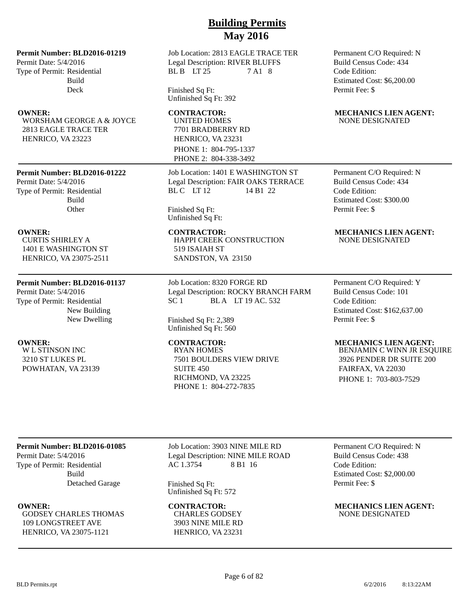## **Permit Number: BLD2016-01219**

Permit Date: 5/4/2016 Type of Permit: Residential Build Deck

WORSHAM GEORGE A & JOYCE 2813 EAGLE TRACE TER HENRICO, VA 23223

## **Permit Number: BLD2016-01222**

Permit Date: 5/4/2016 Type of Permit: Residential Build **Other** 

CURTIS SHIRLEY A 1401 E WASHINGTON ST HENRICO, VA 23075-2511

## **Permit Number: BLD2016-01137**

Permit Date: 5/4/2016 Type of Permit: Residential New Building New Dwelling

W L STINSON INC 3210 ST LUKES PL POWHATAN, VA 23139 Job Location: 2813 EAGLE TRACE TER Legal Description: RIVER BLUFFS BL B LT 25 7 A1 8

Finished Sq Ft: Unfinished Sq Ft: 392

UNITED HOMES 7701 BRADBERRY RD HENRICO, VA 23231 PHONE 1: 804-795-1337 PHONE 2: 804-338-3492

Job Location: 1401 E WASHINGTON ST Legal Description: FAIR OAKS TERRACE BL C LT 12 14 B1 22

Finished Sq Ft: Unfinished Sq Ft:

HAPPI CREEK CONSTRUCTION 519 ISAIAH ST SANDSTON, VA 23150

Job Location: 8320 FORGE RD Legal Description: ROCKY BRANCH FARM SC 1 BLA LT 19 AC. 532

Finished Sq Ft: 2,389 Unfinished Sq Ft: 560

RYAN HOMES 7501 BOULDERS VIEW DRIVE SUITE 450 RICHMOND, VA 23225 PHONE 1: 804-272-7835

Permanent C/O Required: N Build Census Code: 434 Code Edition: Estimated Cost: \$6,200.00 Permit Fee: \$

## **OWNER:** CONTRACTOR: MECHANICS LIEN AGENT: NONE DESIGNATED

Permanent C/O Required: N Build Census Code: 434 Code Edition: Estimated Cost: \$300.00 Permit Fee: \$

## **OWNER:** CONTRACTOR: MECHANICS LIEN AGENT: NONE DESIGNATED

Permanent C/O Required: Y Build Census Code: 101 Code Edition: Estimated Cost: \$162,637.00 Permit Fee: \$

## **OWNER:** CONTRACTOR: MECHANICS LIEN AGENT:

BENJAMIN C WINN JR ESQUIRE 3926 PENDER DR SUITE 200 FAIRFAX, VA 22030 PHONE 1: 703-803-7529

## **Permit Number: BLD2016-01085**

Permit Date: 5/4/2016 Type of Permit: Residential Build Detached Garage

GODSEY CHARLES THOMAS 109 LONGSTREET AVE HENRICO, VA 23075-1121

Job Location: 3903 NINE MILE RD Legal Description: NINE MILE ROAD AC 1.3754 8 B1 16

Finished Sq Ft: Unfinished Sq Ft: 572

CHARLES GODSEY 3903 NINE MILE RD HENRICO, VA 23231

Permanent C/O Required: N Build Census Code: 438 Code Edition: Estimated Cost: \$2,000.00 Permit Fee: \$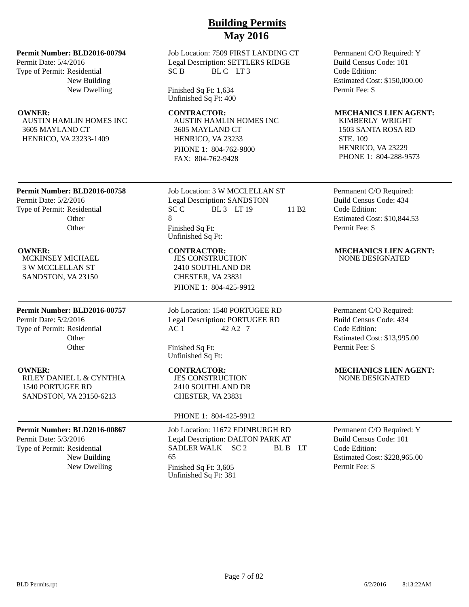## **Permit Number: BLD2016-00794**

Permit Date: 5/4/2016 Type of Permit: Residential New Building New Dwelling

AUSTIN HAMLIN HOMES INC 3605 MAYLAND CT HENRICO, VA 23233-1409

Job Location: 7509 FIRST LANDING CT Legal Description: SETTLERS RIDGE SC B BLC LT3

Finished Sq Ft: 1,634 Unfinished Sq Ft: 400

AUSTIN HAMLIN HOMES INC 3605 MAYLAND CT HENRICO, VA 23233 PHONE 1: 804-762-9800 FAX: 804-762-9428

**Permit Number: BLD2016-00758**

Permit Date: 5/2/2016 Type of Permit: Residential **Other Other** 

MCKINSEY MICHAEL 3 W MCCLELLAN ST SANDSTON, VA 23150

## **Permit Number: BLD2016-00757**

Permit Date: 5/2/2016 Type of Permit: Residential **Other** Other

RILEY DANIEL L & CYNTHIA 1540 PORTUGEE RD SANDSTON, VA 23150-6213

## **Permit Number: BLD2016-00867**

Permit Date: 5/3/2016 Type of Permit: Residential New Building Job Location: 3 W MCCLELLAN ST Legal Description: SANDSTON  $SCC$  BL 3 LT 19 11 B2 8 Finished Sq Ft: Unfinished Sq Ft:

JES CONSTRUCTION 2410 SOUTHLAND DR CHESTER, VA 23831 PHONE 1: 804-425-9912

Job Location: 1540 PORTUGEE RD Legal Description: PORTUGEE RD AC 1 42 A2 7

Finished Sq Ft: Unfinished Sq Ft:

JES CONSTRUCTION 2410 SOUTHLAND DR CHESTER, VA 23831

## PHONE 1: 804-425-9912

Job Location: 11672 EDINBURGH RD Legal Description: DALTON PARK AT SADLER WALK SC 2 BL B LT 65 New Dwelling Finished Sq Ft: 3,605 Unfinished Sq Ft: 381

Permanent C/O Required: Y Build Census Code: 101 Code Edition: Estimated Cost: \$150,000.00 Permit Fee: \$

## **OWNER:** CONTRACTOR: MECHANICS LIEN AGENT:

KIMBERLY WRIGHT 1503 SANTA ROSA RD STE. 109 HENRICO, VA 23229 PHONE 1: 804-288-9573

Permanent C/O Required: Build Census Code: 434 Code Edition: Estimated Cost: \$10,844.53 Permit Fee: \$

# **OWNER: CONTRACTOR: MECHANICS LIEN AGENT:**

NONE DESIGNATED

Permanent C/O Required: Build Census Code: 434 Code Edition: Estimated Cost: \$13,995.00 Permit Fee: \$

## **OWNER:** CONTRACTOR: MECHANICS LIEN AGENT: NONE DESIGNATED

Permanent C/O Required: Y Build Census Code: 101 Code Edition: Estimated Cost: \$228,965.00 Permit Fee: \$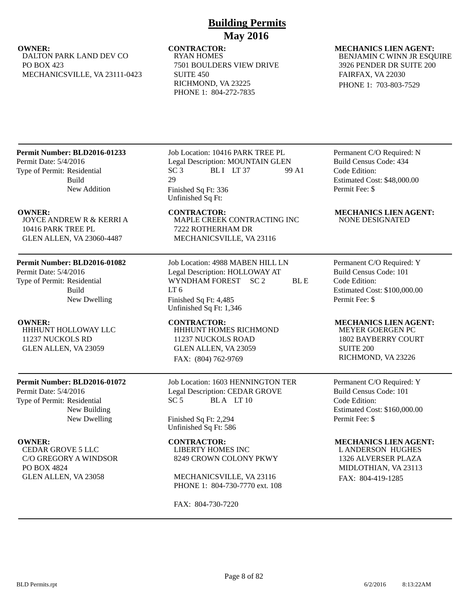## **OWNER:** CONTRACTOR: MECHANICS LIEN AGENT: DALTON PARK LAND DEV CO PO BOX 423 MECHANICSVILLE, VA 23111-0423

## RYAN HOMES 7501 BOULDERS VIEW DRIVE SUITE 450 RICHMOND, VA 23225 PHONE 1: 804-272-7835

## BENJAMIN C WINN JR ESQUIRE 3926 PENDER DR SUITE 200 FAIRFAX, VA 22030

PHONE 1: 703-803-7529

## **Permit Number: BLD2016-01233**

Permit Date: 5/4/2016 Type of Permit: Residential Build New Addition

JOYCE ANDREW R & KERRI A 10416 PARK TREE PL GLEN ALLEN, VA 23060-4487

## **Permit Number: BLD2016-01082**

Permit Date: 5/4/2016 Type of Permit: Residential Build New Dwelling

HHHUNT HOLLOWAY LLC 11237 NUCKOLS RD GLEN ALLEN, VA 23059

## **Permit Number: BLD2016-01072**

Permit Date: 5/4/2016 Type of Permit: Residential New Building New Dwelling

CEDAR GROVE 5 LLC C/O GREGORY A WINDSOR PO BOX 4824 GLEN ALLEN, VA 23058

Job Location: 10416 PARK TREE PL Legal Description: MOUNTAIN GLEN  $SC 3$  BLI LT 37 99 A1 29 Finished Sq Ft: 336 Unfinished Sq Ft:

MAPLE CREEK CONTRACTING INC 7222 ROTHERHAM DR MECHANICSVILLE, VA 23116

Job Location: 4988 MABEN HILL LN Legal Description: HOLLOWAY AT WYNDHAM FOREST SC 2 BL E  $LT<sub>6</sub>$ Finished Sq Ft: 4,485 Unfinished Sq Ft: 1,346

**OWNER: CONTRACTOR: MECHANICS LIEN AGENT:** HHHUNT HOMES RICHMOND 11237 NUCKOLS ROAD GLEN ALLEN, VA 23059 FAX: (804) 762-9769

> Job Location: 1603 HENNINGTON TER Legal Description: CEDAR GROVE  $SC 5$  BLA LT 10

## Finished Sq Ft: 2,294 Unfinished Sq Ft: 586

LIBERTY HOMES INC

8249 CROWN COLONY PKWY

MECHANICSVILLE, VA 23116 PHONE 1: 804-730-7770 ext. 108

FAX: 804-730-7220

Permanent C/O Required: N Build Census Code: 434 Code Edition: Estimated Cost: \$48,000.00 Permit Fee: \$

## **OWNER: CONTRACTOR: MECHANICS LIEN AGENT:** NONE DESIGNATED

Permanent C/O Required: Y Build Census Code: 101 Code Edition: Estimated Cost: \$100,000.00 Permit Fee: \$

MEYER GOERGEN PC 1802 BAYBERRY COURT SUITE 200 RICHMOND, VA 23226

Permanent C/O Required: Y Build Census Code: 101 Code Edition: Estimated Cost: \$160,000.00 Permit Fee: \$

## **OWNER:** CONTRACTOR: MECHANICS LIEN AGENT: L ANDERSON HUGHES

1326 ALVERSER PLAZA MIDLOTHIAN, VA 23113 FAX: 804-419-1285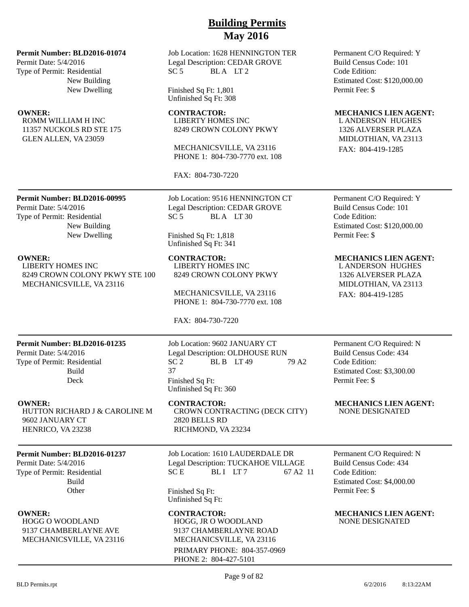## **Permit Number: BLD2016-01074**

Permit Date: 5/4/2016 Type of Permit: Residential New Building New Dwelling

ROMM WILLIAM H INC 11357 NUCKOLS RD STE 175 GLEN ALLEN, VA 23059

Job Location: 1628 HENNINGTON TER Legal Description: CEDAR GROVE  $SC 5$  BLA LT 2

Finished Sq Ft: 1,801 Unfinished Sq Ft: 308

LIBERTY HOMES INC 8249 CROWN COLONY PKWY

MECHANICSVILLE, VA 23116 PHONE 1: 804-730-7770 ext. 108

FAX: 804-730-7220

**Permit Number: BLD2016-00995**

Permit Date: 5/4/2016 Type of Permit: Residential New Building New Dwelling

LIBERTY HOMES INC 8249 CROWN COLONY PKWY STE 100 MECHANICSVILLE, VA 23116

Job Location: 9516 HENNINGTON CT Legal Description: CEDAR GROVE  $SC 5$  BLA LT 30

Finished Sq Ft: 1,818 Unfinished Sq Ft: 341

LIBERTY HOMES INC 8249 CROWN COLONY PKWY

MECHANICSVILLE, VA 23116 PHONE 1: 804-730-7770 ext. 108

FAX: 804-730-7220

## **Permit Number: BLD2016-01235**

Permit Date: 5/4/2016 Type of Permit: Residential Build Deck

HUTTON RICHARD J & CAROLINE M 9602 JANUARY CT HENRICO, VA 23238

## **Permit Number: BLD2016-01237**

Permit Date: 5/4/2016 Type of Permit: Residential Build **Other** 

HOGG O WOODLAND 9137 CHAMBERLAYNE AVE MECHANICSVILLE, VA 23116

Job Location: 9602 JANUARY CT Legal Description: OLDHOUSE RUN  $SC<sub>2</sub>$  BL B LT 49 79 A2 37 Finished Sq Ft: Unfinished Sq Ft: 360

CROWN CONTRACTING (DECK CITY) 2820 BELLS RD RICHMOND, VA 23234

Job Location: 1610 LAUDERDALE DR Legal Description: TUCKAHOE VILLAGE SC E BLI LT 7 67 A 2 11

Finished Sq Ft: Unfinished Sq Ft:

**OWNER:** CONTRACTOR: MECHANICS LIEN AGENT: HOGG, JR O WOODLAND 9137 CHAMBERLAYNE ROAD MECHANICSVILLE, VA 23116 PRIMARY PHONE: 804-357-0969 PHONE 2: 804-427-5101

Permanent C/O Required: Y Build Census Code: 101 Code Edition: Estimated Cost: \$120,000.00 Permit Fee: \$

## **OWNER:** CONTRACTOR: MECHANICS LIEN AGENT:

L ANDERSON HUGHES 1326 ALVERSER PLAZA MIDLOTHIAN, VA 23113 FAX: 804-419-1285

Permanent C/O Required: Y Build Census Code: 101 Code Edition: Estimated Cost: \$120,000.00 Permit Fee: \$

## **OWNER: CONTRACTOR: MECHANICS LIEN AGENT:**

L ANDERSON HUGHES 1326 ALVERSER PLAZA MIDLOTHIAN, VA 23113 FAX: 804-419-1285

Permanent C/O Required: N Build Census Code: 434 Code Edition: Estimated Cost: \$3,300.00 Permit Fee: \$

**OWNER:** CONTRACTOR: MECHANICS LIEN AGENT: NONE DESIGNATED

> Permanent C/O Required: N Build Census Code: 434 Code Edition: Estimated Cost: \$4,000.00 Permit Fee: \$

NONE DESIGNATED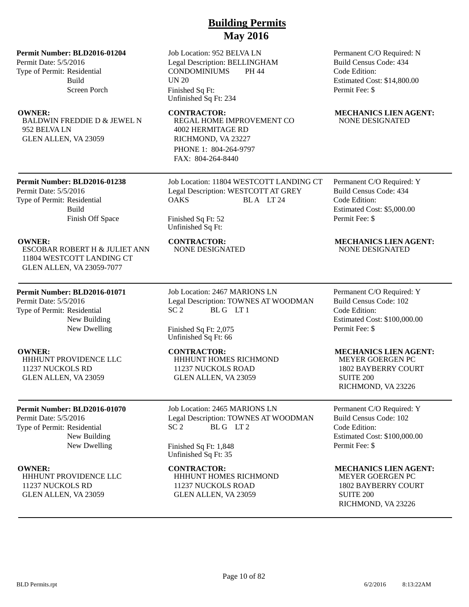## **Permit Number: BLD2016-01204**

Permit Date: 5/5/2016 Type of Permit: Residential Build Screen Porch

BALDWIN FREDDIE D & JEWEL N 952 BELVA LN GLEN ALLEN, VA 23059

Job Location: 952 BELVA LN Legal Description: BELLINGHAM CONDOMINIUMS PH 44 UN 20 Finished Sq Ft: Unfinished Sq Ft: 234

**OWNER:** CONTRACTOR: MECHANICS LIEN AGENT: REGAL HOME IMPROVEMENT CO 4002 HERMITAGE RD RICHMOND, VA 23227 PHONE 1: 804-264-9797 FAX: 804-264-8440

> Job Location: 11804 WESTCOTT LANDING CT Legal Description: WESTCOTT AT GREY

Code Edition: Estimated Cost: \$14,800.00 Permit Fee: \$

# NONE DESIGNATED

Permanent C/O Required: N Build Census Code: 434

## **Permit Number: BLD2016-01238**

Permit Date: 5/5/2016 Type of Permit: Residential Build Finish Off Space

ESCOBAR ROBERT H & JULIET ANN 11804 WESTCOTT LANDING CT GLEN ALLEN, VA 23059-7077

## **Permit Number: BLD2016-01071**

Permit Date: 5/5/2016 Type of Permit: Residential New Building New Dwelling

HHHUNT PROVIDENCE LLC 11237 NUCKOLS RD GLEN ALLEN, VA 23059

## **Permit Number: BLD2016-01070**

Permit Date: 5/5/2016 Type of Permit: Residential New Building New Dwelling

HHHUNT PROVIDENCE LLC 11237 NUCKOLS RD GLEN ALLEN, VA 23059

OAKS BLA LT 24 Finished Sq Ft: 52

Unfinished Sq Ft:

Job Location: 2467 MARIONS LN Legal Description: TOWNES AT WOODMAN SC 2 BLG LT 1

Finished Sq Ft: 2,075 Unfinished Sq Ft: 66

HHHUNT HOMES RICHMOND 11237 NUCKOLS ROAD GLEN ALLEN, VA 23059

Job Location: 2465 MARIONS LN Legal Description: TOWNES AT WOODMAN SC 2 BL G LT 2

Finished Sq Ft: 1,848 Unfinished Sq Ft: 35

## HHHUNT HOMES RICHMOND 11237 NUCKOLS ROAD GLEN ALLEN, VA 23059

Permanent C/O Required: Y Build Census Code: 434 Code Edition: Estimated Cost: \$5,000.00 Permit Fee: \$

## **OWNER:** CONTRACTOR: MECHANICS LIEN AGENT:<br>
ESCOBAR ROBERT H & JULIET ANN MONE DESIGNATED MONE DESIGNATED NONE DESIGNATED NONE DESIGNATED

Permanent C/O Required: Y Build Census Code: 102 Code Edition: Estimated Cost: \$100,000.00 Permit Fee: \$

## **OWNER:** CONTRACTOR: MECHANICS LIEN AGENT:

MEYER GOERGEN PC 1802 BAYBERRY COURT SUITE 200 RICHMOND, VA 23226

Permanent C/O Required: Y Build Census Code: 102 Code Edition: Estimated Cost: \$100,000.00 Permit Fee: \$

## **OWNER: CONTRACTOR: MECHANICS LIEN AGENT:**

MEYER GOERGEN PC 1802 BAYBERRY COURT SUITE 200 RICHMOND, VA 23226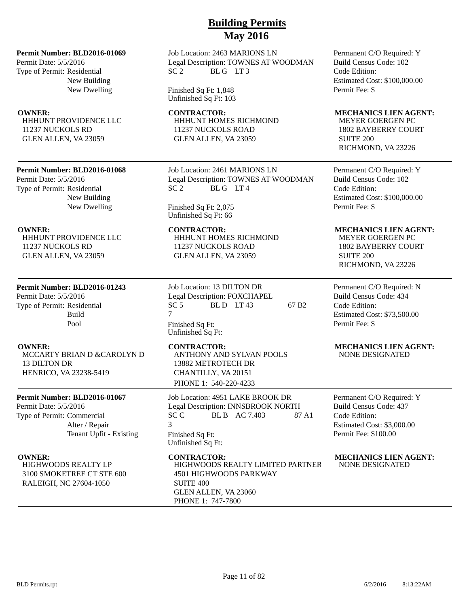## **Permit Number: BLD2016-01069**

Permit Date: 5/5/2016 Type of Permit: Residential New Building New Dwelling

HHHUNT PROVIDENCE LLC 11237 NUCKOLS RD GLEN ALLEN, VA 23059

## **Permit Number: BLD2016-01068**

Permit Date: 5/5/2016 Type of Permit: Residential New Building New Dwelling

HHHUNT PROVIDENCE LLC 11237 NUCKOLS RD GLEN ALLEN, VA 23059

## **Permit Number: BLD2016-01243**

Permit Date: 5/5/2016 Type of Permit: Residential Build Pool

MCCARTY BRIAN D &CAROLYN D 13 DILTON DR HENRICO, VA 23238-5419

## **Permit Number: BLD2016-01067**

Permit Date: 5/5/2016 Type of Permit: Commercial Alter / Repair Tenant Upfit - Existing

HIGHWOODS REALTY LP 3100 SMOKETREE CT STE 600 RALEIGH, NC 27604-1050

## Job Location: 2463 MARIONS LN Legal Description: TOWNES AT WOODMAN SC 2 BLG LT3

Finished Sq Ft: 1,848 Unfinished Sq Ft: 103

HHHUNT HOMES RICHMOND 11237 NUCKOLS ROAD GLEN ALLEN, VA 23059

Job Location: 2461 MARIONS LN Legal Description: TOWNES AT WOODMAN SC 2 BLG LT4

## Finished Sq Ft: 2,075 Unfinished Sq Ft: 66

**OWNER:** CONTRACTOR: MECHANICS LIEN AGENT: HHHUNT HOMES RICHMOND 11237 NUCKOLS ROAD GLEN ALLEN, VA 23059

> Job Location: 13 DILTON DR Legal Description: FOXCHAPEL  $SC 5$  BLD LT 43 67 B2 7 Finished Sq Ft: Unfinished Sq Ft:

ANTHONY AND SYLVAN POOLS 13882 METROTECH DR CHANTILLY, VA 20151 PHONE 1: 540-220-4233

Job Location: 4951 LAKE BROOK DR Legal Description: INNSBROOK NORTH SC C BL B AC 7.403 87 A1 3 Finished Sq Ft: Unfinished Sq Ft:

HIGHWOODS REALTY LIMITED PARTNER 4501 HIGHWOODS PARKWAY SUITE 400 GLEN ALLEN, VA 23060 PHONE 1: 747-7800

Permanent C/O Required: Y Build Census Code: 102 Code Edition: Estimated Cost: \$100,000.00 Permit Fee: \$

## **OWNER:** CONTRACTOR: MECHANICS LIEN AGENT:

MEYER GOERGEN PC 1802 BAYBERRY COURT SUITE 200 RICHMOND, VA 23226

Permanent C/O Required: Y Build Census Code: 102 Code Edition: Estimated Cost: \$100,000.00 Permit Fee: \$

MEYER GOERGEN PC 1802 BAYBERRY COURT SUITE 200 RICHMOND, VA 23226

Permanent C/O Required: N Build Census Code: 434 Code Edition: Estimated Cost: \$73,500.00 Permit Fee: \$

## **OWNER:** CONTRACTOR: MECHANICS LIEN AGENT: NONE DESIGNATED

Permanent C/O Required: Y Build Census Code: 437 Code Edition: Estimated Cost: \$3,000.00 Permit Fee: \$100.00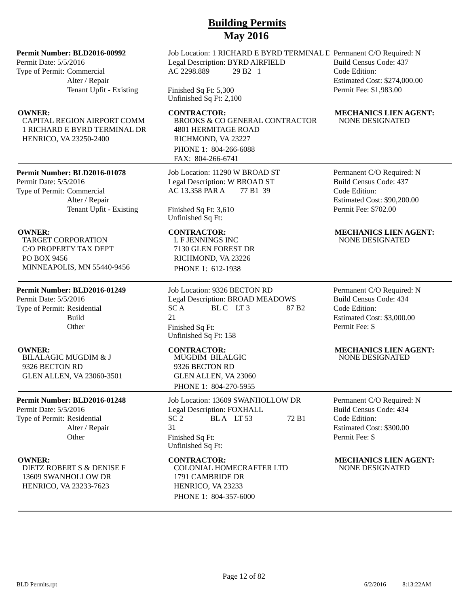## **Permit Number: BLD2016-00992**

Permit Date: 5/5/2016 Type of Permit: Commercial Alter / Repair Tenant Upfit - Existing

CAPITAL REGION AIRPORT COMM 1 RICHARD E BYRD TERMINAL DR HENRICO, VA 23250-2400

## **Permit Number: BLD2016-01078**

Permit Date: 5/5/2016 Type of Permit: Commercial Alter / Repair Tenant Upfit - Existing

TARGET CORPORATION C/O PROPERTY TAX DEPT PO BOX 9456 MINNEAPOLIS, MN 55440-9456

## **Permit Number: BLD2016-01249**

Permit Date: 5/5/2016 Type of Permit: Residential Build **Other** 

BILALAGIC MUGDIM & J 9326 BECTON RD GLEN ALLEN, VA 23060-3501

## **Permit Number: BLD2016-01248**

Permit Date: 5/5/2016 Type of Permit: Residential Alter / Repair **Other** 

DIETZ ROBERT S & DENISE F 13609 SWANHOLLOW DR HENRICO, VA 23233-7623

## Job Location: 1 RICHARD E BYRD TERMINAL L Permanent C/O Required: N Legal Description: BYRD AIRFIELD AC 2298.889 29 B2 1 Code Edition:

Finished Sq Ft: 5,300 Unfinished Sq Ft: 2,100

BROOKS & CO GENERAL CONTRACTOR 4801 HERMITAGE ROAD RICHMOND, VA 23227 PHONE 1: 804-266-6088 FAX: 804-266-6741

Job Location: 11290 W BROAD ST Legal Description: W BROAD ST AC 13.358 PAR A 77 B1 39

Finished Sq Ft: 3,610 Unfinished Sq Ft:

L F JENNINGS INC 7130 GLEN FOREST DR RICHMOND, VA 23226 PHONE 1: 612-1938

Job Location: 9326 BECTON RD Legal Description: BROAD MEADOWS SCA BLC LT3 87 B2 21 Finished Sq Ft: Unfinished Sq Ft: 158

MUGDIM BILALGIC 9326 BECTON RD GLEN ALLEN, VA 23060 PHONE 1: 804-270-5955

Job Location: 13609 SWANHOLLOW DR Legal Description: FOXHALL<br>SC 2 BLA LT 53  $BLA$   $LT 53$  72 B1 31 Finished Sq Ft: Unfinished Sq Ft:

COLONIAL HOMECRAFTER LTD 1791 CAMBRIDE DR HENRICO, VA 23233 PHONE 1: 804-357-6000

Build Census Code: 437 Estimated Cost: \$274,000.00 Permit Fee: \$1,983.00

## **OWNER:** CONTRACTOR: MECHANICS LIEN AGENT: NONE DESIGNATED

Permanent C/O Required: N Build Census Code: 437 Code Edition: Estimated Cost: \$90,200.00 Permit Fee: \$702.00

## **OWNER: CONTRACTOR: MECHANICS LIEN AGENT:** NONE DESIGNATED

Permanent C/O Required: N Build Census Code: 434 Code Edition: Estimated Cost: \$3,000.00 Permit Fee: \$

## **OWNER: CONTRACTOR: MECHANICS LIEN AGENT:** NONE DESIGNATED

Permanent C/O Required: N Build Census Code: 434 Code Edition: Estimated Cost: \$300.00 Permit Fee: \$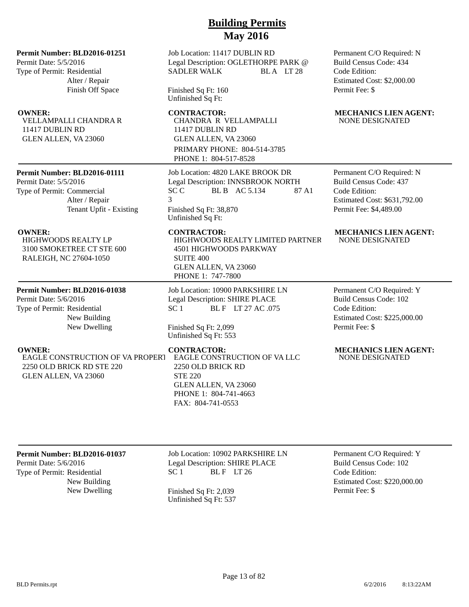**Permit Number: BLD2016-01251**

Permit Date: 5/5/2016 Type of Permit: Residential Alter / Repair Finish Off Space

VELLAMPALLI CHANDRA R 11417 DUBLIN RD GLEN ALLEN, VA 23060

## **Permit Number: BLD2016-01111**

Permit Date: 5/5/2016 Type of Permit: Commercial Alter / Repair Tenant Upfit - Existing

HIGHWOODS REALTY LP 3100 SMOKETREE CT STE 600 RALEIGH, NC 27604-1050

## **Permit Number: BLD2016-01038**

Permit Date: 5/6/2016 Type of Permit: Residential New Building New Dwelling

EAGLE CONSTRUCTION OF VA PROPERT 2250 OLD BRICK RD STE 220 GLEN ALLEN, VA 23060

Job Location: 11417 DUBLIN RD Legal Description: OGLETHORPE PARK @ SADLER WALK BLA LT 28

Finished Sq Ft: 160 Unfinished Sq Ft:

CHANDRA R VELLAMPALLI 11417 DUBLIN RD GLEN ALLEN, VA 23060 PRIMARY PHONE: 804-514-3785 PHONE 1: 804-517-8528

Job Location: 4820 LAKE BROOK DR Legal Description: INNSBROOK NORTH SC C BL B AC 5.134 87 A1 3 Finished Sq Ft: 38,870 Unfinished Sq Ft:

HIGHWOODS REALTY LIMITED PARTNER 4501 HIGHWOODS PARKWAY SUITE 400 GLEN ALLEN, VA 23060 PHONE 1: 747-7800

Job Location: 10900 PARKSHIRE LN Legal Description: SHIRE PLACE SC 1 BLF LT 27 AC .075

Finished Sq Ft: 2,099 Unfinished Sq Ft: 553

EAGLE CONSTRUCTION OF VA LLC 2250 OLD BRICK RD STE 220 GLEN ALLEN, VA 23060 PHONE 1: 804-741-4663 FAX: 804-741-0553

Permanent C/O Required: N Build Census Code: 434 Code Edition: Estimated Cost: \$2,000.00 Permit Fee: \$

## **OWNER:** CONTRACTOR: MECHANICS LIEN AGENT: NONE DESIGNATED

Permanent C/O Required: N Build Census Code: 437 Code Edition: Estimated Cost: \$631,792.00 Permit Fee: \$4,489.00

## **OWNER: CONTRACTOR: MECHANICS LIEN AGENT:** NONE DESIGNATED

Permanent C/O Required: Y Build Census Code: 102 Code Edition: Estimated Cost: \$225,000.00 Permit Fee: \$

## **OWNER: CONTRACTOR: MECHANICS LIEN AGENT:** NONE DESIGNATED

## **Permit Number: BLD2016-01037**

Permit Date: 5/6/2016 Type of Permit: Residential New Building Job Location: 10902 PARKSHIRE LN Legal Description: SHIRE PLACE  $SC 1$  BLF LT 26

New Dwelling Finished Sq Ft: 2,039 Unfinished Sq Ft: 537 Permanent C/O Required: Y Build Census Code: 102 Code Edition: Estimated Cost: \$220,000.00 Permit Fee: \$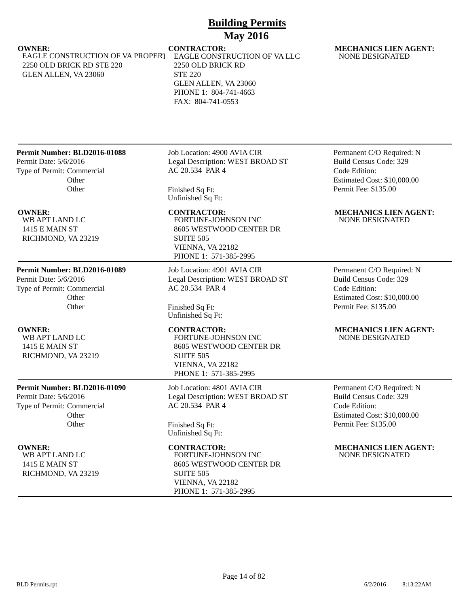EAGLE CONSTRUCTION OF VA PROPERT 2250 OLD BRICK RD STE 220 GLEN ALLEN, VA 23060

EAGLE CONSTRUCTION OF VA LLC 2250 OLD BRICK RD STE 220 GLEN ALLEN, VA 23060 PHONE 1: 804-741-4663 FAX: 804-741-0553

## **OWNER:** CONTRACTOR: MECHANICS LIEN AGENT: NONE DESIGNATED

## **Permit Number: BLD2016-01088**

Permit Date: 5/6/2016 Type of Permit: Commercial **Other Other** 

WB APT LAND LC 1415 E MAIN ST RICHMOND, VA 23219

## **Permit Number: BLD2016-01089**

Permit Date: 5/6/2016 Type of Permit: Commercial **Other Other** 

WB APT LAND LC 1415 E MAIN ST RICHMOND, VA 23219

## **Permit Number: BLD2016-01090**

Permit Date: 5/6/2016 Type of Permit: Commercial **Other Other** 

WB APT LAND LC 1415 E MAIN ST RICHMOND, VA 23219 Job Location: 4900 AVIA CIR Legal Description: WEST BROAD ST AC 20.534 PAR 4

Finished Sq Ft: Unfinished Sq Ft:

FORTUNE-JOHNSON INC 8605 WESTWOOD CENTER DR SUITE 505 VIENNA, VA 22182 PHONE 1: 571-385-2995

Job Location: 4901 AVIA CIR Legal Description: WEST BROAD ST AC 20.534 PAR 4

Finished Sq Ft: Unfinished Sq Ft:

FORTUNE-JOHNSON INC 8605 WESTWOOD CENTER DR SUITE 505 VIENNA, VA 22182 PHONE 1: 571-385-2995

Job Location: 4801 AVIA CIR Legal Description: WEST BROAD ST AC 20.534 PAR 4

Finished Sq Ft: Unfinished Sq Ft:

FORTUNE-JOHNSON INC 8605 WESTWOOD CENTER DR SUITE 505 VIENNA, VA 22182 PHONE 1: 571-385-2995

Permanent C/O Required: N Build Census Code: 329 Code Edition: Estimated Cost: \$10,000.00 Permit Fee: \$135.00

## **OWNER: CONTRACTOR: MECHANICS LIEN AGENT:** NONE DESIGNATED

Permanent C/O Required: N Build Census Code: 329 Code Edition: Estimated Cost: \$10,000.00 Permit Fee: \$135.00

## **OWNER: CONTRACTOR: MECHANICS LIEN AGENT:** NONE DESIGNATED

Permanent C/O Required: N Build Census Code: 329 Code Edition: Estimated Cost: \$10,000.00 Permit Fee: \$135.00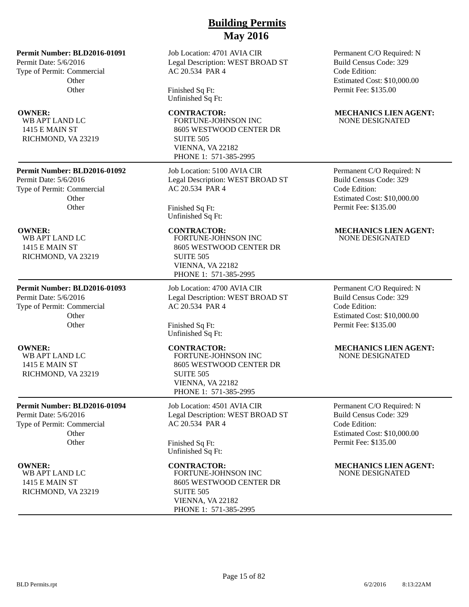Job Location: 4701 AVIA CIR Legal Description: WEST BROAD ST AC 20.534 PAR 4

Finished Sq Ft: Unfinished Sq Ft:

## FORTUNE-JOHNSON INC 8605 WESTWOOD CENTER DR SUITE 505 VIENNA, VA 22182 PHONE 1: 571-385-2995

Job Location: 5100 AVIA CIR Legal Description: WEST BROAD ST AC 20.534 PAR 4

Finished Sq Ft: Unfinished Sq Ft:

FORTUNE-JOHNSON INC

8605 WESTWOOD CENTER DR SUITE 505 VIENNA, VA 22182 PHONE 1: 571-385-2995

Job Location: 4700 AVIA CIR Legal Description: WEST BROAD ST AC 20.534 PAR 4

Finished Sq Ft: Unfinished Sq Ft:

FORTUNE-JOHNSON INC 8605 WESTWOOD CENTER DR SUITE 505 VIENNA, VA 22182 PHONE 1: 571-385-2995

Job Location: 4501 AVIA CIR Legal Description: WEST BROAD ST AC 20.534 PAR 4

Finished Sq Ft: Unfinished Sq Ft:

FORTUNE-JOHNSON INC 8605 WESTWOOD CENTER DR SUITE 505 VIENNA, VA 22182 PHONE 1: 571-385-2995

Permanent C/O Required: N Build Census Code: 329 Code Edition: Estimated Cost: \$10,000.00 Permit Fee: \$135.00

## **OWNER:** CONTRACTOR: MECHANICS LIEN AGENT: NONE DESIGNATED

Permanent C/O Required: N Build Census Code: 329 Code Edition: Estimated Cost: \$10,000.00 Permit Fee: \$135.00

## **OWNER:** CONTRACTOR: MECHANICS LIEN AGENT: NONE DESIGNATED

Permanent C/O Required: N Build Census Code: 329 Code Edition: Estimated Cost: \$10,000.00 Permit Fee: \$135.00

## **OWNER: CONTRACTOR: MECHANICS LIEN AGENT:** NONE DESIGNATED

Permanent C/O Required: N Build Census Code: 329 Code Edition: Estimated Cost: \$10,000.00 Permit Fee: \$135.00

**OWNER:** CONTRACTOR: MECHANICS LIEN AGENT: NONE DESIGNATED

## **Permit Number: BLD2016-01092**

**Permit Number: BLD2016-01091**

**Other Other** 

Permit Date: 5/6/2016 Type of Permit: Commercial

WB APT LAND LC 1415 E MAIN ST RICHMOND, VA 23219

Permit Date: 5/6/2016 Type of Permit: Commercial **Other Other** 

WB APT LAND LC 1415 E MAIN ST RICHMOND, VA 23219

## **Permit Number: BLD2016-01093**

Permit Date: 5/6/2016 Type of Permit: Commercial **Other Other** 

WB APT LAND LC 1415 E MAIN ST RICHMOND, VA 23219

## **Permit Number: BLD2016-01094**

Permit Date: 5/6/2016 Type of Permit: Commercial **Other Other** 

WB APT LAND LC 1415 E MAIN ST RICHMOND, VA 23219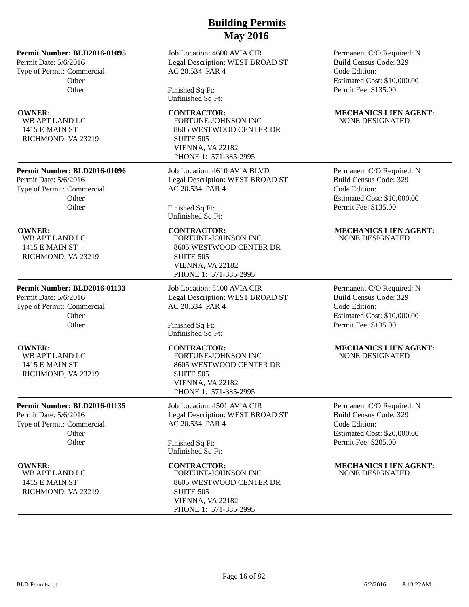Job Location: 4600 AVIA CIR Legal Description: WEST BROAD ST AC 20.534 PAR 4

Finished Sq Ft: Unfinished Sq Ft:

## **OWNER:** CONTRACTOR: MECHANICS LIEN AGENT: FORTUNE-JOHNSON INC 8605 WESTWOOD CENTER DR SUITE 505 VIENNA, VA 22182 PHONE 1: 571-385-2995

Job Location: 4610 AVIA BLVD Legal Description: WEST BROAD ST AC 20.534 PAR 4

Finished Sq Ft: Unfinished Sq Ft:

FORTUNE-JOHNSON INC 8605 WESTWOOD CENTER DR SUITE 505 VIENNA, VA 22182 PHONE 1: 571-385-2995

Job Location: 5100 AVIA CIR Legal Description: WEST BROAD ST AC 20.534 PAR 4

Finished Sq Ft: Unfinished Sq Ft:

FORTUNE-JOHNSON INC 8605 WESTWOOD CENTER DR SUITE 505 VIENNA, VA 22182 PHONE 1: 571-385-2995

Job Location: 4501 AVIA CIR Legal Description: WEST BROAD ST AC 20.534 PAR 4

Finished Sq Ft: Unfinished Sq Ft:

FORTUNE-JOHNSON INC 8605 WESTWOOD CENTER DR SUITE 505 VIENNA, VA 22182 PHONE 1: 571-385-2995

Permanent C/O Required: N Build Census Code: 329 Code Edition: Estimated Cost: \$10,000.00 Permit Fee: \$135.00

# NONE DESIGNATED

Permanent C/O Required: N Build Census Code: 329 Code Edition: Estimated Cost: \$10,000.00 Permit Fee: \$135.00

## **OWNER:** CONTRACTOR: MECHANICS LIEN AGENT: NONE DESIGNATED

Permanent C/O Required: N Build Census Code: 329 Code Edition: Estimated Cost: \$10,000.00 Permit Fee: \$135.00

## **OWNER: CONTRACTOR: MECHANICS LIEN AGENT:** NONE DESIGNATED

Permanent C/O Required: N Build Census Code: 329 Code Edition: Estimated Cost: \$20,000.00 Permit Fee: \$205.00

**OWNER:** CONTRACTOR: MECHANICS LIEN AGENT: NONE DESIGNATED

## **Permit Number: BLD2016-01095**

Permit Date: 5/6/2016 Type of Permit: Commercial **Other Other** 

WB APT LAND LC 1415 E MAIN ST RICHMOND, VA 23219

## **Permit Number: BLD2016-01096**

Permit Date: 5/6/2016 Type of Permit: Commercial **Other Other** 

WB APT LAND LC 1415 E MAIN ST RICHMOND, VA 23219

## **Permit Number: BLD2016-01133**

Permit Date: 5/6/2016 Type of Permit: Commercial **Other Other** 

WB APT LAND LC 1415 E MAIN ST RICHMOND, VA 23219

## **Permit Number: BLD2016-01135**

Permit Date: 5/6/2016 Type of Permit: Commercial **Other Other** 

WB APT LAND LC 1415 E MAIN ST RICHMOND, VA 23219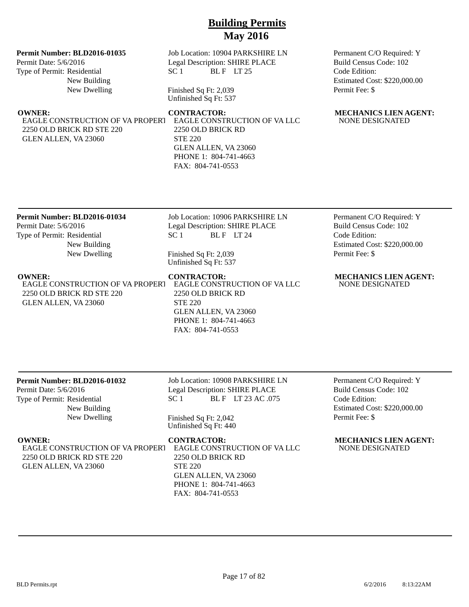## **Permit Number: BLD2016-01035**

Permit Date: 5/6/2016 Type of Permit: Residential New Building New Dwelling

EAGLE CONSTRUCTION OF VA PROPERT 2250 OLD BRICK RD STE 220 GLEN ALLEN, VA 23060

Job Location: 10904 PARKSHIRE LN Legal Description: SHIRE PLACE  $SC 1$  BLF LT 25

Finished Sq Ft: 2,039 Unfinished Sq Ft: 537

EAGLE CONSTRUCTION OF VA LLC 2250 OLD BRICK RD STE 220 GLEN ALLEN, VA 23060 PHONE 1: 804-741-4663 FAX: 804-741-0553

Permanent C/O Required: Y Build Census Code: 102 Code Edition: Estimated Cost: \$220,000.00 Permit Fee: \$

## **OWNER: CONTRACTOR: MECHANICS LIEN AGENT:** NONE DESIGNATED

## **Permit Number: BLD2016-01034**

Permit Date: 5/6/2016 Type of Permit: Residential New Building New Dwelling Job Location: 10906 PARKSHIRE LN Legal Description: SHIRE PLACE  $SC 1$  BLF LT 24

Finished Sq Ft: 2,039 Unfinished Sq Ft: 537

EAGLE CONSTRUCTION OF VA PROPERT 2250 OLD BRICK RD STE 220 GLEN ALLEN, VA 23060

EAGLE CONSTRUCTION OF VA LLC 2250 OLD BRICK RD STE 220 GLEN ALLEN, VA 23060 PHONE 1: 804-741-4663 FAX: 804-741-0553

Permanent C/O Required: Y Build Census Code: 102 Code Edition: Estimated Cost: \$220,000.00 Permit Fee: \$

## **OWNER: CONTRACTOR: MECHANICS LIEN AGENT:** NONE DESIGNATED

## **Permit Number: BLD2016-01032**

Permit Date: 5/6/2016 Type of Permit: Residential New Building New Dwelling

EAGLE CONSTRUCTION OF VA PROPERT 2250 OLD BRICK RD STE 220 GLEN ALLEN, VA 23060

# SC 1 BLF LT 23 AC .075

Job Location: 10908 PARKSHIRE LN Legal Description: SHIRE PLACE

Finished Sq Ft: 2,042 Unfinished Sq Ft: 440

EAGLE CONSTRUCTION OF VA LLC 2250 OLD BRICK RD STE 220 GLEN ALLEN, VA 23060 PHONE 1: 804-741-4663 FAX: 804-741-0553

Permanent C/O Required: Y Build Census Code: 102 Code Edition: Estimated Cost: \$220,000.00 Permit Fee: \$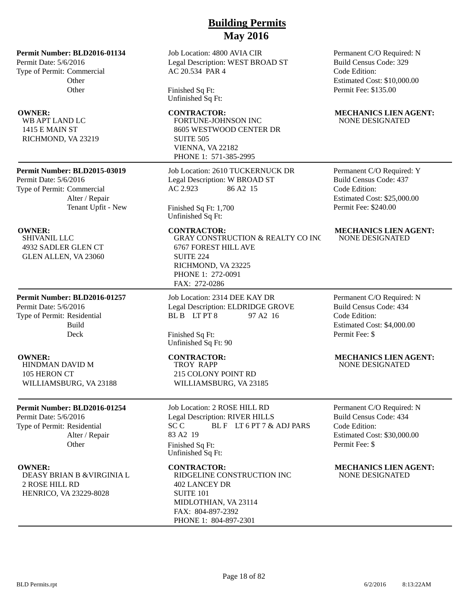**Permit Number: BLD2016-01134**

Permit Date: 5/6/2016 Type of Permit: Commercial **Other Other** 

WB APT LAND LC 1415 E MAIN ST RICHMOND, VA 23219

## **Permit Number: BLD2015-03019**

Permit Date: 5/6/2016 Type of Permit: Commercial Alter / Repair Tenant Upfit - New

SHIVANIL LLC 4932 SADLER GLEN CT GLEN ALLEN, VA 23060

**Permit Number: BLD2016-01257** Permit Date: 5/6/2016 Type of Permit: Residential Build Deck

HINDMAN DAVID M 105 HERON CT WILLIAMSBURG, VA 23188

## **Permit Number: BLD2016-01254**

Permit Date: 5/6/2016 Type of Permit: Residential Alter / Repair **Other** 

DEASY BRIAN B &VIRGINIA L 2 ROSE HILL RD HENRICO, VA 23229-8028

## Job Location: 4800 AVIA CIR Legal Description: WEST BROAD ST AC 20.534 PAR 4

Finished Sq Ft: Unfinished Sq Ft:

FORTUNE-JOHNSON INC 8605 WESTWOOD CENTER DR SUITE 505 VIENNA, VA 22182 PHONE 1: 571-385-2995

Job Location: 2610 TUCKERNUCK DR Legal Description: W BROAD ST AC 2.923 86 A2 15

Finished Sq Ft: 1,700 Unfinished Sq Ft:

GRAY CONSTRUCTION & REALTY CO INC 6767 FOREST HILL AVE SUITE 224 RICHMOND, VA 23225 PHONE 1: 272-0091 FAX: 272-0286

Job Location: 2314 DEE KAY DR Legal Description: ELDRIDGE GROVE BL B LT PT 8 97 A2 16

Finished Sq Ft: Unfinished Sq Ft: 90

TROY RAPP 215 COLONY POINT RD WILLIAMSBURG, VA 23185

Job Location: 2 ROSE HILL RD Legal Description: RIVER HILLS SC C BLF LT 6 PT 7 & ADJ PARS 83 A2 19 Finished Sq Ft: Unfinished Sq Ft:

RIDGELINE CONSTRUCTION INC 402 LANCEY DR SUITE 101 MIDLOTHIAN, VA 23114 FAX: 804-897-2392 PHONE 1: 804-897-2301

Permanent C/O Required: N Build Census Code: 329 Code Edition: Estimated Cost: \$10,000.00 Permit Fee: \$135.00

## **OWNER: CONTRACTOR: MECHANICS LIEN AGENT:** NONE DESIGNATED

Permanent C/O Required: Y Build Census Code: 437 Code Edition: Estimated Cost: \$25,000.00 Permit Fee: \$240.00

## **OWNER:** CONTRACTOR: MECHANICS LIEN AGENT: NONE DESIGNATED

Permanent C/O Required: N Build Census Code: 434 Code Edition: Estimated Cost: \$4,000.00 Permit Fee: \$

## **OWNER: CONTRACTOR: MECHANICS LIEN AGENT:** NONE DESIGNATED

Permanent C/O Required: N Build Census Code: 434 Code Edition: Estimated Cost: \$30,000.00 Permit Fee: \$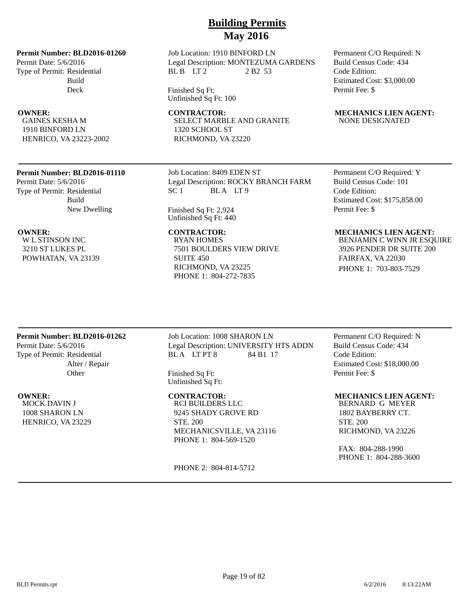## **Permit Number: BLD2016-01260**

Permit Date: 5/6/2016 Type of Permit: Residential Build Deck

GAINES KESHA M 1910 BINFORD LN HENRICO, VA 23223-2002

## **Permit Number: BLD2016-01110**

Permit Date: 5/6/2016 Type of Permit: Residential Build New Dwelling

W L STINSON INC 3210 ST LUKES PL POWHATAN, VA 23139

# **Building Permits May 2016**

Job Location: 1910 BINFORD LN Legal Description: MONTEZUMA GARDENS BL B LT 2 2 B 2 53

Finished Sq Ft: Unfinished Sq Ft: 100

**OWNER:** CONTRACTOR: MECHANICS LIEN AGENT: SELECT MARBLE AND GRANITE 1320 SCHOOL ST RICHMOND, VA 23220

> Job Location: 8409 EDEN ST Legal Description: ROCKY BRANCH FARM SC 1 BLA LT 9

Finished Sq Ft: 2,924 Unfinished Sq Ft: 440

RYAN HOMES 7501 BOULDERS VIEW DRIVE SUITE 450 RICHMOND, VA 23225 PHONE 1: 804-272-7835

## Permanent C/O Required: N Build Census Code: 434 Code Edition: Estimated Cost: \$3,000.00 Permit Fee: \$

# NONE DESIGNATED

Permanent C/O Required: Y Build Census Code: 101 Code Edition: Estimated Cost: \$175,858.00 Permit Fee: \$

## **OWNER: CONTRACTOR: MECHANICS LIEN AGENT:**

BENJAMIN C WINN JR ESQUIRE 3926 PENDER DR SUITE 200 FAIRFAX, VA 22030 PHONE 1: 703-803-7529

## **Permit Number: BLD2016-01262**

Permit Date: 5/6/2016 Type of Permit: Residential Alter / Repair **Other** 

MOCK DAVIN J 1008 SHARON LN HENRICO, VA 23229 Job Location: 1008 SHARON LN Legal Description: UNIVERSITY HTS ADDN BLA LT PT 8 84 B1 17

Finished Sq Ft: Unfinished Sq Ft:

RCI BUILDERS LLC 9245 SHADY GROVE RD STE. 200 MECHANICSVILLE, VA 23116 PHONE 1: 804-569-1520

PHONE 2: 804-814-5712

Permanent C/O Required: N Build Census Code: 434 Code Edition: Estimated Cost: \$18,000.00 Permit Fee: \$

## **OWNER: CONTRACTOR: MECHANICS LIEN AGENT:**

BERNARD G MEYER 1802 BAYBERRY CT. STE. 200 RICHMOND, VA 23226

FAX: 804-288-1990 PHONE 1: 804-288-3600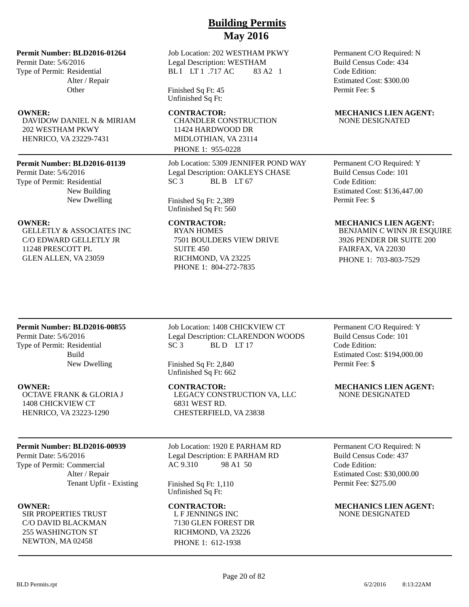**Permit Number: BLD2016-01264**

Permit Date: 5/6/2016 Type of Permit: Residential Alter / Repair **Other** 

DAVIDOW DANIEL N & MIRIAM 202 WESTHAM PKWY HENRICO, VA 23229-7431

## **Permit Number: BLD2016-01139**

Permit Date: 5/6/2016 Type of Permit: Residential New Building New Dwelling

GELLETLY & ASSOCIATES INC C/O EDWARD GELLETLY JR 11248 PRESCOTT PL GLEN ALLEN, VA 23059

Job Location: 202 WESTHAM PKWY Legal Description: WESTHAM BLI LT 1 .717 AC 83 A2 1

Finished Sq Ft: 45 Unfinished Sq Ft:

CHANDLER CONSTRUCTION 11424 HARDWOOD DR MIDLOTHIAN, VA 23114 PHONE 1: 955-0228

Job Location: 5309 JENNIFER POND WAY Legal Description: OAKLEYS CHASE SC 3 BL B LT 67

Finished Sq Ft: 2,389 Unfinished Sq Ft: 560

RYAN HOMES 7501 BOULDERS VIEW DRIVE SUITE 450 RICHMOND, VA 23225 PHONE 1: 804-272-7835

Permanent C/O Required: N Build Census Code: 434 Code Edition: Estimated Cost: \$300.00 Permit Fee: \$

## **OWNER:** CONTRACTOR: MECHANICS LIEN AGENT: NONE DESIGNATED

Permanent C/O Required: Y Build Census Code: 101 Code Edition: Estimated Cost: \$136,447.00 Permit Fee: \$

## **OWNER:** CONTRACTOR: MECHANICS LIEN AGENT:

BENJAMIN C WINN JR ESQUIRE 3926 PENDER DR SUITE 200 FAIRFAX, VA 22030 PHONE 1: 703-803-7529

## **Permit Number: BLD2016-00855**

Permit Date: 5/6/2016 Type of Permit: Residential Build New Dwelling

OCTAVE FRANK & GLORIA J 1408 CHICKVIEW CT HENRICO, VA 23223-1290

## **Permit Number: BLD2016-00939**

Permit Date: 5/6/2016 Type of Permit: Commercial Alter / Repair Tenant Upfit - Existing

SIR PROPERTIES TRUST C/O DAVID BLACKMAN 255 WASHINGTON ST NEWTON, MA 02458

Job Location: 1408 CHICKVIEW CT Legal Description: CLARENDON WOODS SC 3 BLD LT 17

Finished Sq Ft: 2,840 Unfinished Sq Ft: 662

LEGACY CONSTRUCTION VA, LLC 6831 WEST RD. CHESTERFIELD, VA 23838

Job Location: 1920 E PARHAM RD Legal Description: E PARHAM RD AC 9.310 98 A1 50

Finished Sq Ft: 1,110 Unfinished Sq Ft:

L F JENNINGS INC 7130 GLEN FOREST DR RICHMOND, VA 23226 PHONE 1: 612-1938

Permanent C/O Required: Y Build Census Code: 101 Code Edition: Estimated Cost: \$194,000.00 Permit Fee: \$

**OWNER:** CONTRACTOR: MECHANICS LIEN AGENT: NONE DESIGNATED

> Permanent C/O Required: N Build Census Code: 437 Code Edition: Estimated Cost: \$30,000.00 Permit Fee: \$275.00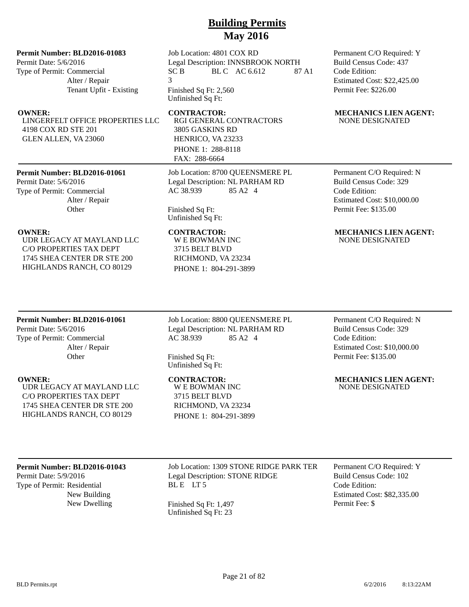## **Permit Number: BLD2016-01083**

Permit Date: 5/6/2016 Type of Permit: Commercial Alter / Repair Tenant Upfit - Existing

LINGERFELT OFFICE PROPERTIES LLC 4198 COX RD STE 201 GLEN ALLEN, VA 23060

## **Permit Number: BLD2016-01061**

Permit Date: 5/6/2016 Type of Permit: Commercial Alter / Repair **Other** 

UDR LEGACY AT MAYLAND LLC C/O PROPERTIES TAX DEPT 1745 SHEA CENTER DR STE 200 HIGHLANDS RANCH, CO 80129

Job Location: 4801 COX RD Legal Description: INNSBROOK NORTH SC B BL C AC 6.612 87 A1 3

Finished Sq Ft: 2,560 Unfinished Sq Ft:

RGI GENERAL CONTRACTORS 3805 GASKINS RD HENRICO, VA 23233 PHONE 1: 288-8118 FAX: 288-6664

Job Location: 8700 QUEENSMERE PL Legal Description: NL PARHAM RD AC 38.939 85 A2 4

Finished Sq Ft: Unfinished Sq Ft:

W E BOWMAN INC 3715 BELT BLVD RICHMOND, VA 23234 PHONE 1: 804-291-3899 Permanent C/O Required: Y Build Census Code: 437 Code Edition: Estimated Cost: \$22,425.00 Permit Fee: \$226.00

## **OWNER:** CONTRACTOR: MECHANICS LIEN AGENT: NONE DESIGNATED

Permanent C/O Required: N Build Census Code: 329 Code Edition: Estimated Cost: \$10,000.00 Permit Fee: \$135.00

## **OWNER: CONTRACTOR: MECHANICS LIEN AGENT:** NONE DESIGNATED

## **Permit Number: BLD2016-01061**

Permit Date: 5/6/2016 Type of Permit: Commercial Alter / Repair **Other** 

UDR LEGACY AT MAYLAND LLC C/O PROPERTIES TAX DEPT 1745 SHEA CENTER DR STE 200 HIGHLANDS RANCH, CO 80129

Job Location: 8800 QUEENSMERE PL Legal Description: NL PARHAM RD AC 38.939 85 A2 4

Finished Sq Ft: Unfinished Sq Ft:

W E BOWMAN INC 3715 BELT BLVD RICHMOND, VA 23234 PHONE 1: 804-291-3899

Permanent C/O Required: N Build Census Code: 329 Code Edition: Estimated Cost: \$10,000.00 Permit Fee: \$135.00

**OWNER: CONTRACTOR: MECHANICS LIEN AGENT:** NONE DESIGNATED

## **Permit Number: BLD2016-01043**

Permit Date: 5/9/2016 Type of Permit: Residential New Building Job Location: 1309 STONE RIDGE PARK TER Legal Description: STONE RIDGE BLE LT5

New Dwelling Finished Sq Ft: 1,497 Unfinished Sq Ft: 23

Permanent C/O Required: Y Build Census Code: 102 Code Edition: Estimated Cost: \$82,335.00 Permit Fee: \$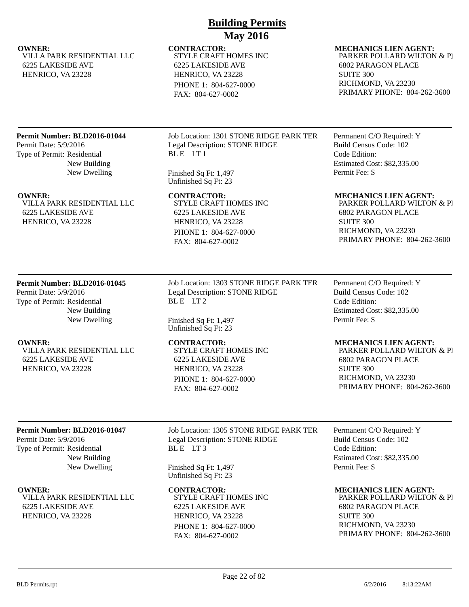STYLE CRAFT HOMES INC 6225 LAKESIDE AVE HENRICO, VA 23228 PHONE 1: 804-627-0000 FAX: 804-627-0002

## **OWNER:** CONTRACTOR: MECHANICS LIEN AGENT: PARKER POLLARD WILTON & PI

6802 PARAGON PLACE SUITE 300 RICHMOND, VA 23230 PRIMARY PHONE: 804-262-3600

## **Permit Number: BLD2016-01044**

VILLA PARK RESIDENTIAL LLC

6225 LAKESIDE AVE HENRICO, VA 23228

Permit Date: 5/9/2016 Type of Permit: Residential New Building New Dwelling

VILLA PARK RESIDENTIAL LLC 6225 LAKESIDE AVE HENRICO, VA 23228

Job Location: 1301 STONE RIDGE PARK TER Legal Description: STONE RIDGE BLE LT1

Finished Sq Ft: 1,497 Unfinished Sq Ft: 23

STYLE CRAFT HOMES INC 6225 LAKESIDE AVE HENRICO, VA 23228 PHONE 1: 804-627-0000 FAX: 804-627-0002

Permanent C/O Required: Y Build Census Code: 102 Code Edition: Estimated Cost: \$82,335.00 Permit Fee: \$

## **OWNER: CONTRACTOR: MECHANICS LIEN AGENT:**

PARKER POLLARD WILTON & PI 6802 PARAGON PLACE SUITE 300 RICHMOND, VA 23230 PRIMARY PHONE: 804-262-3600

## **Permit Number: BLD2016-01045**

Permit Date: 5/9/2016 Type of Permit: Residential New Building New Dwelling

VILLA PARK RESIDENTIAL LLC 6225 LAKESIDE AVE HENRICO, VA 23228

Job Location: 1303 STONE RIDGE PARK TER Legal Description: STONE RIDGE BLE LT2

Finished Sq Ft: 1,497 Unfinished Sq Ft: 23

STYLE CRAFT HOMES INC 6225 LAKESIDE AVE HENRICO, VA 23228 PHONE 1: 804-627-0000 FAX: 804-627-0002

Permanent C/O Required: Y Build Census Code: 102 Code Edition: Estimated Cost: \$82,335.00 Permit Fee: \$

## **OWNER: CONTRACTOR: MECHANICS LIEN AGENT:**

PARKER POLLARD WILTON & PI 6802 PARAGON PLACE SUITE 300 RICHMOND, VA 23230 PRIMARY PHONE: 804-262-3600

## **Permit Number: BLD2016-01047**

Permit Date: 5/9/2016 Type of Permit: Residential New Building New Dwelling

VILLA PARK RESIDENTIAL LLC 6225 LAKESIDE AVE HENRICO, VA 23228

Job Location: 1305 STONE RIDGE PARK TER Legal Description: STONE RIDGE BLE LT3

Finished Sq Ft: 1,497 Unfinished Sq Ft: 23

STYLE CRAFT HOMES INC 6225 LAKESIDE AVE HENRICO, VA 23228 PHONE 1: 804-627-0000

FAX: 804-627-0002

Permanent C/O Required: Y Build Census Code: 102 Code Edition: Estimated Cost: \$82,335.00 Permit Fee: \$

**OWNER: CONTRACTOR: MECHANICS LIEN AGENT:**

PARKER POLLARD WILTON & PI 6802 PARAGON PLACE SUITE 300 RICHMOND, VA 23230 PRIMARY PHONE: 804-262-3600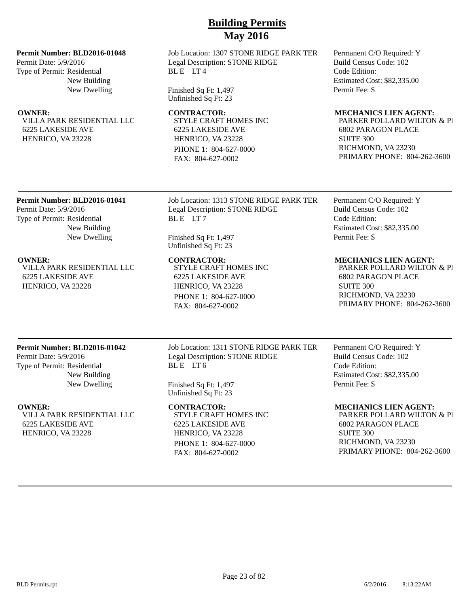## **Permit Number: BLD2016-01048**

Permit Date: 5/9/2016 Type of Permit: Residential New Building New Dwelling

VILLA PARK RESIDENTIAL LLC 6225 LAKESIDE AVE HENRICO, VA 23228

Job Location: 1307 STONE RIDGE PARK TER Legal Description: STONE RIDGE BLE LT4

Finished Sq Ft: 1,497 Unfinished Sq Ft: 23

STYLE CRAFT HOMES INC 6225 LAKESIDE AVE HENRICO, VA 23228 PHONE 1: 804-627-0000 FAX: 804-627-0002

Permanent C/O Required: Y Build Census Code: 102 Code Edition: Estimated Cost: \$82,335.00 Permit Fee: \$

## **OWNER: CONTRACTOR: MECHANICS LIEN AGENT:**

PARKER POLLARD WILTON & PI 6802 PARAGON PLACE SUITE 300 RICHMOND, VA 23230 PRIMARY PHONE: 804-262-3600

## **Permit Number: BLD2016-01041**

Permit Date: 5/9/2016 Type of Permit: Residential New Building New Dwelling

VILLA PARK RESIDENTIAL LLC 6225 LAKESIDE AVE HENRICO, VA 23228

Job Location: 1313 STONE RIDGE PARK TER Legal Description: STONE RIDGE BLE LT7

Finished Sq Ft: 1,497 Unfinished Sq Ft: 23

STYLE CRAFT HOMES INC 6225 LAKESIDE AVE HENRICO, VA 23228 PHONE 1: 804-627-0000 FAX: 804-627-0002

## **OWNER: CONTRACTOR: MECHANICS LIEN AGENT:**

Permanent C/O Required: Y Build Census Code: 102

Estimated Cost: \$82,335.00

Code Edition:

Permit Fee: \$

PARKER POLLARD WILTON & PI 6802 PARAGON PLACE SUITE 300 RICHMOND, VA 23230 PRIMARY PHONE: 804-262-3600

## **Permit Number: BLD2016-01042**

Permit Date: 5/9/2016 Type of Permit: Residential New Building New Dwelling

VILLA PARK RESIDENTIAL LLC 6225 LAKESIDE AVE HENRICO, VA 23228

Job Location: 1311 STONE RIDGE PARK TER Legal Description: STONE RIDGE BLE LT6

Finished Sq Ft: 1,497 Unfinished Sq Ft: 23

STYLE CRAFT HOMES INC 6225 LAKESIDE AVE HENRICO, VA 23228 PHONE 1: 804-627-0000 FAX: 804-627-0002

Permanent C/O Required: Y Build Census Code: 102 Code Edition: Estimated Cost: \$82,335.00 Permit Fee: \$

## **OWNER: CONTRACTOR: MECHANICS LIEN AGENT:**

PARKER POLLARD WILTON & PI 6802 PARAGON PLACE SUITE 300 RICHMOND, VA 23230 PRIMARY PHONE: 804-262-3600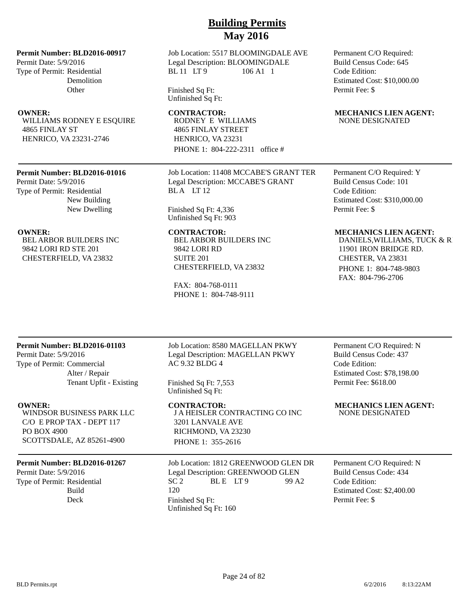## **Permit Number: BLD2016-00917**

Permit Date: 5/9/2016 Type of Permit: Residential Demolition **Other** 

WILLIAMS RODNEY E ESQUIRE 4865 FINLAY ST HENRICO, VA 23231-2746

## **Permit Number: BLD2016-01016**

Permit Date: 5/9/2016 Type of Permit: Residential New Building New Dwelling

BEL ARBOR BUILDERS INC 9842 LORI RD STE 201 CHESTERFIELD, VA 23832

## Job Location: 5517 BLOOMINGDALE AVE Legal Description: BLOOMINGDALE BL 11 LT 9 106 A1 1

Finished Sq Ft: Unfinished Sq Ft:

RODNEY E WILLIAMS 4865 FINLAY STREET HENRICO, VA 23231 PHONE 1: 804-222-2311 office #

Job Location: 11408 MCCABE'S GRANT TER Legal Description: MCCABE'S GRANT BLA LT<sub>12</sub>

Finished Sq Ft: 4,336 Unfinished Sq Ft: 903

BEL ARBOR BUILDERS INC 9842 LORI RD SUITE 201 CHESTERFIELD, VA 23832

FAX: 804-768-0111 PHONE 1: 804-748-9111

## Permanent C/O Required: Build Census Code: 645 Code Edition: Estimated Cost: \$10,000.00 Permit Fee: \$

## **OWNER:** CONTRACTOR: MECHANICS LIEN AGENT: NONE DESIGNATED

Permanent C/O Required: Y Build Census Code: 101 Code Edition: Estimated Cost: \$310,000.00 Permit Fee: \$

## **OWNER: CONTRACTOR: MECHANICS LIEN AGENT:**

DANIELS, WILLIAMS, TUCK & R 11901 IRON BRIDGE RD. CHESTER, VA 23831 PHONE 1: 804-748-9803 FAX: 804-796-2706

## **Permit Number: BLD2016-01103**

Permit Date: 5/9/2016 Type of Permit: Commercial Alter / Repair Tenant Upfit - Existing

WINDSOR BUSINESS PARK LLC C/O E PROP TAX - DEPT 117 PO BOX 4900 SCOTTSDALE, AZ 85261-4900

## **Permit Number: BLD2016-01267**

Permit Date: 5/9/2016 Type of Permit: Residential Build

Job Location: 8580 MAGELLAN PKWY Legal Description: MAGELLAN PKWY AC 9.32 BLDG 4

Finished Sq Ft: 7,553 Unfinished Sq Ft:

J A HEISLER CONTRACTING CO INC 3201 LANVALE AVE RICHMOND, VA 23230 PHONE 1: 355-2616

Job Location: 1812 GREENWOOD GLEN DR Legal Description: GREENWOOD GLEN  $SC<sub>2</sub>$  BLE LT9 99 A2 120 Deck Finished Sq Ft: Unfinished Sq Ft: 160

Permanent C/O Required: N Build Census Code: 437 Code Edition: Estimated Cost: \$78,198.00 Permit Fee: \$618.00

## **OWNER: CONTRACTOR: MECHANICS LIEN AGENT:** NONE DESIGNATED

Permanent C/O Required: N Build Census Code: 434 Code Edition: Estimated Cost: \$2,400.00 Permit Fee: \$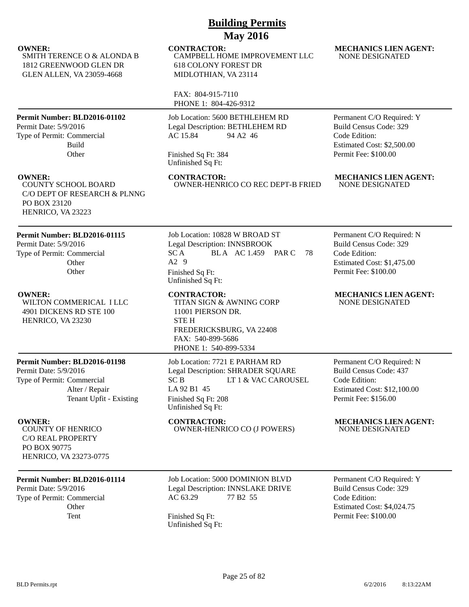| <b>GLEN ALLEN, VA 23059-4668</b>                                                                                                 | MIDLOTHIAN, VA 23114                                                                                                                                                     |                                                                                                                                   |
|----------------------------------------------------------------------------------------------------------------------------------|--------------------------------------------------------------------------------------------------------------------------------------------------------------------------|-----------------------------------------------------------------------------------------------------------------------------------|
|                                                                                                                                  | FAX: 804-915-7110<br>PHONE 1: 804-426-9312                                                                                                                               |                                                                                                                                   |
| Permit Number: BLD2016-01102<br>Permit Date: 5/9/2016<br>Type of Permit: Commercial<br>Build<br>Other                            | Job Location: 5600 BETHLEHEM RD<br>Legal Description: BETHLEHEM RD<br>AC 15.84<br>94 A2 46<br>Finished Sq Ft: 384<br>Unfinished Sq Ft:                                   | Permanent C/O Required: Y<br>Build Census Code: 329<br>Code Edition:<br>Estimated Cost: \$2,500.00<br>Permit Fee: \$100.00        |
| <b>OWNER:</b><br><b>COUNTY SCHOOL BOARD</b><br>C/O DEPT OF RESEARCH & PLNNG<br>PO BOX 23120<br>HENRICO, VA 23223                 | <b>CONTRACTOR:</b><br>OWNER-HENRICO CO REC DEPT-B FRIED                                                                                                                  | <b>MECHANICS LIEN AGENT:</b><br>NONE DESIGNATED                                                                                   |
| Permit Number: BLD2016-01115<br>Permit Date: 5/9/2016<br>Type of Permit: Commercial<br>Other<br>Other                            | Job Location: 10828 W BROAD ST<br>Legal Description: INNSBROOK<br>SC A<br>BLA AC 1.459 PAR C<br>78<br>$A2$ 9<br>Finished Sq Ft:<br>Unfinished Sq Ft:                     | Permanent C/O Required: N<br><b>Build Census Code: 329</b><br>Code Edition:<br>Estimated Cost: \$1,475.00<br>Permit Fee: \$100.00 |
| <b>OWNER:</b><br>WILTON COMMERICAL I LLC<br>4901 DICKENS RD STE 100<br>HENRICO, VA 23230                                         | <b>CONTRACTOR:</b><br>TITAN SIGN & AWNING CORP<br>11001 PIERSON DR.<br><b>STEH</b><br>FREDERICKSBURG, VA 22408<br>FAX: 540-899-5686<br>PHONE 1: 540-899-5334             | <b>MECHANICS LIEN AGENT:</b><br><b>NONE DESIGNATED</b>                                                                            |
| Permit Number: BLD2016-01198<br>Permit Date: 5/9/2016<br>Type of Permit: Commercial<br>Alter / Repair<br>Tenant Upfit - Existing | Job Location: 7721 E PARHAM RD<br>Legal Description: SHRADER SQUARE<br>LT 1 & VAC CAROUSEL<br>SC <sub>B</sub><br>LA 92 B1 45<br>Finished Sq Ft: 208<br>Unfinished Sq Ft: | Permanent C/O Required: N<br>Build Census Code: 437<br>Code Edition:<br>Estimated Cost: \$12,100.00<br>Permit Fee: \$156.00       |
| <b>OWNER:</b><br><b>COUNTY OF HENRICO</b><br><b>C/O REAL PROPERTY</b><br>PO BOX 90775<br>HENRICO, VA 23273-0775                  | <b>CONTRACTOR:</b><br><b>OWNER-HENRICO CO (J POWERS)</b>                                                                                                                 | <b>MECHANICS LIEN AGENT:</b><br><b>NONE DESIGNATED</b>                                                                            |
| Permit Number: BLD2016-01114<br>Permit Date: 5/9/2016<br>Type of Permit: Commercial<br>Other<br>Tent                             | Job Location: 5000 DOMINION BLVD<br>Legal Description: INNSLAKE DRIVE<br>77 B <sub>2</sub> 55<br>AC 63.29<br>Finished Sq Ft:<br>Unfinished Sq Ft:                        | Permanent C/O Required: Y<br><b>Build Census Code: 329</b><br>Code Edition:<br>Estimated Cost: \$4,024.75<br>Permit Fee: \$100.00 |

NONE DESIGNATED

CAMPBELL HOME IMPROVEMENT LLC

**OWNER:** CONTRACTOR: MECHANICS LIEN AGENT:

618 COLONY FOREST DR

## BLD Permits.rpt

SMITH TERENCE O & ALONDA B 1812 GREENWOOD GLEN DR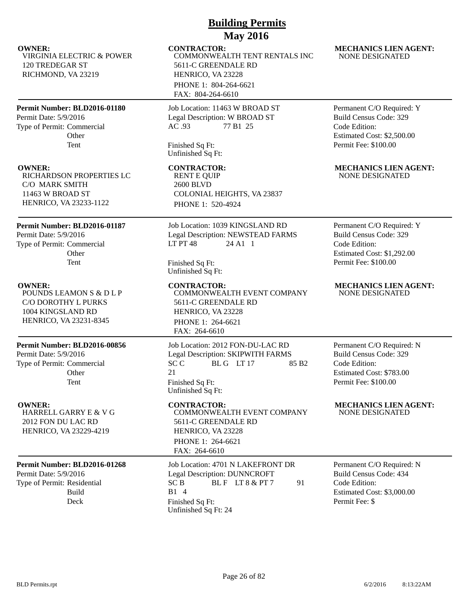| <b>Building Permits</b>                                                                                        |                                                                                                                                                                         |                                                                                                                                   |  |
|----------------------------------------------------------------------------------------------------------------|-------------------------------------------------------------------------------------------------------------------------------------------------------------------------|-----------------------------------------------------------------------------------------------------------------------------------|--|
| <b>OWNER:</b><br><b>VIRGINIA ELECTRIC &amp; POWER</b><br>120 TREDEGAR ST<br>RICHMOND, VA 23219                 | <b>May 2016</b><br><b>CONTRACTOR:</b><br>COMMONWEALTH TENT RENTALS INC<br>5611-C GREENDALE RD<br>HENRICO, VA 23228<br>PHONE 1: 804-264-6621<br>FAX: 804-264-6610        | <b>MECHANICS LIEN AGENT:</b><br><b>NONE DESIGNATED</b>                                                                            |  |
| Permit Number: BLD2016-01180<br>Permit Date: 5/9/2016<br>Type of Permit: Commercial<br>Other<br>Tent           | Job Location: 11463 W BROAD ST<br>Legal Description: W BROAD ST<br>77 B1 25<br>AC.93<br>Finished Sq Ft:<br>Unfinished Sq Ft:                                            | Permanent C/O Required: Y<br><b>Build Census Code: 329</b><br>Code Edition:<br>Estimated Cost: \$2,500.00<br>Permit Fee: \$100.00 |  |
| <b>OWNER:</b><br>RICHARDSON PROPERTIES LC<br>C/O MARK SMITH<br>11463 W BROAD ST<br>HENRICO, VA 23233-1122      | <b>CONTRACTOR:</b><br><b>RENT E QUIP</b><br><b>2600 BLVD</b><br>COLONIAL HEIGHTS, VA 23837<br>PHONE 1: 520-4924                                                         | <b>MECHANICS LIEN AGENT:</b><br><b>NONE DESIGNATED</b>                                                                            |  |
| Permit Number: BLD2016-01187<br>Permit Date: 5/9/2016<br>Type of Permit: Commercial<br>Other<br>Tent           | Job Location: 1039 KINGSLAND RD<br>Legal Description: NEWSTEAD FARMS<br><b>LT PT 48</b><br>24 A1 1<br>Finished Sq Ft:<br>Unfinished Sq Ft:                              | Permanent C/O Required: Y<br>Build Census Code: 329<br>Code Edition:<br>Estimated Cost: \$1,292.00<br>Permit Fee: \$100.00        |  |
| <b>OWNER:</b><br>POUNDS LEAMON S & D L P<br>C/O DOROTHY L PURKS<br>1004 KINGSLAND RD<br>HENRICO, VA 23231-8345 | <b>CONTRACTOR:</b><br>COMMONWEALTH EVENT COMPANY<br>5611-C GREENDALE RD<br>HENRICO, VA 23228<br>PHONE 1: 264-6621<br>FAX: 264-6610                                      | <b>MECHANICS LIEN AGENT:</b><br><b>NONE DESIGNATED</b>                                                                            |  |
| Permit Number: BLD2016-00856<br>Permit Date: 5/9/2016<br>Type of Permit: Commercial<br>Other<br>Tent           | Job Location: 2012 FON-DU-LAC RD<br>Legal Description: SKIPWITH FARMS<br>SC <sub>C</sub><br>BLG LT17<br>85 B <sub>2</sub><br>21<br>Finished Sq Ft:<br>Unfinished Sq Ft: | Permanent C/O Required: N<br>Build Census Code: 329<br>Code Edition:<br>Estimated Cost: \$783.00<br>Permit Fee: \$100.00          |  |
| <b>OWNER:</b><br>HARRELL GARRY E & V G<br>2012 FON DU LAC RD<br>HENRICO, VA 23229-4219                         | <b>CONTRACTOR:</b><br>COMMONWEALTH EVENT COMPANY<br>5611-C GREENDALE RD<br>HENRICO, VA 23228<br>PHONE 1: 264-6621<br>FAX: 264-6610                                      | <b>MECHANICS LIEN AGENT:</b><br>NONE DESIGNATED                                                                                   |  |
| Permit Number: BLD2016-01268<br>Permit Date: 5/9/2016<br>Type of Permit: Residential<br><b>Build</b><br>Deck   | Job Location: 4701 N LAKEFRONT DR<br><b>Legal Description: DUNNCROFT</b><br>91<br>SC <sub>B</sub><br>BLF LT8 & PT7<br>B1 4<br>Finished Sq Ft:<br>Unfinished Sq Ft: 24   | Permanent C/O Required: N<br>Build Census Code: 434<br>Code Edition:<br>Estimated Cost: \$3,000.00<br>Permit Fee: \$              |  |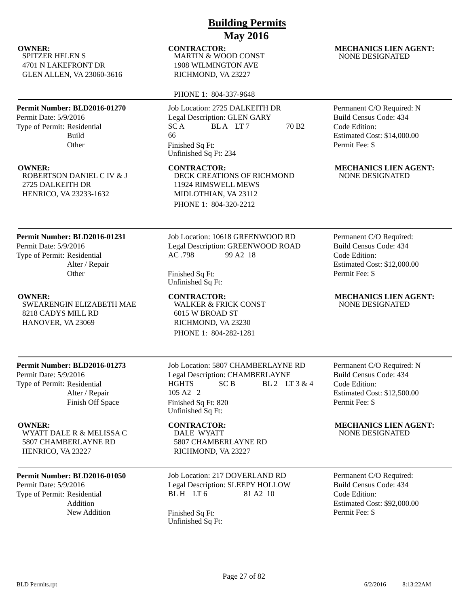SPITZER HELEN S 4701 N LAKEFRONT DR GLEN ALLEN, VA 23060-3616

## **Permit Number: BLD2016-01270**

Permit Date: 5/9/2016 Type of Permit: Residential Build **Other** 

ROBERTSON DANIEL C IV & J 2725 DALKEITH DR HENRICO, VA 23233-1632

## **Permit Number: BLD2016-01231**

Permit Date: 5/9/2016 Type of Permit: Residential Alter / Repair **Other** 

SWEARENGIN ELIZABETH MAE 8218 CADYS MILL RD HANOVER, VA 23069

# **Building Permits May 2016**

MARTIN & WOOD CONST 1908 WILMINGTON AVE RICHMOND, VA 23227

## PHONE 1: 804-337-9648

Job Location: 2725 DALKEITH DR Legal Description: GLEN GARY  $SC A$  BLA LT 7 70 B2 66 Finished Sq Ft: Unfinished Sq Ft: 234

DECK CREATIONS OF RICHMOND 11924 RIMSWELL MEWS MIDLOTHIAN, VA 23112 PHONE 1: 804-320-2212

## Job Location: 10618 GREENWOOD RD Legal Description: GREENWOOD ROAD AC .798 99 A2 18

Finished Sq Ft: Unfinished Sq Ft:

WALKER & FRICK CONST 6015 W BROAD ST RICHMOND, VA 23230 PHONE 1: 804-282-1281

## **OWNER:** CONTRACTOR: MECHANICS LIEN AGENT: NONE DESIGNATED

Permanent C/O Required: N Build Census Code: 434 Code Edition: Estimated Cost: \$14,000.00 Permit Fee: \$

## **OWNER: CONTRACTOR: MECHANICS LIEN AGENT:** NONE DESIGNATED

Permanent C/O Required: Build Census Code: 434 Code Edition: Estimated Cost: \$12,000.00 Permit Fee: \$

## **OWNER: CONTRACTOR: MECHANICS LIEN AGENT:** NONE DESIGNATED

## **Permit Number: BLD2016-01273**

Permit Date: 5/9/2016 Type of Permit: Residential Alter / Repair Finish Off Space

## WYATT DALE R & MELISSA C 5807 CHAMBERLAYNE RD HENRICO, VA 23227

## **Permit Number: BLD2016-01050**

Permit Date: 5/9/2016 Type of Permit: Residential Addition

Job Location: 5807 CHAMBERLAYNE RD Legal Description: CHAMBERLAYNE  $HGHTS$   $SCB$   $BL2$   $LT3 & 4$ 105 A2 2 Finished Sq Ft: 820 Unfinished Sq Ft:

# DALE WYATT 5807 CHAMBERLAYNE RD RICHMOND, VA 23227

Job Location: 217 DOVERLAND RD Legal Description: SLEEPY HOLLOW BL H LT 6 81 A 2 10

New Addition Finished Sq Ft: Unfinished Sq Ft: Permanent C/O Required: N Build Census Code: 434 Code Edition: Estimated Cost: \$12,500.00 Permit Fee: \$

## **OWNER:** CONTRACTOR: MECHANICS LIEN AGENT: NONE DESIGNATED

Permanent C/O Required: Build Census Code: 434 Code Edition: Estimated Cost: \$92,000.00 Permit Fee: \$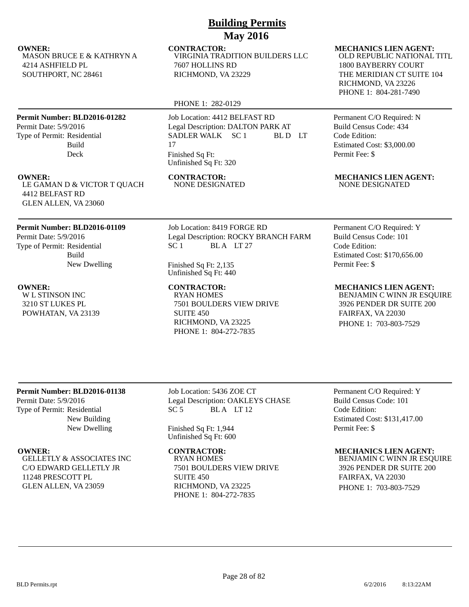MASON BRUCE E & KATHRYN A 4214 ASHFIELD PL SOUTHPORT, NC 28461

## **Permit Number: BLD2016-01282**

Permit Date: 5/9/2016 Type of Permit: Residential Build Deck

LE GAMAN D & VICTOR T QUACH 4412 BELFAST RD GLEN ALLEN, VA 23060

## **Permit Number: BLD2016-01109**

Permit Date: 5/9/2016 Type of Permit: Residential Build New Dwelling

W L STINSON INC 3210 ST LUKES PL POWHATAN, VA 23139

**OWNER:** CONTRACTOR: MECHANICS LIEN AGENT: VIRGINIA TRADITION BUILDERS LLC 7607 HOLLINS RD RICHMOND, VA 23229

## PHONE 1: 282-0129

Job Location: 4412 BELFAST RD Legal Description: DALTON PARK AT SADLER WALK SC 1 BL D LT 17 Finished Sq Ft: Unfinished Sq Ft: 320

NONE DESIGNATED

Job Location: 8419 FORGE RD Legal Description: ROCKY BRANCH FARM SC 1 BLA LT 27

Finished Sq Ft: 2,135 Unfinished Sq Ft: 440

RYAN HOMES 7501 BOULDERS VIEW DRIVE SUITE 450 RICHMOND, VA 23225 PHONE 1: 804-272-7835

OLD REPUBLIC NATIONAL TITL 1800 BAYBERRY COURT THE MERIDIAN CT SUITE 104 RICHMOND, VA 23226 PHONE 1: 804-281-7490

Permanent C/O Required: N Build Census Code: 434 Code Edition: Estimated Cost: \$3,000.00 Permit Fee: \$

**OWNER:** CONTRACTOR: MECHANICS LIEN AGENT:<br>
LE GAMAN D & VICTOR T OUACH MONE DESIGNATED MONE DESIGNATED NONE DESIGNATED

Permanent C/O Required: Y Build Census Code: 101 Code Edition: Estimated Cost: \$170,656.00 Permit Fee: \$

**OWNER:** CONTRACTOR: MECHANICS LIEN AGENT: BENJAMIN C WINN JR ESQUIRE

3926 PENDER DR SUITE 200 FAIRFAX, VA 22030 PHONE 1: 703-803-7529

## **Permit Number: BLD2016-01138**

Permit Date: 5/9/2016 Type of Permit: Residential New Building New Dwelling

GELLETLY & ASSOCIATES INC C/O EDWARD GELLETLY JR 11248 PRESCOTT PL GLEN ALLEN, VA 23059

Job Location: 5436 ZOE CT Legal Description: OAKLEYS CHASE SC 5 BLA LT 12

Finished Sq Ft: 1,944 Unfinished Sq Ft: 600

RYAN HOMES 7501 BOULDERS VIEW DRIVE SUITE 450 RICHMOND, VA 23225 PHONE 1: 804-272-7835

Permanent C/O Required: Y Build Census Code: 101 Code Edition: Estimated Cost: \$131,417.00 Permit Fee: \$

## **OWNER: CONTRACTOR: MECHANICS LIEN AGENT:**

BENJAMIN C WINN JR ESQUIRE 3926 PENDER DR SUITE 200 FAIRFAX, VA 22030 PHONE 1: 703-803-7529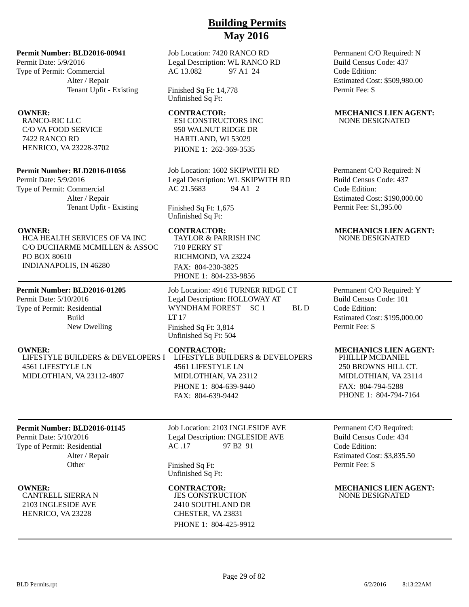## **Permit Number: BLD2016-00941**

Permit Date: 5/9/2016 Type of Permit: Commercial Alter / Repair Tenant Upfit - Existing

RANCO-RIC LLC C/O VA FOOD SERVICE 7422 RANCO RD HENRICO, VA 23228-3702

## **Permit Number: BLD2016-01056**

Permit Date: 5/9/2016 Type of Permit: Commercial Alter / Repair Tenant Upfit - Existing

HCA HEALTH SERVICES OF VA INC C/O DUCHARME MCMILLEN & ASSOC PO BOX 80610 INDIANAPOLIS, IN 46280

## **Permit Number: BLD2016-01205**

Permit Date: 5/10/2016 Type of Permit: Residential Build New Dwelling

LIFESTYLE BUILDERS & DEVELOPERS I 4561 LIFESTYLE LN MIDLOTHIAN, VA 23112-4807

# Legal Description: WL RANCO RD AC 13.082 97 A1 24

Job Location: 7420 RANCO RD

Finished Sq Ft: 14,778 Unfinished Sq Ft:

ESI CONSTRUCTORS INC 950 WALNUT RIDGE DR HARTLAND, WI 53029 PHONE 1: 262-369-3535

Job Location: 1602 SKIPWITH RD Legal Description: WL SKIPWITH RD AC 21.5683 94 A1 2

Finished Sq Ft: 1,675 Unfinished Sq Ft:

TAYLOR & PARRISH INC 710 PERRY ST RICHMOND, VA 23224 FAX: 804-230-3825 PHONE 1: 804-233-9856

Job Location: 4916 TURNER RIDGE CT Legal Description: HOLLOWAY AT WYNDHAM FOREST SC 1 BL D LT 17 Finished Sq Ft: 3,814 Unfinished Sq Ft: 504

LIFESTYLE BUILDERS & DEVELOPERS 4561 LIFESTYLE LN MIDLOTHIAN, VA 23112 PHONE 1: 804-639-9440 FAX: 804-639-9442

## **Permit Number: BLD2016-01145**

Permit Date: 5/10/2016 Type of Permit: Residential Alter / Repair **Other** 

CANTRELL SIERRA N 2103 INGLESIDE AVE HENRICO, VA 23228

Job Location: 2103 INGLESIDE AVE Legal Description: INGLESIDE AVE AC .17 97 B2 91

Finished Sq Ft: Unfinished Sq Ft:

JES CONSTRUCTION 2410 SOUTHLAND DR CHESTER, VA 23831 PHONE 1: 804-425-9912

Permanent C/O Required: N Build Census Code: 437 Code Edition: Estimated Cost: \$509,980.00 Permit Fee: \$

## **OWNER:** CONTRACTOR: MECHANICS LIEN AGENT: NONE DESIGNATED

Permanent C/O Required: N Build Census Code: 437 Code Edition: Estimated Cost: \$190,000.00 Permit Fee: \$1,395.00

## **OWNER:** CONTRACTOR: MECHANICS LIEN AGENT: NONE DESIGNATED

Permanent C/O Required: Y Build Census Code: 101 Code Edition: Estimated Cost: \$195,000.00 Permit Fee: \$

## **OWNER: CONTRACTOR: MECHANICS LIEN AGENT:**

PHILLIP MCDANIEL 250 BROWNS HILL CT. MIDLOTHIAN, VA 23114 FAX: 804-794-5288 PHONE 1: 804-794-7164

Permanent C/O Required: Build Census Code: 434 Code Edition: Estimated Cost: \$3,835.50 Permit Fee: \$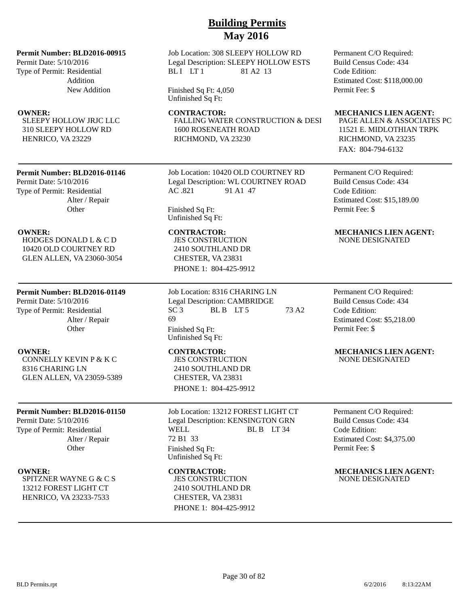## **Permit Number: BLD2016-00915**

Permit Date: 5/10/2016 Type of Permit: Residential Addition New Addition

SLEEPY HOLLOW JRJC LLC 310 SLEEPY HOLLOW RD HENRICO, VA 23229

## **Permit Number: BLD2016-01146**

Permit Date: 5/10/2016 Type of Permit: Residential Alter / Repair **Other** 

HODGES DONALD L & C D 10420 OLD COURTNEY RD GLEN ALLEN, VA 23060-3054

## **Permit Number: BLD2016-01149**

Permit Date: 5/10/2016 Type of Permit: Residential Alter / Repair **Other** 

CONNELLY KEVIN P & K C 8316 CHARING LN GLEN ALLEN, VA 23059-5389

## **Permit Number: BLD2016-01150**

Permit Date: 5/10/2016 Type of Permit: Residential Alter / Repair **Other** 

SPITZNER WAYNE G & C S 13212 FOREST LIGHT CT HENRICO, VA 23233-7533

Job Location: 308 SLEEPY HOLLOW RD Legal Description: SLEEPY HOLLOW ESTS BLI LT1 81 A2 13

Finished Sq Ft: 4,050 Unfinished Sq Ft:

FALLING WATER CONSTRUCTION & DESI 1600 ROSENEATH ROAD RICHMOND, VA 23230

Job Location: 10420 OLD COURTNEY RD Legal Description: WL COURTNEY ROAD AC .821 91 A1 47

Finished Sq Ft: Unfinished Sq Ft:

JES CONSTRUCTION 2410 SOUTHLAND DR CHESTER, VA 23831 PHONE 1: 804-425-9912

Job Location: 8316 CHARING LN Legal Description: CAMBRIDGE  $SC3$  BLB LT5 73 A2 69 Finished Sq Ft: Unfinished Sq Ft:

JES CONSTRUCTION 2410 SOUTHLAND DR CHESTER, VA 23831 PHONE 1: 804-425-9912

Job Location: 13212 FOREST LIGHT CT Legal Description: KENSINGTON GRN WELL BLB LT 34 72 B1 33 Finished Sq Ft: Unfinished Sq Ft:

JES CONSTRUCTION 2410 SOUTHLAND DR CHESTER, VA 23831 PHONE 1: 804-425-9912 Permanent C/O Required: Build Census Code: 434 Code Edition: Estimated Cost: \$118,000.00 Permit Fee: \$

## **OWNER:** CONTRACTOR: MECHANICS LIEN AGENT:

PAGE ALLEN & ASSOCIATES PC 11521 E. MIDLOTHIAN TRPK RICHMOND, VA 23235 FAX: 804-794-6132

Permanent C/O Required: Build Census Code: 434 Code Edition: Estimated Cost: \$15,189.00 Permit Fee: \$

## **OWNER: CONTRACTOR: MECHANICS LIEN AGENT:** NONE DESIGNATED

Permanent C/O Required: Build Census Code: 434 Code Edition: Estimated Cost: \$5,218.00 Permit Fee: \$

## **OWNER:** CONTRACTOR: MECHANICS LIEN AGENT: NONE DESIGNATED

Permanent C/O Required: Build Census Code: 434 Code Edition: Estimated Cost: \$4,375.00 Permit Fee: \$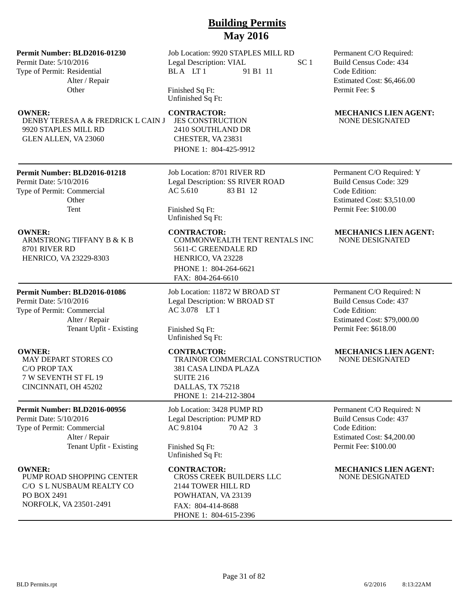## **Permit Number: BLD2016-01230**

Permit Date: 5/10/2016 Type of Permit: Residential Alter / Repair **Other** 

DENBY TERESA A & FREDRICK L CAIN J 9920 STAPLES MILL RD GLEN ALLEN, VA 23060

## **Permit Number: BLD2016-01218**

Permit Date: 5/10/2016 Type of Permit: Commercial **Other** Tent

ARMSTRONG TIFFANY B & K B 8701 RIVER RD HENRICO, VA 23229-8303

## **Permit Number: BLD2016-01086**

Permit Date: 5/10/2016 Type of Permit: Commercial Alter / Repair Tenant Upfit - Existing

MAY DEPART STORES CO C/O PROP TAX 7 W SEVENTH ST FL 19 CINCINNATI, OH 45202

## **Permit Number: BLD2016-00956**

Permit Date: 5/10/2016 Type of Permit: Commercial Alter / Repair Tenant Upfit - Existing

PUMP ROAD SHOPPING CENTER C/O S L NUSBAUM REALTY CO PO BOX 2491 NORFOLK, VA 23501-2491

Job Location: 9920 STAPLES MILL RD Legal Description: VIAL SC 1 BL A LT 1 91 B1 11

Finished Sq Ft: Unfinished Sq Ft:

JES CONSTRUCTION 2410 SOUTHLAND DR CHESTER, VA 23831 PHONE 1: 804-425-9912

Job Location: 8701 RIVER RD Legal Description: SS RIVER ROAD AC 5.610 83 B1 12

Finished Sq Ft: Unfinished Sq Ft:

COMMONWEALTH TENT RENTALS INC 5611-C GREENDALE RD HENRICO, VA 23228 PHONE 1: 804-264-6621 FAX: 804-264-6610

Job Location: 11872 W BROAD ST Legal Description: W BROAD ST AC 3.078 LT 1

Finished Sq Ft: Unfinished Sq Ft:

TRAINOR COMMERCIAL CONSTRUCTION 381 CASA LINDA PLAZA SUITE 216 DALLAS, TX 75218 PHONE 1: 214-212-3804

Job Location: 3428 PUMP RD Legal Description: PUMP RD AC 9.8104 70 A2 3

Finished Sq Ft: Unfinished Sq Ft:

CROSS CREEK BUILDERS LLC 2144 TOWER HILL RD POWHATAN, VA 23139 FAX: 804-414-8688 PHONE 1: 804-615-2396

Permanent C/O Required: Build Census Code: 434 Code Edition: Estimated Cost: \$6,466.00 Permit Fee: \$

## **OWNER:** CONTRACTOR: MECHANICS LIEN AGENT: NONE DESIGNATED

Permanent C/O Required: Y Build Census Code: 329 Code Edition: Estimated Cost: \$3,510.00 Permit Fee: \$100.00

## **OWNER: CONTRACTOR: MECHANICS LIEN AGENT:** NONE DESIGNATED

Permanent C/O Required: N Build Census Code: 437 Code Edition: Estimated Cost: \$79,000.00 Permit Fee: \$618.00

## **OWNER:** CONTRACTOR: MECHANICS LIEN AGENT: NONE DESIGNATED

Permanent C/O Required: N Build Census Code: 437 Code Edition: Estimated Cost: \$4,200.00 Permit Fee: \$100.00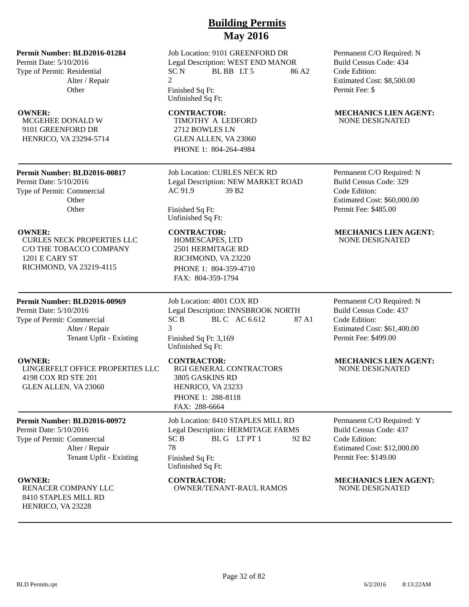## **Permit Number: BLD2016-01284**

Permit Date: 5/10/2016 Type of Permit: Residential Alter / Repair **Other** 

MCGEHEE DONALD W 9101 GREENFORD DR HENRICO, VA 23294-5714

## **Permit Number: BLD2016-00817**

Permit Date: 5/10/2016 Type of Permit: Commercial **Other Other** 

CURLES NECK PROPERTIES LLC C/O THE TOBACCO COMPANY 1201 E CARY ST RICHMOND, VA 23219-4115

## **Permit Number: BLD2016-00969**

Permit Date: 5/10/2016 Type of Permit: Commercial Alter / Repair Tenant Upfit - Existing

LINGERFELT OFFICE PROPERTIES LLC 4198 COX RD STE 201 GLEN ALLEN, VA 23060

## **Permit Number: BLD2016-00972**

Permit Date: 5/10/2016 Type of Permit: Commercial Alter / Repair Tenant Upfit - Existing

RENACER COMPANY LLC 8410 STAPLES MILL RD HENRICO, VA 23228

Job Location: 9101 GREENFORD DR Legal Description: WEST END MANOR  $SC N$  BL BB LT 5 86 A2 2 Finished Sq Ft:

Unfinished Sq Ft:

TIMOTHY A LEDFORD 2712 BOWLES LN GLEN ALLEN, VA 23060 PHONE 1: 804-264-4984

Job Location: CURLES NECK RD Legal Description: NEW MARKET ROAD AC 91.9 39 B2

Finished Sq Ft: Unfinished Sq Ft:

HOMESCAPES, LTD 2501 HERMITAGE RD RICHMOND, VA 23220 PHONE 1: 804-359-4710 FAX: 804-359-1794

Job Location: 4801 COX RD Legal Description: INNSBROOK NORTH  $SC B$  BLC AC 6.612 87 A1 3 Finished Sq Ft: 3,169 Unfinished Sq Ft:

RGI GENERAL CONTRACTORS 3805 GASKINS RD HENRICO, VA 23233 PHONE 1: 288-8118 FAX: 288-6664

Job Location: 8410 STAPLES MILL RD Legal Description: HERMITAGE FARMS  $SC B$  BL G LT PT 1 92 B2 78 Finished Sq Ft: Unfinished Sq Ft:

OWNER/TENANT-RAUL RAMOS

Permanent C/O Required: N Build Census Code: 434 Code Edition: Estimated Cost: \$8,500.00 Permit Fee: \$

## **OWNER:** CONTRACTOR: MECHANICS LIEN AGENT: NONE DESIGNATED

Permanent C/O Required: N Build Census Code: 329 Code Edition: Estimated Cost: \$60,000.00 Permit Fee: \$485.00

## **OWNER: CONTRACTOR: MECHANICS LIEN AGENT:** NONE DESIGNATED

Permanent C/O Required: N Build Census Code: 437 Code Edition: Estimated Cost: \$61,400.00 Permit Fee: \$499.00

## **OWNER: CONTRACTOR: MECHANICS LIEN AGENT:** NONE DESIGNATED

Permanent C/O Required: Y Build Census Code: 437 Code Edition: Estimated Cost: \$12,000.00 Permit Fee: \$149.00

# **OWNER:** CONTRACTOR: MECHANICS LIEN AGENT: CONTRACTOR: MECHANICS LIEN AGENT: MENACER COMPANY LLC OWNER/TENANT-RAUL RAMOS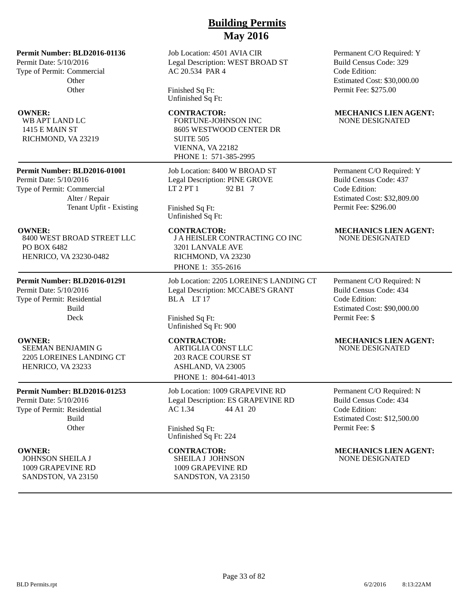Job Location: 4501 AVIA CIR Legal Description: WEST BROAD ST AC 20.534 PAR 4

Finished Sq Ft: Unfinished Sq Ft:

## FORTUNE-JOHNSON INC 8605 WESTWOOD CENTER DR SUITE 505 VIENNA, VA 22182 PHONE 1: 571-385-2995

Job Location: 8400 W BROAD ST Legal Description: PINE GROVE  $LT 2 PT 1$  92 B1 7

Finished Sq Ft: Unfinished Sq Ft:

**OWNER:** CONTRACTOR: MECHANICS LIEN AGENT: J A HEISLER CONTRACTING CO INC 3201 LANVALE AVE RICHMOND, VA 23230 PHONE 1: 355-2616

> Job Location: 2205 LOREINE'S LANDING CT Legal Description: MCCABE'S GRANT BLA LT 17

Finished Sq Ft: Unfinished Sq Ft: 900

ARTIGLIA CONST LLC 203 RACE COURSE ST ASHLAND, VA 23005 PHONE 1: 804-641-4013

Job Location: 1009 GRAPEVINE RD Legal Description: ES GRAPEVINE RD AC 1.34 44 A1 20

Finished Sq Ft: Unfinished Sq Ft: 224

SHEILA J JOHNSON 1009 GRAPEVINE RD

SANDSTON, VA 23150

Permanent C/O Required: Y Build Census Code: 329 Code Edition: Estimated Cost: \$30,000.00 Permit Fee: \$275.00

## **OWNER:** CONTRACTOR: MECHANICS LIEN AGENT: NONE DESIGNATED

Permanent C/O Required: Y Build Census Code: 437 Code Edition: Estimated Cost: \$32,809.00 Permit Fee: \$296.00

# NONE DESIGNATED

Permanent C/O Required: N Build Census Code: 434 Code Edition: Estimated Cost: \$90,000.00 Permit Fee: \$

# NONE DESIGNATED

Permanent C/O Required: N Build Census Code: 434 Code Edition: Estimated Cost: \$12,500.00 Permit Fee: \$

**OWNER:** CONTRACTOR: MECHANICS LIEN AGENT: NONE DESIGNATED

# **Permit Number: BLD2016-01001**

**Permit Number: BLD2016-01136**

**Other Other** 

Permit Date: 5/10/2016 Type of Permit: Commercial

WB APT LAND LC 1415 E MAIN ST RICHMOND, VA 23219

Permit Date: 5/10/2016 Type of Permit: Commercial Alter / Repair Tenant Upfit - Existing

8400 WEST BROAD STREET LLC PO BOX 6482 HENRICO, VA 23230-0482

## **Permit Number: BLD2016-01291**

Permit Date: 5/10/2016 Type of Permit: Residential Build Deck

**OWNER: CONTRACTOR: MECHANICS LIEN AGENT:** SEEMAN BENJAMIN G 2205 LOREINES LANDING CT HENRICO, VA 23233

## **Permit Number: BLD2016-01253**

Permit Date: 5/10/2016 Type of Permit: Residential Build **Other** 

JOHNSON SHEILA J 1009 GRAPEVINE RD SANDSTON, VA 23150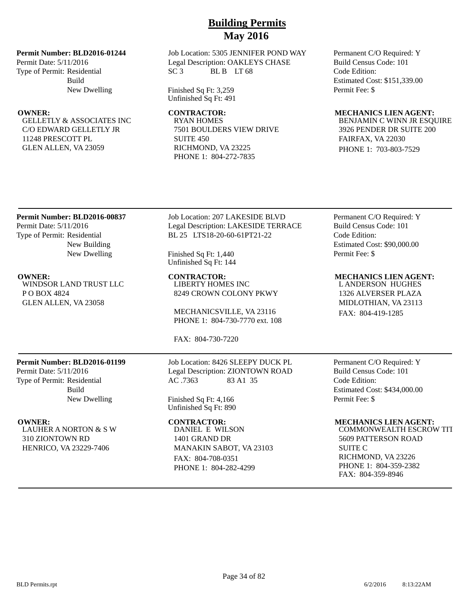## **Permit Number: BLD2016-01244**

Permit Date: 5/11/2016 Type of Permit: Residential Build New Dwelling

GELLETLY & ASSOCIATES INC C/O EDWARD GELLETLY JR 11248 PRESCOTT PL GLEN ALLEN, VA 23059

## Job Location: 5305 JENNIFER POND WAY Legal Description: OAKLEYS CHASE  $SC3$  BL B LT 68

Finished Sq Ft: 3,259 Unfinished Sq Ft: 491

RYAN HOMES 7501 BOULDERS VIEW DRIVE SUITE 450 RICHMOND, VA 23225 PHONE 1: 804-272-7835

Permanent C/O Required: Y Build Census Code: 101 Code Edition: Estimated Cost: \$151,339.00 Permit Fee: \$

## **OWNER: CONTRACTOR: MECHANICS LIEN AGENT:**

BENJAMIN C WINN JR ESQUIRE 3926 PENDER DR SUITE 200 FAIRFAX, VA 22030 PHONE 1: 703-803-7529

## **Permit Number: BLD2016-00837** Permit Date: 5/11/2016 Type of Permit: Residential

New Building New Dwelling

WINDSOR LAND TRUST LLC P O BOX 4824 GLEN ALLEN, VA 23058

Job Location: 207 LAKESIDE BLVD Legal Description: LAKESIDE TERRACE BL 25 LTS18-20-60-61PT21-22

Finished Sq Ft: 1,440 Unfinished Sq Ft: 144

**OWNER: CONTRACTOR: MECHANICS LIEN AGENT:** LIBERTY HOMES INC 8249 CROWN COLONY PKWY

> MECHANICSVILLE, VA 23116 PHONE 1: 804-730-7770 ext. 108

FAX: 804-730-7220

## **Permit Number: BLD2016-01199**

Permit Date: 5/11/2016 Type of Permit: Residential Build New Dwelling

LAUHER A NORTON & S W 310 ZIONTOWN RD HENRICO, VA 23229-7406

Job Location: 8426 SLEEPY DUCK PL Legal Description: ZIONTOWN ROAD<br>AC .7363 83 A1 35 83 A1 35

Finished Sq Ft: 4,166 Unfinished Sq Ft: 890

DANIEL E WILSON 1401 GRAND DR MANAKIN SABOT, VA 23103 FAX: 804-708-0351 PHONE 1: 804-282-4299

Permanent C/O Required: Y Build Census Code: 101 Code Edition: Estimated Cost: \$90,000.00 Permit Fee: \$

L ANDERSON HUGHES 1326 ALVERSER PLAZA MIDLOTHIAN, VA 23113 FAX: 804-419-1285

Permanent C/O Required: Y Build Census Code: 101 Code Edition: Estimated Cost: \$434,000.00 Permit Fee: \$

## **OWNER: CONTRACTOR: MECHANICS LIEN AGENT:**

COMMONWEALTH ESCROW TIT 5609 PATTERSON ROAD SUITE C RICHMOND, VA 23226 PHONE 1: 804-359-2382 FAX: 804-359-8946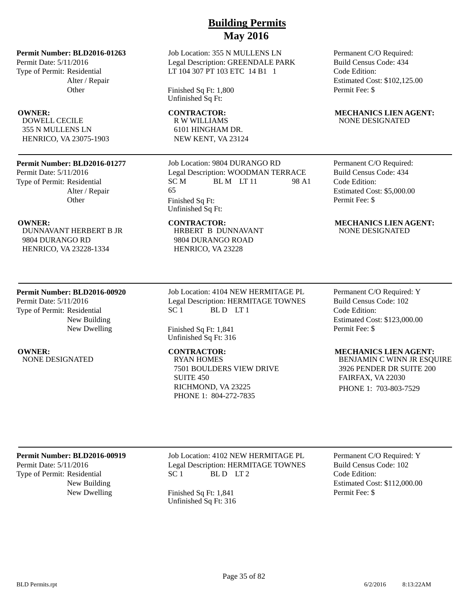Job Location: 355 N MULLENS LN Legal Description: GREENDALE PARK LT 104 307 PT 103 ETC 14 B1 1

Finished Sq Ft: 1,800 Unfinished Sq Ft:

R W WILLIAMS 6101 HINGHAM DR. NEW KENT, VA 23124

Job Location: 9804 DURANGO RD Legal Description: WOODMAN TERRACE<br>SC M BL M LT 11 98 A SC M BL M LT 11 98 A1 65

Finished Sq Ft: Unfinished Sq Ft:

> HRBERT B DUNNAVANT 9804 DURANGO ROAD HENRICO, VA 23228

DUNNAVANT HERBERT B JR 9804 DURANGO RD HENRICO, VA 23228-1334

**Other** 

**Permit Number: BLD2016-01277**

**Permit Number: BLD2016-01263**

Alter / Repair **Other** 

Alter / Repair

Permit Date: 5/11/2016 Type of Permit: Residential

DOWELL CECILE 355 N MULLENS LN HENRICO, VA 23075-1903

Permit Date: 5/11/2016 Type of Permit: Residential

## **Permit Number: BLD2016-00920**

Permit Date: 5/11/2016 Type of Permit: Residential New Building New Dwelling

NONE DESIGNATED RYAN HOMES

Job Location: 4104 NEW HERMITAGE PL Legal Description: HERMITAGE TOWNES  $SC 1$  BLD LT1

Finished Sq Ft: 1,841 Unfinished Sq Ft: 316

7501 BOULDERS VIEW DRIVE SUITE 450 RICHMOND, VA 23225 PHONE 1: 804-272-7835

Permanent C/O Required: Build Census Code: 434 Code Edition: Estimated Cost: \$102,125.00 Permit Fee: \$

## **OWNER:** CONTRACTOR: MECHANICS LIEN AGENT: NONE DESIGNATED

Permanent C/O Required: Build Census Code: 434 Code Edition: Estimated Cost: \$5,000.00 Permit Fee: \$

## **OWNER:** CONTRACTOR: MECHANICS LIEN AGENT: NONE DESIGNATED

Permanent C/O Required: Y Build Census Code: 102 Code Edition: Estimated Cost: \$123,000.00 Permit Fee: \$

## **OWNER:** CONTRACTOR: MECHANICS LIEN AGENT:

BENJAMIN C WINN JR ESQUIRE 3926 PENDER DR SUITE 200 FAIRFAX, VA 22030 PHONE 1: 703-803-7529

## **Permit Number: BLD2016-00919**

Permit Date: 5/11/2016 Type of Permit: Residential New Building Job Location: 4102 NEW HERMITAGE PL Legal Description: HERMITAGE TOWNES  $SC 1$  BLD LT 2

New Dwelling Finished Sq Ft: 1,841 Unfinished Sq Ft: 316

Permanent C/O Required: Y Build Census Code: 102 Code Edition: Estimated Cost: \$112,000.00 Permit Fee: \$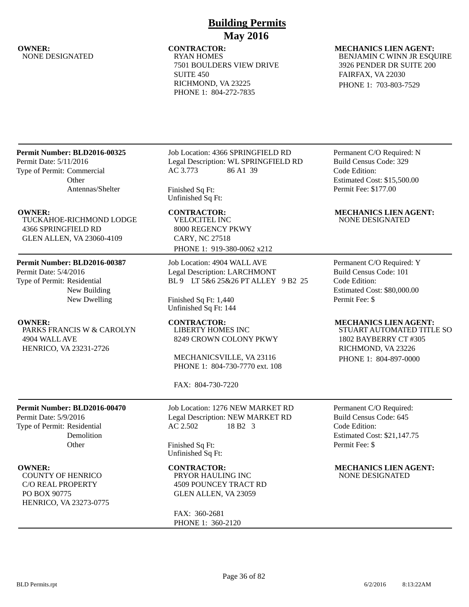# NONE DESIGNATED

# **Building Permits May 2016**

## **OWNER:** CONTRACTOR: MECHANICS LIEN AGENT:<br>NONE DESIGNATED RYAN HOMES RYAN BENJAMIN C WINN JR ESO 7501 BOULDERS VIEW DRIVE SUITE 450 RICHMOND, VA 23225 PHONE 1: 804-272-7835

# BENJAMIN C WINN JR ESQUIRE 3926 PENDER DR SUITE 200

FAIRFAX, VA 22030 PHONE 1: 703-803-7529

## **Permit Number: BLD2016-00325**

Permit Date: 5/11/2016 Type of Permit: Commercial **Other** Antennas/Shelter

TUCKAHOE-RICHMOND LODGE 4366 SPRINGFIELD RD GLEN ALLEN, VA 23060-4109

## **Permit Number: BLD2016-00387**

Permit Date: 5/4/2016 Type of Permit: Residential New Building New Dwelling

PARKS FRANCIS W & CAROLYN 4904 WALL AVE HENRICO, VA 23231-2726

**Permit Number: BLD2016-00470**

Demolition **Other** 

Permit Date: 5/9/2016 Type of Permit: Residential

COUNTY OF HENRICO C/O REAL PROPERTY

HENRICO, VA 23273-0775

PO BOX 90775

## Job Location: 4366 SPRINGFIELD RD Legal Description: WL SPRINGFIELD RD AC 3.773 86 A1 39

Finished Sq Ft: Unfinished Sq Ft:

VELOCITEL INC 8000 REGENCY PKWY CARY, NC 27518 PHONE 1: 919-380-0062 x212

Job Location: 4904 WALL AVE Legal Description: LARCHMONT BL 9 LT 5&6 25&26 PT ALLEY 9 B2 25

Finished Sq Ft: 1,440 Unfinished Sq Ft: 144

LIBERTY HOMES INC 8249 CROWN COLONY PKWY

MECHANICSVILLE, VA 23116 PHONE 1: 804-730-7770 ext. 108

FAX: 804-730-7220

Job Location: 1276 NEW MARKET RD Legal Description: NEW MARKET RD AC 2.502 18 B2 3

Finished Sq Ft: Unfinished Sq Ft:

PRYOR HAULING INC 4509 POUNCEY TRACT RD GLEN ALLEN, VA 23059

FAX: 360-2681 PHONE 1: 360-2120

Permanent C/O Required: N Build Census Code: 329 Code Edition: Estimated Cost: \$15,500.00 Permit Fee: \$177.00

## **OWNER: CONTRACTOR: MECHANICS LIEN AGENT:** NONE DESIGNATED

Permanent C/O Required: Y Build Census Code: 101 Code Edition: Estimated Cost: \$80,000.00 Permit Fee: \$

## **OWNER: CONTRACTOR: MECHANICS LIEN AGENT:**

STUART AUTOMATED TITLE SO 1802 BAYBERRY CT #305 RICHMOND, VA 23226 PHONE 1: 804-897-0000

Permanent C/O Required: Build Census Code: 645 Code Edition: Estimated Cost: \$21,147.75 Permit Fee: \$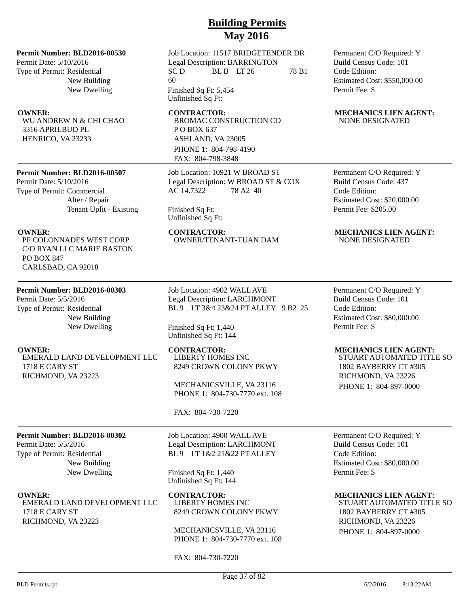### **Permit Number: BLD2016-00530**

Permit Date: 5/10/2016 Type of Permit: Residential New Building New Dwelling

WU ANDREW N & CHI CHAO 3316 APRILBUD PL HENRICO, VA 23233

### **Permit Number: BLD2016-00507**

Permit Date: 5/10/2016 Type of Permit: Commercial Alter / Repair Tenant Upfit - Existing

PF COLONNADES WEST CORP C/O RYAN LLC MARIE BASTON PO BOX 847 CARLSBAD, CA 92018

### **Permit Number: BLD2016-00303**

**Permit Number: BLD2016-00302**

Permit Date: 5/5/2016 Type of Permit: Residential

1718 E CARY ST RICHMOND, VA 23223

Permit Date: 5/5/2016 Type of Permit: Residential New Building New Dwelling

EMERALD LAND DEVELOPMENT LLC 1718 E CARY ST RICHMOND, VA 23223

> New Building New Dwelling

EMERALD LAND DEVELOPMENT LLC

Job Location: 11517 BRIDGETENDER DR Legal Description: BARRINGTON  $SC D$  BL B  $LT 26$  78 B1 60 Finished Sq Ft: 5,454 Unfinished Sq Ft:

BROMAC CONSTRUCTION CO P O BOX 637 ASHLAND, VA 23005 PHONE 1: 804-798-4190 FAX: 804-798-3848

Job Location: 10921 W BROAD ST Legal Description: W BROAD ST & COX AC 14.7322 78 A2 40

Finished Sq Ft: Unfinished Sq Ft:

OWNER/TENANT-TUAN DAM

Job Location: 4902 WALL AVE Legal Description: LARCHMONT BL 9 LT 3&4 23&24 PT ALLEY 9 B2 25

Finished Sq Ft: 1,440 Unfinished Sq Ft: 144

LIBERTY HOMES INC 8249 CROWN COLONY PKWY

MECHANICSVILLE, VA 23116 PHONE 1: 804-730-7770 ext. 108

### FAX: 804-730-7220

Job Location: 4900 WALL AVE Legal Description: LARCHMONT BL 9 LT 1&2 21&22 PT ALLEY

Finished Sq Ft: 1,440 Unfinished Sq Ft: 144

**OWNER: CONTRACTOR: MECHANICS LIEN AGENT:** LIBERTY HOMES INC 8249 CROWN COLONY PKWY

> MECHANICSVILLE, VA 23116 PHONE 1: 804-730-7770 ext. 108

FAX: 804-730-7220

Permanent C/O Required: Y Build Census Code: 101 Code Edition: Estimated Cost: \$550,000.00 Permit Fee: \$

### **OWNER:** CONTRACTOR: MECHANICS LIEN AGENT: NONE DESIGNATED

Permanent C/O Required: Y Build Census Code: 437 Code Edition: Estimated Cost: \$20,000.00 Permit Fee: \$205.00

# **OWNER:** CONTRACTOR: MECHANICS LIEN AGENT:<br>PE COLONNADES WEST CORP OWNER/TENANT-TUAN DAM NONE DESIGNATED

Permanent C/O Required: Y Build Census Code: 101 Code Edition: Estimated Cost: \$80,000.00 Permit Fee: \$

### **OWNER:** CONTRACTOR: MECHANICS LIEN AGENT:

STUART AUTOMATED TITLE SO 1802 BAYBERRY CT #305 RICHMOND, VA 23226 PHONE 1: 804-897-0000

Permanent C/O Required: Y Build Census Code: 101 Code Edition: Estimated Cost: \$80,000.00 Permit Fee: \$

STUART AUTOMATED TITLE SO 1802 BAYBERRY CT #305 RICHMOND, VA 23226 PHONE 1: 804-897-0000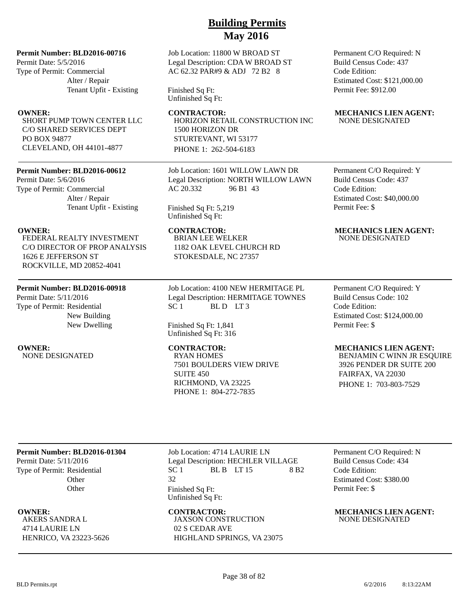### **Permit Number: BLD2016-00716**

Permit Date: 5/5/2016 Type of Permit: Commercial Alter / Repair Tenant Upfit - Existing

SHORT PUMP TOWN CENTER LLC C/O SHARED SERVICES DEPT PO BOX 94877 CLEVELAND, OH 44101-4877

### **Permit Number: BLD2016-00612**

Permit Date: 5/6/2016 Type of Permit: Commercial Alter / Repair Tenant Upfit - Existing

FEDERAL REALTY INVESTMENT C/O DIRECTOR OF PROP ANALYSIS 1626 E JEFFERSON ST ROCKVILLE, MD 20852-4041

### **Permit Number: BLD2016-00918**

Permit Date: 5/11/2016 Type of Permit: Residential New Building New Dwelling

**OWNER:** CONTRACTOR: MECHANICS LIEN AGENT:<br>NONE DESIGNATED RYAN HOMES RYAN BENJAMIN C WINN JR ESO NONE DESIGNATED

Job Location: 11800 W BROAD ST Legal Description: CDA W BROAD ST AC 62.32 PAR#9 & ADJ 72 B2 8

Finished Sq Ft: Unfinished Sq Ft:

**OWNER:** CONTRACTOR: MECHANICS LIEN AGENT: HORIZON RETAIL CONSTRUCTION INC 1500 HORIZON DR STURTEVANT, WI 53177 PHONE 1: 262-504-6183

> Job Location: 1601 WILLOW LAWN DR Legal Description: NORTH WILLOW LAWN AC 20.332 96 B1 43

Finished Sq Ft: 5,219 Unfinished Sq Ft:

BRIAN LEE WELKER 1182 OAK LEVEL CHURCH RD STOKESDALE, NC 27357

Job Location: 4100 NEW HERMITAGE PL Legal Description: HERMITAGE TOWNES  $SC 1$  BLD LT3

Finished Sq Ft: 1,841 Unfinished Sq Ft: 316

7501 BOULDERS VIEW DRIVE SUITE 450 RICHMOND, VA 23225 PHONE 1: 804-272-7835

Permanent C/O Required: N Build Census Code: 437 Code Edition: Estimated Cost: \$121,000.00 Permit Fee: \$912.00

# NONE DESIGNATED

Permanent C/O Required: Y Build Census Code: 437 Code Edition: Estimated Cost: \$40,000.00 Permit Fee: \$

### **OWNER: CONTRACTOR: MECHANICS LIEN AGENT:** NONE DESIGNATED

Permanent C/O Required: Y Build Census Code: 102 Code Edition: Estimated Cost: \$124,000.00 Permit Fee: \$

BENJAMIN C WINN JR ESQUIRE 3926 PENDER DR SUITE 200 FAIRFAX, VA 22030 PHONE 1: 703-803-7529

### **Permit Number: BLD2016-01304**

Permit Date: 5/11/2016 Type of Permit: Residential **Other Other** 

AKERS SANDRA L 4714 LAURIE LN HENRICO, VA 23223-5626 Job Location: 4714 LAURIE LN Legal Description: HECHLER VILLAGE  $SC 1$  BL B  $LT 15$  8 B2 32 Finished Sq Ft: Unfinished Sq Ft:

JAXSON CONSTRUCTION 02 S CEDAR AVE HIGHLAND SPRINGS, VA 23075

Permanent C/O Required: N Build Census Code: 434 Code Edition: Estimated Cost: \$380.00 Permit Fee: \$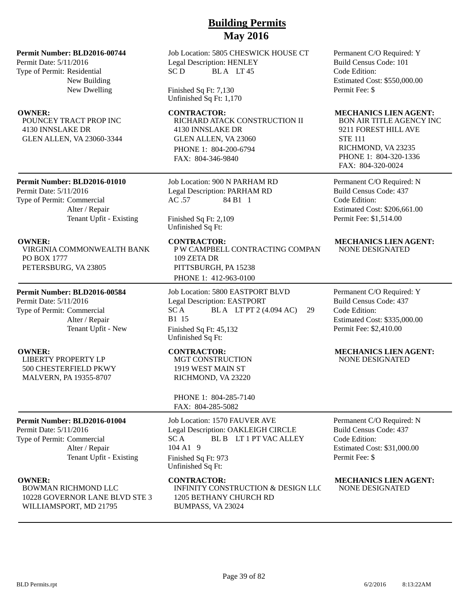### **Permit Number: BLD2016-00744**

Permit Date: 5/11/2016 Type of Permit: Residential New Building New Dwelling

POUNCEY TRACT PROP INC 4130 INNSLAKE DR GLEN ALLEN, VA 23060-3344

### **Permit Number: BLD2016-01010**

Permit Date: 5/11/2016 Type of Permit: Commercial Alter / Repair Tenant Upfit - Existing

VIRGINIA COMMONWEALTH BANK PO BOX 1777 PETERSBURG, VA 23805

### **Permit Number: BLD2016-00584**

Permit Date: 5/11/2016 Type of Permit: Commercial Alter / Repair Tenant Upfit - New

LIBERTY PROPERTY LP 500 CHESTERFIELD PKWY MALVERN, PA 19355-8707

### **Permit Number: BLD2016-01004**

Permit Date: 5/11/2016 Type of Permit: Commercial Alter / Repair Tenant Upfit - Existing

BOWMAN RICHMOND LLC 10228 GOVERNOR LANE BLVD STE 3 WILLIAMSPORT, MD 21795

Job Location: 5805 CHESWICK HOUSE CT Legal Description: HENLEY SC D BLA LT 45

Finished Sq Ft: 7,130 Unfinished Sq Ft: 1,170

RICHARD ATACK CONSTRUCTION II 4130 INNSLAKE DR GLEN ALLEN, VA 23060 PHONE 1: 804-200-6794 FAX: 804-346-9840

Job Location: 900 N PARHAM RD Legal Description: PARHAM RD AC .57 84 B1 1

### Finished Sq Ft: 2,109 Unfinished Sq Ft:

**OWNER:** CONTRACTOR: MECHANICS LIEN AGENT: P W CAMPBELL CONTRACTING COMPAN 109 ZETA DR PITTSBURGH, PA 15238 PHONE 1: 412-963-0100

> Job Location: 5800 EASTPORT BLVD Legal Description: EASTPORT SC A BLA LT PT 2 (4.094 AC) 29 B1 15 Finished Sq Ft: 45,132 Unfinished Sq Ft:

MGT CONSTRUCTION 1919 WEST MAIN ST RICHMOND, VA 23220

PHONE 1: 804-285-7140 FAX: 804-285-5082

Job Location: 1570 FAUVER AVE Legal Description: OAKLEIGH CIRCLE SC A BL B LT 1 PT VAC ALLEY 104 A1 9 Finished Sq Ft: 973 Unfinished Sq Ft:

INFINITY CONSTRUCTION & DESIGN LLC 1205 BETHANY CHURCH RD BUMPASS, VA 23024

Permanent C/O Required: Y Build Census Code: 101 Code Edition: Estimated Cost: \$550,000.00 Permit Fee: \$

### **OWNER: CONTRACTOR: MECHANICS LIEN AGENT:**

BON AIR TITLE AGENCY INC 9211 FOREST HILL AVE STE 111 RICHMOND, VA 23235 PHONE 1: 804-320-1336 FAX: 804-320-0024

Permanent C/O Required: N Build Census Code: 437 Code Edition: Estimated Cost: \$206,661.00 Permit Fee: \$1,514.00

# NONE DESIGNATED

Permanent C/O Required: Y Build Census Code: 437 Code Edition: Estimated Cost: \$335,000.00 Permit Fee: \$2,410.00

### **OWNER:** CONTRACTOR: MECHANICS LIEN AGENT: NONE DESIGNATED

Permanent C/O Required: N Build Census Code: 437 Code Edition: Estimated Cost: \$31,000.00 Permit Fee: \$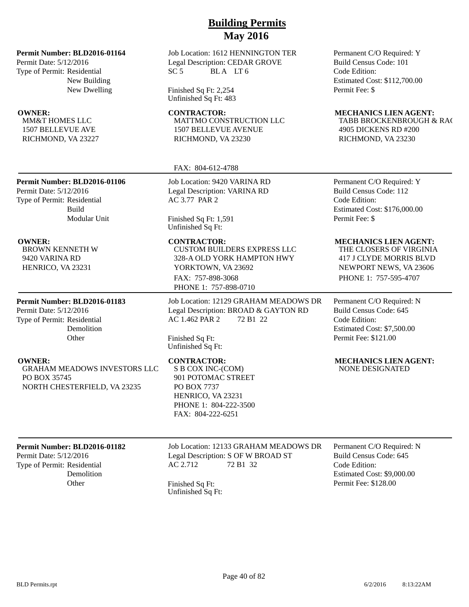### **Permit Number: BLD2016-01164**

Permit Date: 5/12/2016 Type of Permit: Residential New Building New Dwelling

MM&T HOMES LLC 1507 BELLEVUE AVE RICHMOND, VA 23227

Permit Date: 5/12/2016 Type of Permit: Residential

BROWN KENNETH W 9420 VARINA RD HENRICO, VA 23231

Permit Date: 5/12/2016 Type of Permit: Residential

PO BOX 35745

**Permit Number: BLD2016-01183**

Demolition **Other** 

GRAHAM MEADOWS INVESTORS LLC

NORTH CHESTERFIELD, VA 23235

**Permit Number: BLD2016-01106**

Build

Modular Unit

Job Location: 1612 HENNINGTON TER Legal Description: CEDAR GROVE  $SC 5$  BLA LT6

Finished Sq Ft: 2,254 Unfinished Sq Ft: 483

MATTMO CONSTRUCTION LLC 1507 BELLEVUE AVENUE RICHMOND, VA 23230

### FAX: 804-612-4788

Job Location: 9420 VARINA RD Legal Description: VARINA RD AC 3.77 PAR 2

Finished Sq Ft: 1,591 Unfinished Sq Ft:

CUSTOM BUILDERS EXPRESS LLC 328-A OLD YORK HAMPTON HWY YORKTOWN, VA 23692 FAX: 757-898-3068 PHONE 1: 757-898-0710

Job Location: 12129 GRAHAM MEADOWS DR Legal Description: BROAD & GAYTON RD AC 1.462 PAR 2 72 B1 22

Finished Sq Ft: Unfinished Sq Ft:

S B COX INC-(COM) 901 POTOMAC STREET PO BOX 7737 HENRICO, VA 23231 PHONE 1: 804-222-3500 FAX: 804-222-6251

### Permanent C/O Required: Y Build Census Code: 101 Code Edition: Estimated Cost: \$112,700.00 Permit Fee: \$

### **OWNER: CONTRACTOR: MECHANICS LIEN AGENT:**

TABB BROCKENBROUGH & RAC 4905 DICKENS RD #200 RICHMOND, VA 23230

Permanent C/O Required: Y Build Census Code: 112 Code Edition: Estimated Cost: \$176,000.00 Permit Fee: \$

### **OWNER: CONTRACTOR: MECHANICS LIEN AGENT:**

THE CLOSERS OF VIRGINIA 417 J CLYDE MORRIS BLVD NEWPORT NEWS, VA 23606 PHONE 1: 757-595-4707

Permanent C/O Required: N Build Census Code: 645 Code Edition: Estimated Cost: \$7,500.00 Permit Fee: \$121.00

### **OWNER:** CONTRACTOR: MECHANICS LIEN AGENT: NONE DESIGNATED

### **Permit Number: BLD2016-01182**

Permit Date: 5/12/2016 Type of Permit: Residential Demolition Job Location: 12133 GRAHAM MEADOWS DR Legal Description: S OF W BROAD ST AC 2.712 72 B1 32

Other Finished Sq Ft: Unfinished Sq Ft: Permanent C/O Required: N Build Census Code: 645 Code Edition: Estimated Cost: \$9,000.00 Permit Fee: \$128.00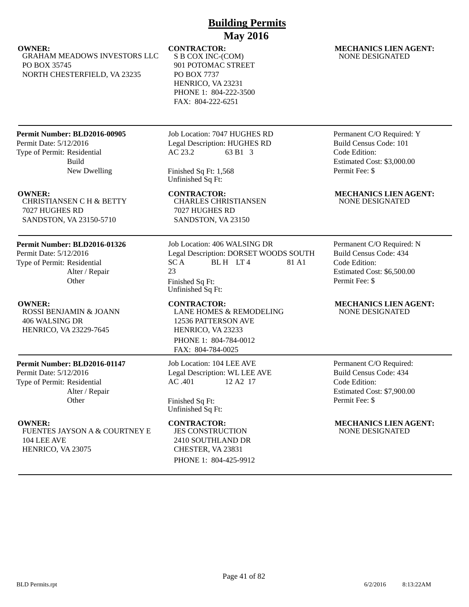S B COX INC-(COM) 901 POTOMAC STREET PO BOX 7737 HENRICO, VA 23231 PHONE 1: 804-222-3500 FAX: 804-222-6251

### **Permit Number: BLD2016-00905**

GRAHAM MEADOWS INVESTORS LLC

NORTH CHESTERFIELD, VA 23235

Permit Date: 5/12/2016 Type of Permit: Residential Build New Dwelling

PO BOX 35745

CHRISTIANSEN C H & BETTY 7027 HUGHES RD SANDSTON, VA 23150-5710

### **Permit Number: BLD2016-01326**

Permit Date: 5/12/2016 Type of Permit: Residential Alter / Repair **Other** 

ROSSI BENJAMIN & JOANN 406 WALSING DR HENRICO, VA 23229-7645

### **Permit Number: BLD2016-01147**

Permit Date: 5/12/2016 Type of Permit: Residential Alter / Repair **Other** 

FUENTES JAYSON A & COURTNEY E 104 LEE AVE HENRICO, VA 23075

Job Location: 7047 HUGHES RD Legal Description: HUGHES RD AC 23.2 63 B1 3

Finished Sq Ft: 1,568 Unfinished Sq Ft:

CHARLES CHRISTIANSEN 7027 HUGHES RD SANDSTON, VA 23150

Job Location: 406 WALSING DR Legal Description: DORSET WOODS SOUTH  $SC A$  BLH LT4 81 A1 23 Finished Sq Ft: Unfinished Sq Ft:

LANE HOMES & REMODELING 12536 PATTERSON AVE HENRICO, VA 23233 PHONE 1: 804-784-0012 FAX: 804-784-0025

Job Location: 104 LEE AVE Legal Description: WL LEE AVE AC .401 12 A2 17

Finished Sq Ft: Unfinished Sq Ft:

JES CONSTRUCTION 2410 SOUTHLAND DR CHESTER, VA 23831 PHONE 1: 804-425-9912

### **OWNER:** CONTRACTOR: MECHANICS LIEN AGENT: NONE DESIGNATED

Permanent C/O Required: Y Build Census Code: 101 Code Edition: Estimated Cost: \$3,000.00 Permit Fee: \$

### **OWNER:** CONTRACTOR: MECHANICS LIEN AGENT: NONE DESIGNATED

Permanent C/O Required: N Build Census Code: 434 Code Edition: Estimated Cost: \$6,500.00 Permit Fee: \$

### **OWNER:** CONTRACTOR: MECHANICS LIEN AGENT: NONE DESIGNATED

Permanent C/O Required: Build Census Code: 434 Code Edition: Estimated Cost: \$7,900.00 Permit Fee: \$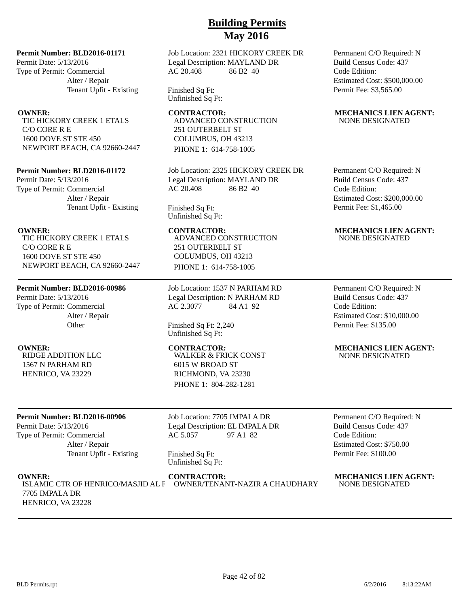### **Permit Number: BLD2016-01171**

Permit Date: 5/13/2016 Type of Permit: Commercial Alter / Repair Tenant Upfit - Existing

TIC HICKORY CREEK 1 ETALS C/O CORE R E 1600 DOVE ST STE 450 NEWPORT BEACH, CA 92660-2447

### **Permit Number: BLD2016-01172**

Permit Date: 5/13/2016 Type of Permit: Commercial Alter / Repair Tenant Upfit - Existing

TIC HICKORY CREEK 1 ETALS C/O CORE R E 1600 DOVE ST STE 450 NEWPORT BEACH, CA 92660-2447

### **Permit Number: BLD2016-00986**

Permit Date: 5/13/2016 Type of Permit: Commercial Alter / Repair **Other** 

RIDGE ADDITION LLC 1567 N PARHAM RD HENRICO, VA 23229

### **Permit Number: BLD2016-00906**

Permit Date: 5/13/2016 Type of Permit: Commercial Alter / Repair Tenant Upfit - Existing

7705 IMPALA DR HENRICO, VA 23228 Job Location: 2321 HICKORY CREEK DR Legal Description: MAYLAND DR AC 20.408 86 B2 40

Finished Sq Ft: Unfinished Sq Ft:

ADVANCED CONSTRUCTION 251 OUTERBELT ST COLUMBUS, OH 43213 PHONE 1: 614-758-1005

Job Location: 2325 HICKORY CREEK DR Legal Description: MAYLAND DR AC 20.408 86 B2 40

Finished Sq Ft: Unfinished Sq Ft:

ADVANCED CONSTRUCTION 251 OUTERBELT ST COLUMBUS, OH 43213 PHONE 1: 614-758-1005

Job Location: 1537 N PARHAM RD Legal Description: N PARHAM RD AC 2.3077 84 A1 92

Finished Sq Ft: 2,240 Unfinished Sq Ft:

WALKER & FRICK CONST 6015 W BROAD ST RICHMOND, VA 23230 PHONE 1: 804-282-1281

Job Location: 7705 IMPALA DR Legal Description: EL IMPALA DR AC 5.057 97 A1 82

Finished Sq Ft: Unfinished Sq Ft:

ISLAMIC CTR OF HENRICO/MASJID AL F OWNER/TENANT-NAZIR A CHAUDHARY NONE DESIGNATED

Permanent C/O Required: N Build Census Code: 437 Code Edition: Estimated Cost: \$500,000.00 Permit Fee: \$3,565.00

### **OWNER:** CONTRACTOR: MECHANICS LIEN AGENT: NONE DESIGNATED

Permanent C/O Required: N Build Census Code: 437 Code Edition: Estimated Cost: \$200,000.00 Permit Fee: \$1,465.00

### **OWNER:** CONTRACTOR: MECHANICS LIEN AGENT: NONE DESIGNATED

Permanent C/O Required: N Build Census Code: 437 Code Edition: Estimated Cost: \$10,000.00 Permit Fee: \$135.00

### **OWNER: CONTRACTOR: MECHANICS LIEN AGENT:** NONE DESIGNATED

Permanent C/O Required: N Build Census Code: 437 Code Edition: Estimated Cost: \$750.00 Permit Fee: \$100.00

**OWNER:** CONTRACTOR: MECHANICS LIEN AGENT:<br>ISLAMIC CTR OF HENRICO/MASJID AL F OWNER/TENANT-NAZIR A CHAUDHARY NONE DESIGNATED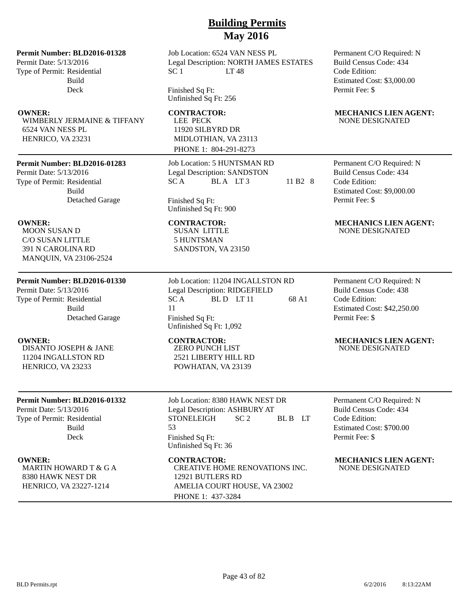### **Permit Number: BLD2016-01328**

Permit Date: 5/13/2016 Type of Permit: Residential Build Deck

WIMBERLY JERMAINE & TIFFANY 6524 VAN NESS PL HENRICO, VA 23231

### **Permit Number: BLD2016-01283**

Permit Date: 5/13/2016 Type of Permit: Residential Build Detached Garage

MOON SUSAN D C/O SUSAN LITTLE 391 N CAROLINA RD MANQUIN, VA 23106-2524

### **Permit Number: BLD2016-01330**

Permit Date: 5/13/2016 Type of Permit: Residential Build Detached Garage

DISANTO JOSEPH & JANE 11204 INGALLSTON RD HENRICO, VA 23233

### **Permit Number: BLD2016-01332**

Permit Date: 5/13/2016 Type of Permit: Residential Build Deck

MARTIN HOWARD T & G A 8380 HAWK NEST DR HENRICO, VA 23227-1214

Job Location: 6524 VAN NESS PL Legal Description: NORTH JAMES ESTATES SC 1 LT 48

Finished Sq Ft: Unfinished Sq Ft: 256

# LEE PECK

11920 SILBYRD DR MIDLOTHIAN, VA 23113 PHONE 1: 804-291-8273

Job Location: 5 HUNTSMAN RD Legal Description: SANDSTON  $SC A$  BLA LT3 11 B2 8

Finished Sq Ft: Unfinished Sq Ft: 900

SUSAN LITTLE 5 HUNTSMAN SANDSTON, VA 23150

Job Location: 11204 INGALLSTON RD Legal Description: RIDGEFIELD  $SC A$  BLD LT 11 68 A1 11 Finished Sq Ft: Unfinished Sq Ft: 1,092

ZERO PUNCH LIST 2521 LIBERTY HILL RD POWHATAN, VA 23139

Job Location: 8380 HAWK NEST DR Legal Description: ASHBURY AT STONELEIGH SC 2 BL B LT 53 Finished Sq Ft: Unfinished Sq Ft: 36

CREATIVE HOME RENOVATIONS INC. 12921 BUTLERS RD AMELIA COURT HOUSE, VA 23002 PHONE 1: 437-3284

Permanent C/O Required: N Build Census Code: 434 Code Edition: Estimated Cost: \$3,000.00 Permit Fee: \$

### **OWNER:** CONTRACTOR: MECHANICS LIEN AGENT: NONE DESIGNATED

Permanent C/O Required: N Build Census Code: 434 Code Edition: Estimated Cost: \$9,000.00 Permit Fee: \$

### **OWNER:** CONTRACTOR: MECHANICS LIEN AGENT: NONE DESIGNATED

Permanent C/O Required: N Build Census Code: 438 Code Edition: Estimated Cost: \$42,250.00 Permit Fee: \$

### **OWNER: CONTRACTOR: MECHANICS LIEN AGENT:** NONE DESIGNATED

Permanent C/O Required: N Build Census Code: 434 Code Edition: Estimated Cost: \$700.00 Permit Fee: \$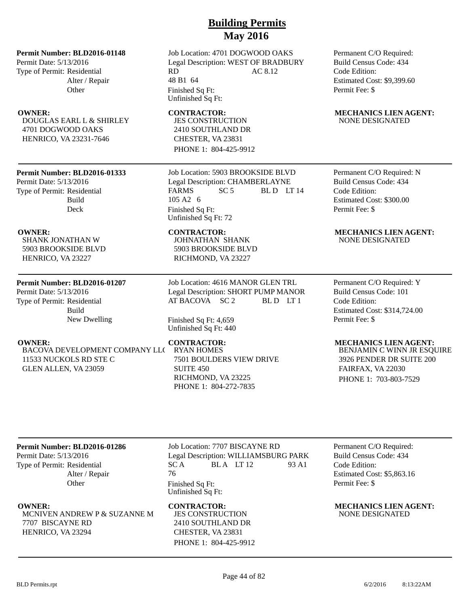### **Permit Number: BLD2016-01148**

Permit Date: 5/13/2016 Type of Permit: Residential Alter / Repair **Other** 

DOUGLAS EARL L & SHIRLEY 4701 DOGWOOD OAKS HENRICO, VA 23231-7646

### **Permit Number: BLD2016-01333**

Permit Date: 5/13/2016 Type of Permit: Residential Build Deck

SHANK JONATHAN W 5903 BROOKSIDE BLVD HENRICO, VA 23227

### **Permit Number: BLD2016-01207**

Permit Date: 5/13/2016 Type of Permit: Residential Build New Dwelling

BACOVA DEVELOPMENT COMPANY LLC 11533 NUCKOLS RD STE C GLEN ALLEN, VA 23059

Job Location: 4701 DOGWOOD OAKS Legal Description: WEST OF BRADBURY RD AC 8.12 48 B1 64 Finished Sq Ft: Unfinished Sq Ft:

JES CONSTRUCTION 2410 SOUTHLAND DR CHESTER, VA 23831 PHONE 1: 804-425-9912

Job Location: 5903 BROOKSIDE BLVD Legal Description: CHAMBERLAYNE FARMS SC 5 BLD LT 14 105 A2 6 Finished Sq Ft: Unfinished Sq Ft: 72

JOHNATHAN SHANK 5903 BROOKSIDE BLVD RICHMOND, VA 23227

Job Location: 4616 MANOR GLEN TRL Legal Description: SHORT PUMP MANOR AT BACOVA SC 2 BLD LT 1

Finished Sq Ft: 4,659 Unfinished Sq Ft: 440

RYAN HOMES 7501 BOULDERS VIEW DRIVE SUITE 450 RICHMOND, VA 23225 PHONE 1: 804-272-7835

Permanent C/O Required: Build Census Code: 434 Code Edition: Estimated Cost: \$9,399.60 Permit Fee: \$

### **OWNER:** CONTRACTOR: MECHANICS LIEN AGENT: NONE DESIGNATED

Permanent C/O Required: N Build Census Code: 434 Code Edition: Estimated Cost: \$300.00 Permit Fee: \$

### **OWNER:** CONTRACTOR: MECHANICS LIEN AGENT: NONE DESIGNATED

Permanent C/O Required: Y Build Census Code: 101 Code Edition: Estimated Cost: \$314,724.00 Permit Fee: \$

### **OWNER:** CONTRACTOR: MECHANICS LIEN AGENT:

BENJAMIN C WINN JR ESQUIRE 3926 PENDER DR SUITE 200 FAIRFAX, VA 22030 PHONE 1: 703-803-7529

### **Permit Number: BLD2016-01286**

Permit Date: 5/13/2016 Type of Permit: Residential Alter / Repair **Other** 

MCNIVEN ANDREW P & SUZANNE M 7707 BISCAYNE RD HENRICO, VA 23294

Job Location: 7707 BISCAYNE RD Legal Description: WILLIAMSBURG PARK  $SC A$  BLA LT 12 93 A1 76 Finished Sq Ft: Unfinished Sq Ft:

JES CONSTRUCTION 2410 SOUTHLAND DR CHESTER, VA 23831 PHONE 1: 804-425-9912 Permanent C/O Required: Build Census Code: 434 Code Edition: Estimated Cost: \$5,863.16 Permit Fee: \$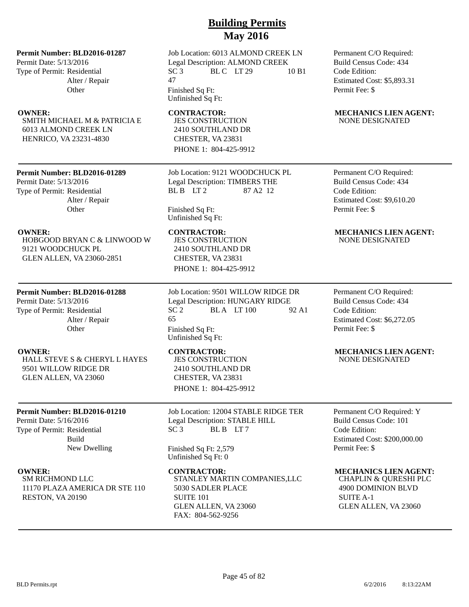### **Permit Number: BLD2016-01287**

Permit Date: 5/13/2016 Type of Permit: Residential Alter / Repair **Other** 

SMITH MICHAEL M & PATRICIA E 6013 ALMOND CREEK LN HENRICO, VA 23231-4830

### **Permit Number: BLD2016-01289**

Permit Date: 5/13/2016 Type of Permit: Residential Alter / Repair **Other** 

HOBGOOD BRYAN C & LINWOOD W 9121 WOODCHUCK PL GLEN ALLEN, VA 23060-2851

### **Permit Number: BLD2016-01288**

Permit Date: 5/13/2016 Type of Permit: Residential Alter / Repair **Other** 

HALL STEVE S & CHERYL L HAYES 9501 WILLOW RIDGE DR GLEN ALLEN, VA 23060

### **Permit Number: BLD2016-01210**

Permit Date: 5/16/2016 Type of Permit: Residential Build New Dwelling

SM RICHMOND LLC 11170 PLAZA AMERICA DR STE 110 RESTON, VA 20190

Job Location: 6013 ALMOND CREEK LN Legal Description: ALMOND CREEK  $SC<sub>3</sub>$  BLC LT 29 10 B1 47 Finished Sq Ft:

Unfinished Sq Ft:

JES CONSTRUCTION 2410 SOUTHLAND DR CHESTER, VA 23831 PHONE 1: 804-425-9912

Job Location: 9121 WOODCHUCK PL Legal Description: TIMBERS THE BL B LT 2 87 A 2 12

Finished Sq Ft: Unfinished Sq Ft:

JES CONSTRUCTION 2410 SOUTHLAND DR CHESTER, VA 23831 PHONE 1: 804-425-9912

Job Location: 9501 WILLOW RIDGE DR Legal Description: HUNGARY RIDGE SC 2 BLA LT 100 92 A1 65 Finished Sq Ft: Unfinished Sq Ft:

JES CONSTRUCTION 2410 SOUTHLAND DR CHESTER, VA 23831 PHONE 1: 804-425-9912

Job Location: 12004 STABLE RIDGE TER Legal Description: STABLE HILL SC 3 BLB LT7

Finished Sq Ft: 2,579 Unfinished Sq Ft: 0

STANLEY MARTIN COMPANIES,LLC 5030 SADLER PLACE SUITE 101 GLEN ALLEN, VA 23060 FAX: 804-562-9256

Permanent C/O Required: Build Census Code: 434 Code Edition: Estimated Cost: \$5,893.31 Permit Fee: \$

### **OWNER:** CONTRACTOR: MECHANICS LIEN AGENT: NONE DESIGNATED

Permanent C/O Required: Build Census Code: 434 Code Edition: Estimated Cost: \$9,610.20 Permit Fee: \$

### **OWNER: CONTRACTOR: MECHANICS LIEN AGENT:** NONE DESIGNATED

Permanent C/O Required: Build Census Code: 434 Code Edition: Estimated Cost: \$6,272.05 Permit Fee: \$

### **OWNER:** CONTRACTOR: MECHANICS LIEN AGENT: NONE DESIGNATED

Permanent C/O Required: Y Build Census Code: 101 Code Edition: Estimated Cost: \$200,000.00 Permit Fee: \$

### **OWNER: CONTRACTOR: MECHANICS LIEN AGENT:**

CHAPLIN & QURESHI PLC 4900 DOMINION BLVD SUITE A-1 GLEN ALLEN, VA 23060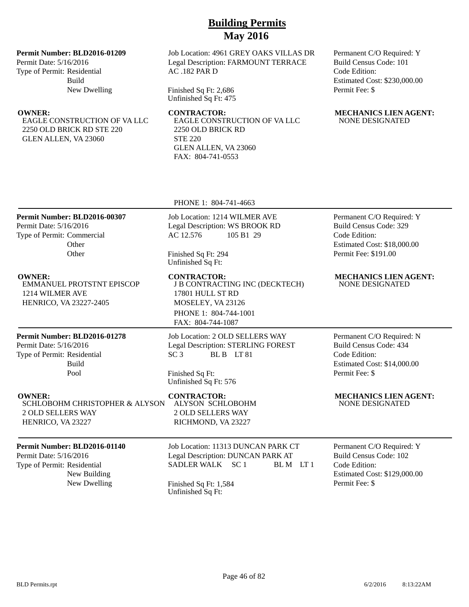### **Permit Number: BLD2016-01209**

Permit Date: 5/16/2016 Type of Permit: Residential Build New Dwelling

EAGLE CONSTRUCTION OF VA LLC 2250 OLD BRICK RD STE 220 GLEN ALLEN, VA 23060

Job Location: 4961 GREY OAKS VILLAS DR Legal Description: FARMOUNT TERRACE AC .182 PAR D

Finished Sq Ft: 2,686 Unfinished Sq Ft: 475

EAGLE CONSTRUCTION OF VA LLC

2250 OLD BRICK RD STE 220 GLEN ALLEN, VA 23060 FAX: 804-741-0553

Permanent C/O Required: Y Build Census Code: 101 Code Edition: Estimated Cost: \$230,000.00 Permit Fee: \$

|                                                                                                                       | PHONE 1: 804-741-4663                                                                                                                                |                                                                                                                              |
|-----------------------------------------------------------------------------------------------------------------------|------------------------------------------------------------------------------------------------------------------------------------------------------|------------------------------------------------------------------------------------------------------------------------------|
| Permit Number: BLD2016-00307<br>Permit Date: 5/16/2016<br>Type of Permit: Commercial<br>Other<br>Other                | Job Location: 1214 WILMER AVE<br>Legal Description: WS BROOK RD<br>AC 12.576<br>105 B1 29<br>Finished Sq Ft: 294<br>Unfinished Sq Ft:                | Permanent C/O Required: Y<br>Build Census Code: 329<br>Code Edition:<br>Estimated Cost: \$18,000.00<br>Permit Fee: \$191.00  |
| <b>OWNER:</b><br><b>EMMANUEL PROTSTNT EPISCOP</b><br>1214 WILMER AVE<br>HENRICO, VA 23227-2405                        | <b>CONTRACTOR:</b><br>J B CONTRACTING INC (DECKTECH)<br>17801 HULL ST RD<br>MOSELEY, VA 23126<br>PHONE 1: 804-744-1001<br>FAX: 804-744-1087          | <b>MECHANICS LIEN AGENT:</b><br><b>NONE DESIGNATED</b>                                                                       |
| Permit Number: BLD2016-01278<br>Permit Date: 5/16/2016<br>Type of Permit: Residential<br><b>Build</b><br>Pool         | Job Location: 2 OLD SELLERS WAY<br>Legal Description: STERLING FOREST<br>BLB LT81<br>SC <sub>3</sub><br>Finished Sq Ft:<br>Unfinished Sq Ft: 576     | Permanent C/O Required: N<br><b>Build Census Code: 434</b><br>Code Edition:<br>Estimated Cost: \$14,000.00<br>Permit Fee: \$ |
| <b>OWNER:</b><br><b>SCHLOBOHM CHRISTOPHER &amp; ALYSON</b><br><b>2 OLD SELLERS WAY</b><br>HENRICO, VA 23227           | <b>CONTRACTOR:</b><br><b>ALYSON SCHLOBOHM</b><br><b>2 OLD SELLERS WAY</b><br>RICHMOND, VA 23227                                                      | <b>MECHANICS LIEN AGENT:</b><br><b>NONE DESIGNATED</b>                                                                       |
| Permit Number: BLD2016-01140<br>Permit Date: 5/16/2016<br>Type of Permit: Residential<br>New Building<br>New Dwelling | Job Location: 11313 DUNCAN PARK CT<br>Legal Description: DUNCAN PARK AT<br>SADLER WALK SC 1<br>BLM LT1<br>Finished Sq Ft: 1,584<br>Unfinished Sq Ft: | Permanent C/O Required: Y<br>Build Census Code: 102<br>Code Edition:<br>Estimated Cost: \$129,000.00<br>Permit Fee: \$       |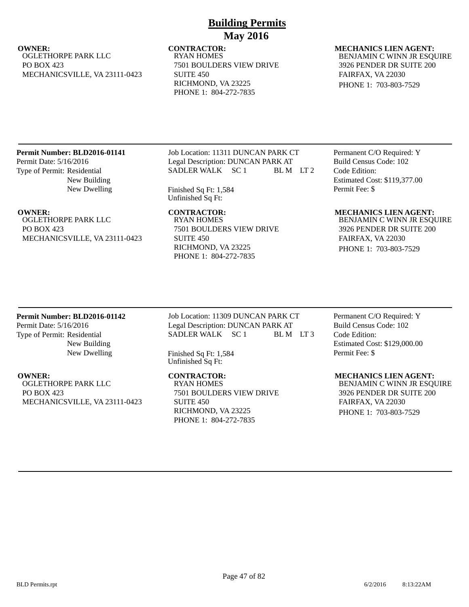### **OWNER:** CONTRACTOR: MECHANICS LIEN AGENT: OGLETHORPE PARK LLC PO BOX 423 MECHANICSVILLE, VA 23111-0423

RYAN HOMES 7501 BOULDERS VIEW DRIVE SUITE 450 RICHMOND, VA 23225 PHONE 1: 804-272-7835

## BENJAMIN C WINN JR ESQUIRE 3926 PENDER DR SUITE 200 FAIRFAX, VA 22030

PHONE 1: 703-803-7529

### **Permit Number: BLD2016-01141**

Permit Date: 5/16/2016 Type of Permit: Residential New Building New Dwelling

OGLETHORPE PARK LLC PO BOX 423 MECHANICSVILLE, VA 23111-0423 Job Location: 11311 DUNCAN PARK CT Legal Description: DUNCAN PARK AT SADLER WALK SC 1 BL M LT 2

Finished Sq Ft: 1,584 Unfinished Sq Ft:

RYAN HOMES 7501 BOULDERS VIEW DRIVE SUITE 450 RICHMOND, VA 23225 PHONE 1: 804-272-7835

### Permanent C/O Required: Y Build Census Code: 102 Code Edition: Estimated Cost: \$119,377.00 Permit Fee: \$

### **OWNER:** CONTRACTOR: MECHANICS LIEN AGENT:

BENJAMIN C WINN JR ESQUIRE 3926 PENDER DR SUITE 200 FAIRFAX, VA 22030 PHONE 1: 703-803-7529

### **Permit Number: BLD2016-01142**

Permit Date: 5/16/2016 Type of Permit: Residential New Building New Dwelling

**OWNER: CONTRACTOR: MECHANICS LIEN AGENT:** OGLETHORPE PARK LLC PO BOX 423 MECHANICSVILLE, VA 23111-0423

Job Location: 11309 DUNCAN PARK CT Legal Description: DUNCAN PARK AT SADLER WALK SC 1 BL M LT 3

Finished Sq Ft: 1,584 Unfinished Sq Ft:

RYAN HOMES 7501 BOULDERS VIEW DRIVE SUITE 450 RICHMOND, VA 23225 PHONE 1: 804-272-7835

Permanent C/O Required: Y Build Census Code: 102 Code Edition: Estimated Cost: \$129,000.00 Permit Fee: \$

BENJAMIN C WINN JR ESQUIRE 3926 PENDER DR SUITE 200 FAIRFAX, VA 22030 PHONE 1: 703-803-7529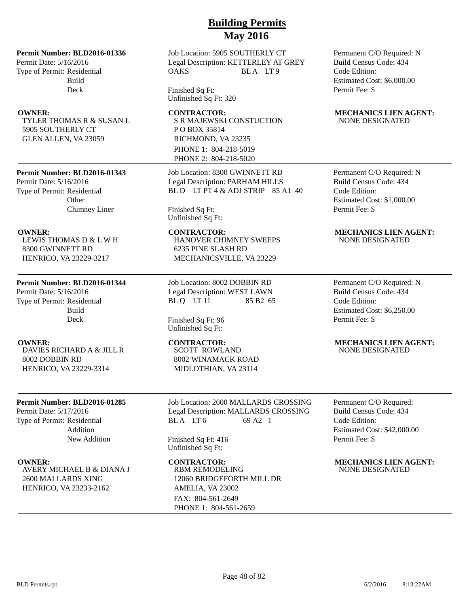### **Permit Number: BLD2016-01336**

Permit Date: 5/16/2016 Type of Permit: Residential Build Deck

TYLER THOMAS R & SUSAN L 5905 SOUTHERLY CT GLEN ALLEN, VA 23059

### **Permit Number: BLD2016-01343**

Permit Date: 5/16/2016 Type of Permit: Residential **Other** Chimney Liner

LEWIS THOMAS D & L W H 8300 GWINNETT RD HENRICO, VA 23229-3217

### **Permit Number: BLD2016-01344**

Permit Date: 5/16/2016 Type of Permit: Residential Build Deck

DAVIES RICHARD A & JILL R 8002 DOBBIN RD HENRICO, VA 23229-3314

### **Permit Number: BLD2016-01285**

Permit Date: 5/17/2016 Type of Permit: Residential Addition New Addition

AVERY MICHAEL B & DIANA J 2600 MALLARDS XING HENRICO, VA 23233-2162

## **Building Permits May 2016**

Job Location: 5905 SOUTHERLY CT Legal Description: KETTERLEY AT GREY OAKS BLA LT9

Finished Sq Ft: Unfinished Sq Ft: 320

S R MAJEWSKI CONSTUCTION P O BOX 35814 RICHMOND, VA 23235 PHONE 1: 804-218-5019 PHONE 2: 804-218-5020

Job Location: 8300 GWINNETT RD Legal Description: PARHAM HILLS BL D LT PT 4 & ADJ STRIP 85 A1 40

Finished Sq Ft: Unfinished Sq Ft:

HANOVER CHIMNEY SWEEPS 6235 PINE SLASH RD MECHANICSVILLE, VA 23229

Job Location: 8002 DOBBIN RD Legal Description: WEST LAWN BL Q LT 11 85 B2 65

Finished Sq Ft: 96 Unfinished Sq Ft:

SCOTT ROWLAND 8002 WINAMACK ROAD MIDLOTHIAN, VA 23114

Job Location: 2600 MALLARDS CROSSING Legal Description: MALLARDS CROSSING BLA LT 6 69 A2 1

Finished Sq Ft: 416 Unfinished Sq Ft:

RBM REMODELING 12060 BRIDGEFORTH MILL DR AMELIA, VA 23002 FAX: 804-561-2649 PHONE 1: 804-561-2659

Permanent C/O Required: N Build Census Code: 434 Code Edition: Estimated Cost: \$6,000.00 Permit Fee: \$

### **OWNER:** CONTRACTOR: MECHANICS LIEN AGENT: NONE DESIGNATED

Permanent C/O Required: N Build Census Code: 434 Code Edition: Estimated Cost: \$1,000.00 Permit Fee: \$

### **OWNER: CONTRACTOR: MECHANICS LIEN AGENT:** NONE DESIGNATED

Permanent C/O Required: N Build Census Code: 434 Code Edition: Estimated Cost: \$6,250.00 Permit Fee: \$

### **OWNER: CONTRACTOR: MECHANICS LIEN AGENT:** NONE DESIGNATED

Permanent C/O Required: Build Census Code: 434 Code Edition: Estimated Cost: \$42,000.00 Permit Fee: \$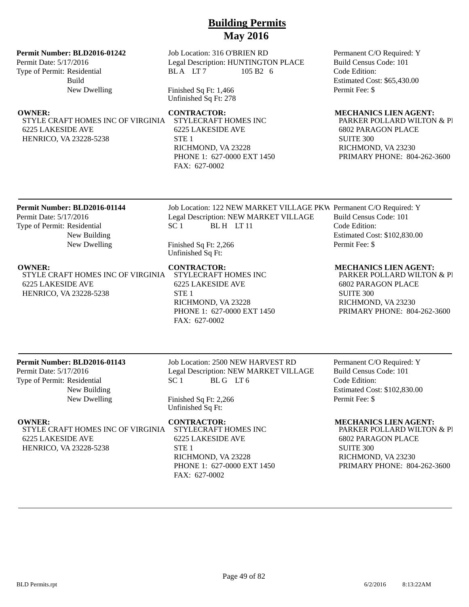### **Permit Number: BLD2016-01242**

Permit Date: 5/17/2016 Type of Permit: Residential Build New Dwelling

STYLE CRAFT HOMES INC OF VIRGINIA STYLECRAFT HOMES INC 6225 LAKESIDE AVE HENRICO, VA 23228-5238

### Job Location: 316 O'BRIEN RD Legal Description: HUNTINGTON PLACE BLA LT7 105 B2 6

Finished Sq Ft: 1,466 Unfinished Sq Ft: 278

6225 LAKESIDE AVE STE 1 RICHMOND, VA 23228 PHONE 1: 627-0000 EXT 1450 FAX: 627-0002

Permanent C/O Required: Y Build Census Code: 101 Code Edition: Estimated Cost: \$65,430.00 Permit Fee: \$

### **OWNER: CONTRACTOR: MECHANICS LIEN AGENT:**

PARKER POLLARD WILTON & PI 6802 PARAGON PLACE SUITE 300 RICHMOND, VA 23230 PRIMARY PHONE: 804-262-3600

### **Permit Number: BLD2016-01144**

Permit Date: 5/17/2016 Type of Permit: Residential New Building New Dwelling

STYLE CRAFT HOMES INC OF VIRGINIA STYLECRAFT HOMES INC 6225 LAKESIDE AVE HENRICO, VA 23228-5238

Job Location: 122 NEW MARKET VILLAGE PKW Permanent C/O Required: Y Legal Description: NEW MARKET VILLAGE  $SC 1$  BLH LT 11

Finished Sq Ft: 2,266 Unfinished Sq Ft:

# 6225 LAKESIDE AVE STE<sub>1</sub>

RICHMOND, VA 23228 PHONE 1: 627-0000 EXT 1450 FAX: 627-0002

Build Census Code: 101 Code Edition: Estimated Cost: \$102,830.00 Permit Fee: \$

### **OWNER:** CONTRACTOR: MECHANICS LIEN AGENT:

PARKER POLLARD WILTON & PI 6802 PARAGON PLACE SUITE 300 RICHMOND, VA 23230 PRIMARY PHONE: 804-262-3600

### **Permit Number: BLD2016-01143**

Permit Date: 5/17/2016 Type of Permit: Residential New Building New Dwelling Job Location: 2500 NEW HARVEST RD Legal Description: NEW MARKET VILLAGE SC 1 BLG LT6

Finished Sq Ft: 2,266 Unfinished Sq Ft:

STYLE CRAFT HOMES INC OF VIRGINIA 6225 LAKESIDE AVE HENRICO, VA 23228-5238

### **OWNER: CONTRACTOR: MECHANICS LIEN AGENT:**

STYLECRAFT HOMES INC 6225 LAKESIDE AVE STE 1 RICHMOND, VA 23228 PHONE 1: 627-0000 EXT 1450 FAX: 627-0002

Permanent C/O Required: Y Build Census Code: 101 Code Edition: Estimated Cost: \$102,830.00 Permit Fee: \$

PARKER POLLARD WILTON & PI 6802 PARAGON PLACE SUITE 300 RICHMOND, VA 23230

PRIMARY PHONE: 804-262-3600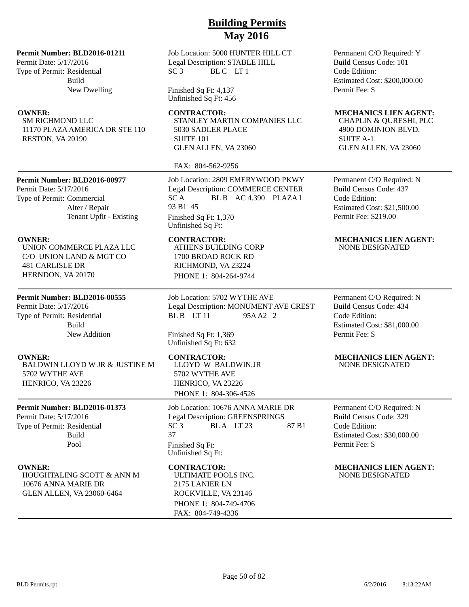### **Permit Number: BLD2016-01211**

Permit Date: 5/17/2016 Type of Permit: Residential Build New Dwelling

SM RICHMOND LLC 11170 PLAZA AMERICA DR STE 110 RESTON, VA 20190

**Permit Number: BLD2016-00977**

Permit Date: 5/17/2016 Type of Permit: Commercial Alter / Repair Tenant Upfit - Existing

UNION COMMERCE PLAZA LLC C/O UNION LAND & MGT CO 481 CARLISLE DR HERNDON, VA 20170

### **Permit Number: BLD2016-00555**

Permit Date: 5/17/2016 Type of Permit: Residential Build New Addition

BALDWIN LLOYD W JR & JUSTINE M 5702 WYTHE AVE HENRICO, VA 23226

### **Permit Number: BLD2016-01373**

Permit Date: 5/17/2016 Type of Permit: Residential Build Pool

HOUGHTALING SCOTT & ANN M 10676 ANNA MARIE DR GLEN ALLEN, VA 23060-6464

Job Location: 5000 HUNTER HILL CT Legal Description: STABLE HILL SC 3 BLC LT 1

Finished Sq Ft: 4,137 Unfinished Sq Ft: 456

STANLEY MARTIN COMPANIES LLC 5030 SADLER PLACE SUITE 101 GLEN ALLEN, VA 23060

### FAX: 804-562-9256

Job Location: 2809 EMERYWOOD PKWY Legal Description: COMMERCE CENTER SC A BL B AC 4.390 PLAZA I 93 B1 45 Finished Sq Ft: 1,370 Unfinished Sq Ft:

ATHENS BUILDING CORP 1700 BROAD ROCK RD RICHMOND, VA 23224 PHONE 1: 804-264-9744

Job Location: 5702 WYTHE AVE Legal Description: MONUMENT AVE CREST BL B LT 11 95A A2 2

Finished Sq Ft: 1,369 Unfinished Sq Ft: 632

LLOYD W BALDWIN,JR 5702 WYTHE AVE HENRICO, VA 23226 PHONE 1: 804-306-4526

Job Location: 10676 ANNA MARIE DR Legal Description: GREENSPRINGS SC 3 BLA LT 23 87 B1 37 Finished Sq Ft: Unfinished Sq Ft:

ULTIMATE POOLS INC. 2175 LANIER LN ROCKVILLE, VA 23146 PHONE 1: 804-749-4706 FAX: 804-749-4336

Permanent C/O Required: Y Build Census Code: 101 Code Edition: Estimated Cost: \$200,000.00 Permit Fee: \$

### **OWNER: CONTRACTOR: MECHANICS LIEN AGENT:**

CHAPLIN & QURESHI, PLC 4900 DOMINION BLVD. SUITE A-1 GLEN ALLEN, VA 23060

Permanent C/O Required: N Build Census Code: 437 Code Edition: Estimated Cost: \$21,500.00 Permit Fee: \$219.00

### **OWNER: CONTRACTOR: MECHANICS LIEN AGENT:** NONE DESIGNATED

Permanent C/O Required: N Build Census Code: 434 Code Edition: Estimated Cost: \$81,000.00 Permit Fee: \$

### **OWNER: CONTRACTOR: MECHANICS LIEN AGENT:** NONE DESIGNATED

Permanent C/O Required: N Build Census Code: 329 Code Edition: Estimated Cost: \$30,000.00 Permit Fee: \$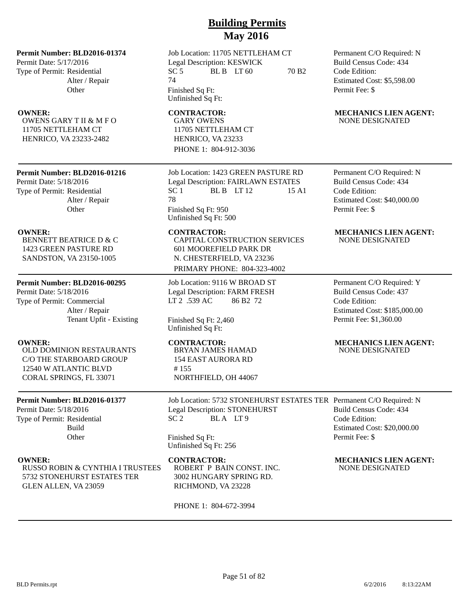### **Permit Number: BLD2016-01374**

Permit Date: 5/17/2016 Type of Permit: Residential Alter / Repair **Other** 

OWENS GARY T II & M F O 11705 NETTLEHAM CT HENRICO, VA 23233-2482

### **Permit Number: BLD2016-01216**

Permit Date: 5/18/2016 Type of Permit: Residential Alter / Repair **Other** 

BENNETT BEATRICE D & C 1423 GREEN PASTURE RD SANDSTON, VA 23150-1005

### **Permit Number: BLD2016-00295**

Permit Date: 5/18/2016 Type of Permit: Commercial Alter / Repair Tenant Upfit - Existing

OLD DOMINION RESTAURANTS C/O THE STARBOARD GROUP 12540 W ATLANTIC BLVD CORAL SPRINGS, FL 33071

### **Permit Number: BLD2016-01377**

Permit Date: 5/18/2016 Type of Permit: Residential Build **Other** 

RUSSO ROBIN & CYNTHIA I TRUSTEES 5732 STONEHURST ESTATES TER GLEN ALLEN, VA 23059

Job Location: 11705 NETTLEHAM CT Legal Description: KESWICK SC 5 BL B LT 60 70 B2 74 Finished Sq Ft: Unfinished Sq Ft:

GARY OWENS 11705 NETTLEHAM CT HENRICO, VA 23233 PHONE 1: 804-912-3036

Job Location: 1423 GREEN PASTURE RD Legal Description: FAIRLAWN ESTATES  $SC 1$  BLB LT 12 15 A1 78 Finished Sq Ft: 950 Unfinished Sq Ft: 500

CAPITAL CONSTRUCTION SERVICES 601 MOOREFIELD PARK DR N. CHESTERFIELD, VA 23236 PRIMARY PHONE: 804-323-4002

Job Location: 9116 W BROAD ST Legal Description: FARM FRESH LT 2 .539 AC 86 B2 72

Finished Sq Ft: 2,460 Unfinished Sq Ft:

BRYAN JAMES HAMAD 154 EAST AURORA RD # 155 NORTHFIELD, OH 44067

Job Location: 5732 STONEHURST ESTATES TER Permanent C/O Required: N Legal Description: STONEHURST SC 2 BLA LT 9

Finished Sq Ft: Unfinished Sq Ft: 256

### **OWNER:** CONTRACTOR: MECHANICS LIEN AGENT:

ROBERT P BAIN CONST. INC. 3002 HUNGARY SPRING RD. RICHMOND, VA 23228

PHONE 1: 804-672-3994

Permanent C/O Required: N Build Census Code: 434 Code Edition: Estimated Cost: \$5,598.00 Permit Fee: \$

### **OWNER:** CONTRACTOR: MECHANICS LIEN AGENT: NONE DESIGNATED

Permanent C/O Required: N Build Census Code: 434 Code Edition: Estimated Cost: \$40,000.00 Permit Fee: \$

### **OWNER: CONTRACTOR: MECHANICS LIEN AGENT:** NONE DESIGNATED

Permanent C/O Required: Y Build Census Code: 437 Code Edition: Estimated Cost: \$185,000.00 Permit Fee: \$1,360.00

### **OWNER:** CONTRACTOR: MECHANICS LIEN AGENT: NONE DESIGNATED

Permit Fee: \$

Estimated Cost: \$20,000.00

Build Census Code: 434

Code Edition:

NONE DESIGNATED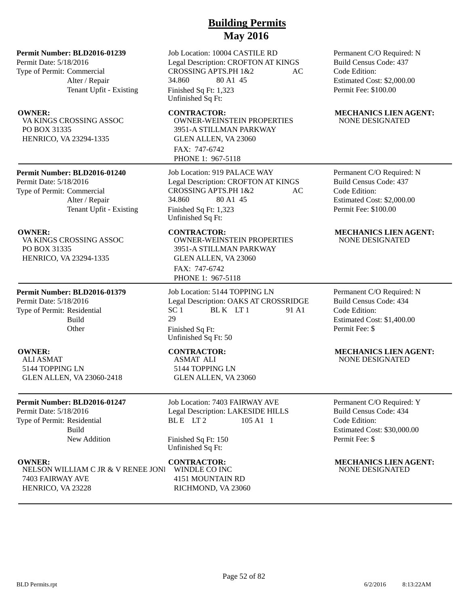### **Permit Number: BLD2016-01239**

Permit Date: 5/18/2016 Type of Permit: Commercial Alter / Repair Tenant Upfit - Existing

VA KINGS CROSSING ASSOC PO BOX 31335 HENRICO, VA 23294-1335

### **Permit Number: BLD2016-01240**

Permit Date: 5/18/2016 Type of Permit: Commercial Alter / Repair Tenant Upfit - Existing

VA KINGS CROSSING ASSOC PO BOX 31335 HENRICO, VA 23294-1335

### **Permit Number: BLD2016-01379**

Permit Date: 5/18/2016 Type of Permit: Residential Build **Other** 

ALI ASMAT 5144 TOPPING LN GLEN ALLEN, VA 23060-2418

### **Permit Number: BLD2016-01247**

Permit Date: 5/18/2016 Type of Permit: Residential Build New Addition

NELSON WILLIAM C JR & V RENEE JONE 7403 FAIRWAY AVE HENRICO, VA 23228

Job Location: 10004 CASTILE RD Legal Description: CROFTON AT KINGS CROSSING APTS.PH 1&2 AC 34.860 80 A1 45 Finished Sq Ft: 1,323 Unfinished Sq Ft:

OWNER-WEINSTEIN PROPERTIES 3951-A STILLMAN PARKWAY GLEN ALLEN, VA 23060 FAX: 747-6742 PHONE 1: 967-5118

Job Location: 919 PALACE WAY Legal Description: CROFTON AT KINGS CROSSING APTS.PH 1&2 AC 34.860 80 A1 45 Finished Sq Ft: 1,323 Unfinished Sq Ft:

OWNER-WEINSTEIN PROPERTIES 3951-A STILLMAN PARKWAY GLEN ALLEN, VA 23060 FAX: 747-6742 PHONE 1: 967-5118

Job Location: 5144 TOPPING LN Legal Description: OAKS AT CROSSRIDGE  $SC 1$  BL K  $LT 1$  91 A1 29 Finished Sq Ft: Unfinished Sq Ft: 50

ASMAT ALI 5144 TOPPING LN GLEN ALLEN, VA 23060

Job Location: 7403 FAIRWAY AVE Legal Description: LAKESIDE HILLS BLE LT2 105 A1 1

Finished Sq Ft: 150 Unfinished Sq Ft:

WINDLE CO INC 4151 MOUNTAIN RD RICHMOND, VA 23060 Permanent C/O Required: N Build Census Code: 437 Code Edition: Estimated Cost: \$2,000.00 Permit Fee: \$100.00

### **OWNER:** CONTRACTOR: MECHANICS LIEN AGENT: NONE DESIGNATED

Permanent C/O Required: N Build Census Code: 437 Code Edition: Estimated Cost: \$2,000.00 Permit Fee: \$100.00

### **OWNER: CONTRACTOR: MECHANICS LIEN AGENT:** NONE DESIGNATED

Permanent C/O Required: N Build Census Code: 434 Code Edition: Estimated Cost: \$1,400.00 Permit Fee: \$

### **OWNER:** CONTRACTOR: MECHANICS LIEN AGENT: NONE DESIGNATED

Permanent C/O Required: Y Build Census Code: 434 Code Edition: Estimated Cost: \$30,000.00 Permit Fee: \$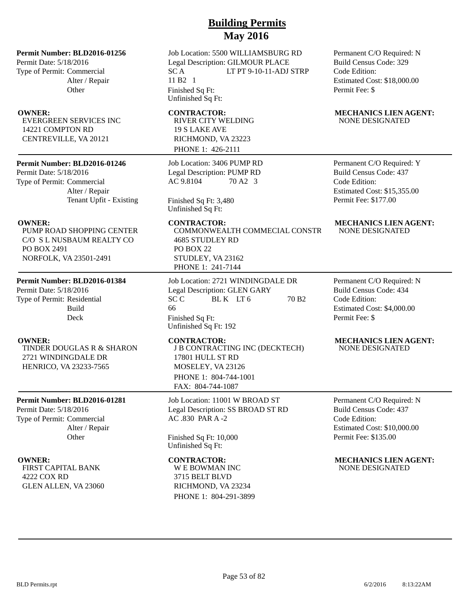### **Permit Number: BLD2016-01256**

Permit Date: 5/18/2016 Type of Permit: Commercial Alter / Repair **Other** 

EVERGREEN SERVICES INC 14221 COMPTON RD CENTREVILLE, VA 20121

### **Permit Number: BLD2016-01246**

Permit Date: 5/18/2016 Type of Permit: Commercial Alter / Repair Tenant Upfit - Existing

PUMP ROAD SHOPPING CENTER C/O S L NUSBAUM REALTY CO PO BOX 2491 NORFOLK, VA 23501-2491

### **Permit Number: BLD2016-01384**

Permit Date: 5/18/2016 Type of Permit: Residential Build Deck

TINDER DOUGLAS R & SHARON 2721 WINDINGDALE DR HENRICO, VA 23233-7565

### **Permit Number: BLD2016-01281**

Permit Date: 5/18/2016 Type of Permit: Commercial Alter / Repair **Other** 

FIRST CAPITAL BANK 4222 COX RD GLEN ALLEN, VA 23060

Job Location: 5500 WILLIAMSBURG RD Legal Description: GILMOUR PLACE SC A LT PT 9-10-11-ADJ STRP 11 B2 1 Finished Sq Ft: Unfinished Sq Ft:

RIVER CITY WELDING 19 S LAKE AVE RICHMOND, VA 23223 PHONE 1: 426-2111

Job Location: 3406 PUMP RD Legal Description: PUMP RD AC 9.8104 70 A2 3

Finished Sq Ft: 3,480 Unfinished Sq Ft:

COMMONWEALTH COMMECIAL CONSTR 4685 STUDLEY RD PO BOX 22 STUDLEY, VA 23162 PHONE 1: 241-7144

Job Location: 2721 WINDINGDALE DR Legal Description: GLEN GARY SC C BL K LT 6 70 B2 66 Finished Sq Ft: Unfinished Sq Ft: 192

J B CONTRACTING INC (DECKTECH) 17801 HULL ST RD MOSELEY, VA 23126 PHONE 1: 804-744-1001 FAX: 804-744-1087

Job Location: 11001 W BROAD ST Legal Description: SS BROAD ST RD AC .830 PAR A -2

Finished Sq Ft: 10,000 Unfinished Sq Ft:

W E BOWMAN INC 3715 BELT BLVD RICHMOND, VA 23234 PHONE 1: 804-291-3899 Permanent C/O Required: N Build Census Code: 329 Code Edition: Estimated Cost: \$18,000.00 Permit Fee: \$

### **OWNER:** CONTRACTOR: MECHANICS LIEN AGENT: NONE DESIGNATED

Permanent C/O Required: Y Build Census Code: 437 Code Edition: Estimated Cost: \$15,355.00 Permit Fee: \$177.00

### **OWNER:** CONTRACTOR: MECHANICS LIEN AGENT: NONE DESIGNATED

Permanent C/O Required: N Build Census Code: 434 Code Edition: Estimated Cost: \$4,000.00 Permit Fee: \$

### **OWNER: CONTRACTOR: MECHANICS LIEN AGENT:** NONE DESIGNATED

Permanent C/O Required: N Build Census Code: 437 Code Edition: Estimated Cost: \$10,000.00 Permit Fee: \$135.00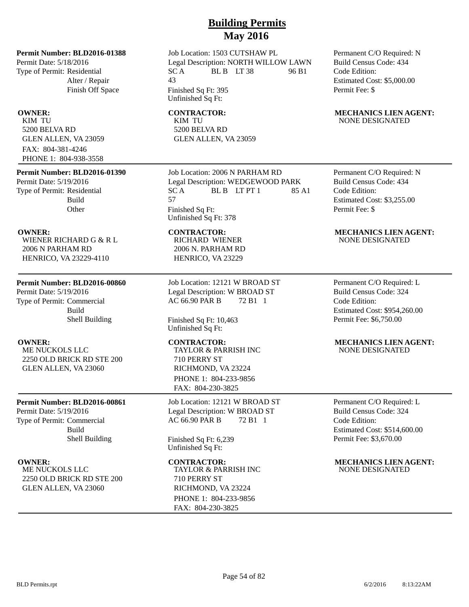Job Location: 1503 CUTSHAW PL Legal Description: NORTH WILLOW LAWN  $SC A$  BL B LT 38 96 B1 43 Finished Sq Ft: 395 Unfinished Sq Ft:

KIM TU 5200 BELVA RD GLEN ALLEN, VA 23059

Job Location: 2006 N PARHAM RD Legal Description: WEDGEWOOD PARK  $SC A$  BLB LTPT 1 85 A1 57 Finished Sq Ft: Unfinished Sq Ft: 378

RICHARD WIENER 2006 N. PARHAM RD HENRICO, VA 23229

Job Location: 12121 W BROAD ST Legal Description: W BROAD ST AC 66.90 PAR B 72 B1 1

Finished Sq Ft: 10,463 Unfinished Sq Ft:

TAYLOR & PARRISH INC 710 PERRY ST RICHMOND, VA 23224 PHONE 1: 804-233-9856 FAX: 804-230-3825

Job Location: 12121 W BROAD ST Legal Description: W BROAD ST AC 66.90 PAR B 72 B1 1

Finished Sq Ft: 6,239 Unfinished Sq Ft:

TAYLOR & PARRISH INC 710 PERRY ST RICHMOND, VA 23224 PHONE 1: 804-233-9856 FAX: 804-230-3825

Permanent C/O Required: N Build Census Code: 434 Code Edition: Estimated Cost: \$5,000.00 Permit Fee: \$

### **OWNER:** CONTRACTOR: MECHANICS LIEN AGENT: NONE DESIGNATED

Permanent C/O Required: N Build Census Code: 434 Code Edition: Estimated Cost: \$3,255.00 Permit Fee: \$

### **OWNER: CONTRACTOR: MECHANICS LIEN AGENT:** NONE DESIGNATED

Permanent C/O Required: L Build Census Code: 324 Code Edition: Estimated Cost: \$954,260.00 Permit Fee: \$6,750.00

### **OWNER: CONTRACTOR: MECHANICS LIEN AGENT:** NONE DESIGNATED

Permanent C/O Required: L Build Census Code: 324 Code Edition: Estimated Cost: \$514,600.00 Permit Fee: \$3,670.00

**OWNER: CONTRACTOR: MECHANICS LIEN AGENT:** NONE DESIGNATED

### Permit Date: 5/18/2016

Type of Permit: Residential Alter / Repair Finish Off Space

**Permit Number: BLD2016-01388**

KIM TU 5200 BELVA RD GLEN ALLEN, VA 23059 FAX: 804-381-4246 PHONE 1: 804-938-3558

### **Permit Number: BLD2016-01390**

Permit Date: 5/19/2016 Type of Permit: Residential Build **Other** 

WIENER RICHARD G & R L 2006 N PARHAM RD HENRICO, VA 23229-4110

### **Permit Number: BLD2016-00860**

Permit Date: 5/19/2016 Type of Permit: Commercial Build Shell Building

ME NUCKOLS LLC 2250 OLD BRICK RD STE 200 GLEN ALLEN, VA 23060

### **Permit Number: BLD2016-00861**

Permit Date: 5/19/2016 Type of Permit: Commercial Build Shell Building

ME NUCKOLS LLC 2250 OLD BRICK RD STE 200 GLEN ALLEN, VA 23060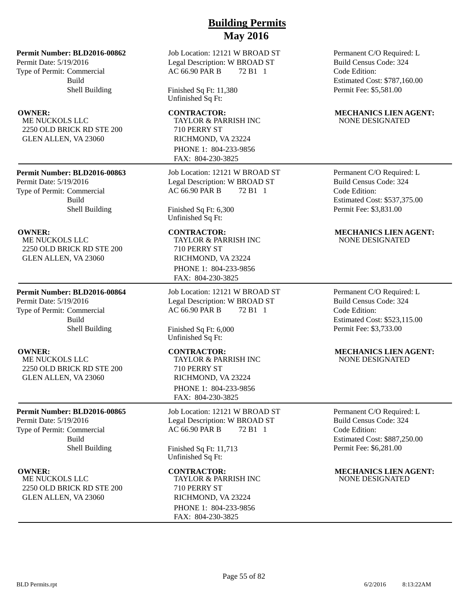**Permit Number: BLD2016-00862**

Permit Date: 5/19/2016 Type of Permit: Commercial Build Shell Building

ME NUCKOLS LLC 2250 OLD BRICK RD STE 200 GLEN ALLEN, VA 23060

### **Permit Number: BLD2016-00863**

Permit Date: 5/19/2016 Type of Permit: Commercial Build Shell Building

ME NUCKOLS LLC 2250 OLD BRICK RD STE 200 GLEN ALLEN, VA 23060

### **Permit Number: BLD2016-00864**

Permit Date: 5/19/2016 Type of Permit: Commercial Build Shell Building

ME NUCKOLS LLC 2250 OLD BRICK RD STE 200 GLEN ALLEN, VA 23060

### **Permit Number: BLD2016-00865**

Permit Date: 5/19/2016 Type of Permit: Commercial Build Shell Building

ME NUCKOLS LLC 2250 OLD BRICK RD STE 200 GLEN ALLEN, VA 23060

Job Location: 12121 W BROAD ST Legal Description: W BROAD ST AC 66.90 PAR B 72 B1 1

Finished Sq Ft: 11,380 Unfinished Sq Ft:

TAYLOR & PARRISH INC 710 PERRY ST RICHMOND, VA 23224 PHONE 1: 804-233-9856 FAX: 804-230-3825

Job Location: 12121 W BROAD ST Legal Description: W BROAD ST AC 66.90 PAR B 72 B1 1

Finished Sq Ft: 6,300 Unfinished Sq Ft:

TAYLOR & PARRISH INC 710 PERRY ST RICHMOND, VA 23224 PHONE 1: 804-233-9856 FAX: 804-230-3825

Job Location: 12121 W BROAD ST Legal Description: W BROAD ST AC 66.90 PAR B 72 B1 1

Finished Sq Ft: 6,000 Unfinished Sq Ft:

TAYLOR & PARRISH INC 710 PERRY ST RICHMOND, VA 23224 PHONE 1: 804-233-9856 FAX: 804-230-3825

Job Location: 12121 W BROAD ST Legal Description: W BROAD ST AC 66.90 PAR B 72 B1 1

Finished Sq Ft: 11,713 Unfinished Sq Ft:

TAYLOR & PARRISH INC 710 PERRY ST RICHMOND, VA 23224 PHONE 1: 804-233-9856 FAX: 804-230-3825

Permanent C/O Required: L Build Census Code: 324 Code Edition: Estimated Cost: \$787,160.00 Permit Fee: \$5,581.00

### **OWNER:** CONTRACTOR: MECHANICS LIEN AGENT: NONE DESIGNATED

Permanent C/O Required: L Build Census Code: 324 Code Edition: Estimated Cost: \$537,375.00 Permit Fee: \$3,831.00

### **OWNER: CONTRACTOR: MECHANICS LIEN AGENT:** NONE DESIGNATED

Permanent C/O Required: L Build Census Code: 324 Code Edition: Estimated Cost: \$523,115.00 Permit Fee: \$3,733.00

### **OWNER:** CONTRACTOR: MECHANICS LIEN AGENT: NONE DESIGNATED

Permanent C/O Required: L Build Census Code: 324 Code Edition: Estimated Cost: \$887,250.00 Permit Fee: \$6,281.00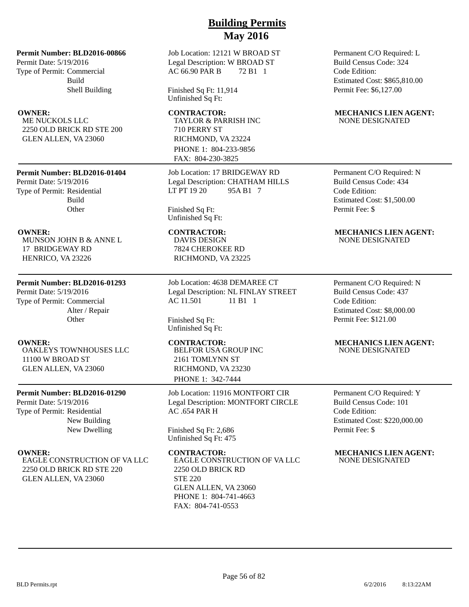**Permit Number: BLD2016-00866**

Permit Date: 5/19/2016 Type of Permit: Commercial Build Shell Building

ME NUCKOLS LLC 2250 OLD BRICK RD STE 200 GLEN ALLEN, VA 23060

### **Permit Number: BLD2016-01404**

Permit Date: 5/19/2016 Type of Permit: Residential Build **Other** 

MUNSON JOHN B & ANNE L 17 BRIDGEWAY RD HENRICO, VA 23226

### **Permit Number: BLD2016-01293**

Permit Date: 5/19/2016 Type of Permit: Commercial Alter / Repair **Other** 

OAKLEYS TOWNHOUSES LLC 11100 W BROAD ST GLEN ALLEN, VA 23060

### **Permit Number: BLD2016-01290**

Permit Date: 5/19/2016 Type of Permit: Residential New Building New Dwelling

EAGLE CONSTRUCTION OF VA LLC 2250 OLD BRICK RD STE 220 GLEN ALLEN, VA 23060

Job Location: 12121 W BROAD ST Legal Description: W BROAD ST AC 66.90 PAR B 72 B1 1

Finished Sq Ft: 11,914 Unfinished Sq Ft:

TAYLOR & PARRISH INC 710 PERRY ST RICHMOND, VA 23224 PHONE 1: 804-233-9856 FAX: 804-230-3825

Job Location: 17 BRIDGEWAY RD Legal Description: CHATHAM HILLS LT PT 19 20 95A B1 7

Finished Sq Ft: Unfinished Sq Ft:

DAVIS DESIGN 7824 CHEROKEE RD RICHMOND, VA 23225

Job Location: 4638 DEMAREE CT Legal Description: NL FINLAY STREET AC 11.501 11 B1 1

Finished Sq Ft: Unfinished Sq Ft:

BELFOR USA GROUP INC 2161 TOMLYNN ST RICHMOND, VA 23230 PHONE 1: 342-7444

Job Location: 11916 MONTFORT CIR Legal Description: MONTFORT CIRCLE AC .654 PAR H

Finished Sq Ft: 2,686 Unfinished Sq Ft: 475

EAGLE CONSTRUCTION OF VA LLC 2250 OLD BRICK RD STE 220 GLEN ALLEN, VA 23060 PHONE 1: 804-741-4663 FAX: 804-741-0553

Permanent C/O Required: L Build Census Code: 324 Code Edition: Estimated Cost: \$865,810.00 Permit Fee: \$6,127.00

### **OWNER:** CONTRACTOR: MECHANICS LIEN AGENT: NONE DESIGNATED

Permanent C/O Required: N Build Census Code: 434 Code Edition: Estimated Cost: \$1,500.00 Permit Fee: \$

### **OWNER: CONTRACTOR: MECHANICS LIEN AGENT:** NONE DESIGNATED

Permanent C/O Required: N Build Census Code: 437 Code Edition: Estimated Cost: \$8,000.00 Permit Fee: \$121.00

### **OWNER:** CONTRACTOR: MECHANICS LIEN AGENT: NONE DESIGNATED

Permanent C/O Required: Y Build Census Code: 101 Code Edition: Estimated Cost: \$220,000.00 Permit Fee: \$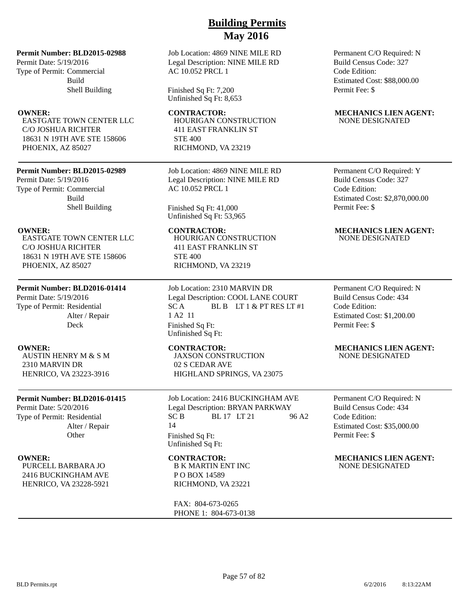**Permit Number: BLD2015-02988**

Permit Date: 5/19/2016 Type of Permit: Commercial Build Shell Building

EASTGATE TOWN CENTER LLC C/O JOSHUA RICHTER 18631 N 19TH AVE STE 158606 PHOENIX, AZ 85027

### **Permit Number: BLD2015-02989**

Permit Date: 5/19/2016 Type of Permit: Commercial Build Shell Building

EASTGATE TOWN CENTER LLC C/O JOSHUA RICHTER 18631 N 19TH AVE STE 158606 PHOENIX, AZ 85027

### **Permit Number: BLD2016-01414**

Permit Date: 5/19/2016 Type of Permit: Residential Alter / Repair Deck

AUSTIN HENRY M & S M 2310 MARVIN DR HENRICO, VA 23223-3916

### **Permit Number: BLD2016-01415**

Permit Date: 5/20/2016 Type of Permit: Residential Alter / Repair **Other** 

PURCELL BARBARA JO 2416 BUCKINGHAM AVE HENRICO, VA 23228-5921

### Job Location: 4869 NINE MILE RD Legal Description: NINE MILE RD AC 10.052 PRCL 1

Finished Sq Ft: 7,200 Unfinished Sq Ft: 8,653

HOURIGAN CONSTRUCTION 411 EAST FRANKLIN ST STE 400 RICHMOND, VA 23219

Job Location: 4869 NINE MILE RD Legal Description: NINE MILE RD AC 10.052 PRCL 1

Finished Sq Ft: 41,000 Unfinished Sq Ft: 53,965

HOURIGAN CONSTRUCTION 411 EAST FRANKLIN ST STE 400 RICHMOND, VA 23219

Job Location: 2310 MARVIN DR Legal Description: COOL LANE COURT  $SC A$  BL B  $IT 1 & PTRIS I T #1$ 1 A2 11 Finished Sq Ft: Unfinished Sq Ft:

JAXSON CONSTRUCTION 02 S CEDAR AVE HIGHLAND SPRINGS, VA 23075

Job Location: 2416 BUCKINGHAM AVE Legal Description: BRYAN PARKWAY  $SC B$  BL 17 LT 21 96 A2 14 Finished Sq Ft: Unfinished Sq Ft:

B K MARTIN ENT INC P O BOX 14589 RICHMOND, VA 23221

FAX: 804-673-0265 PHONE 1: 804-673-0138 Permanent C/O Required: N Build Census Code: 327 Code Edition: Estimated Cost: \$88,000.00 Permit Fee: \$

### **OWNER:** CONTRACTOR: MECHANICS LIEN AGENT: NONE DESIGNATED

Permanent C/O Required: Y Build Census Code: 327 Code Edition: Estimated Cost: \$2,870,000.00 Permit Fee: \$

### **OWNER: CONTRACTOR: MECHANICS LIEN AGENT:** NONE DESIGNATED

Permanent C/O Required: N Build Census Code: 434 Code Edition: Estimated Cost: \$1,200.00 Permit Fee: \$

### **OWNER: CONTRACTOR: MECHANICS LIEN AGENT:** NONE DESIGNATED

Permanent C/O Required: N Build Census Code: 434 Code Edition: Estimated Cost: \$35,000.00 Permit Fee: \$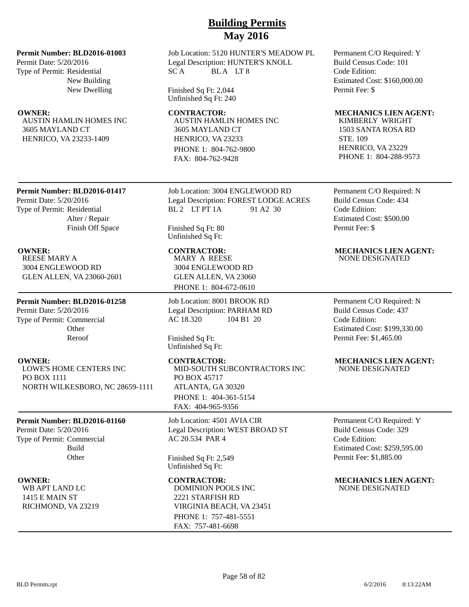### **Permit Number: BLD2016-01003**

Permit Date: 5/20/2016 Type of Permit: Residential New Building New Dwelling

AUSTIN HAMLIN HOMES INC 3605 MAYLAND CT HENRICO, VA 23233-1409

Job Location: 5120 HUNTER'S MEADOW PL Legal Description: HUNTER'S KNOLL SCA BLALT8

Finished Sq Ft: 2,044 Unfinished Sq Ft: 240

**OWNER:** CONTRACTOR: MECHANICS LIEN AGENT: AUSTIN HAMLIN HOMES INC 3605 MAYLAND CT HENRICO, VA 23233 PHONE 1: 804-762-9800 FAX: 804-762-9428

### **Permit Number: BLD2016-01417**

Permit Date: 5/20/2016 Type of Permit: Residential Alter / Repair Finish Off Space

REESE MARY A 3004 ENGLEWOOD RD GLEN ALLEN, VA 23060-2601

### **Permit Number: BLD2016-01258**

Permit Date: 5/20/2016 Type of Permit: Commercial **Other** Reroof

LOWE'S HOME CENTERS INC PO BOX 1111 NORTH WILKESBORO, NC 28659-1111

### **Permit Number: BLD2016-01160**

Permit Date: 5/20/2016 Type of Permit: Commercial Build **Other** 

WB APT LAND LC 1415 E MAIN ST RICHMOND, VA 23219 Job Location: 3004 ENGLEWOOD RD Legal Description: FOREST LODGE ACRES BL 2 LT PT 1A 91 A 2 30

Finished Sq Ft: 80 Unfinished Sq Ft:

MARY A REESE 3004 ENGLEWOOD RD GLEN ALLEN, VA 23060 PHONE 1: 804-672-0610

Job Location: 8001 BROOK RD Legal Description: PARHAM RD AC 18.320 104 B1 20

Finished Sq Ft: Unfinished Sq Ft:

MID-SOUTH SUBCONTRACTORS INC PO BOX 45717 ATLANTA, GA 30320 PHONE 1: 404-361-5154 FAX: 404-965-9356

Job Location: 4501 AVIA CIR Legal Description: WEST BROAD ST AC 20.534 PAR 4

Finished Sq Ft: 2,549 Unfinished Sq Ft:

## DOMINION POOLS INC 2221 STARFISH RD VIRGINIA BEACH, VA 23451 PHONE 1: 757-481-5551 FAX: 757-481-6698

Permanent C/O Required: Y Build Census Code: 101 Code Edition: Estimated Cost: \$160,000.00 Permit Fee: \$

KIMBERLY WRIGHT 1503 SANTA ROSA RD STE. 109 HENRICO, VA 23229 PHONE 1: 804-288-9573

Permanent C/O Required: N Build Census Code: 434 Code Edition: Estimated Cost: \$500.00 Permit Fee: \$

## **OWNER: CONTRACTOR: MECHANICS LIEN AGENT:**

NONE DESIGNATED

Permanent C/O Required: N Build Census Code: 437 Code Edition: Estimated Cost: \$199,330.00 Permit Fee: \$1,465.00

### **OWNER:** CONTRACTOR: MECHANICS LIEN AGENT: NONE DESIGNATED

Permanent C/O Required: Y Build Census Code: 329 Code Edition: Estimated Cost: \$259,595.00 Permit Fee: \$1,885.00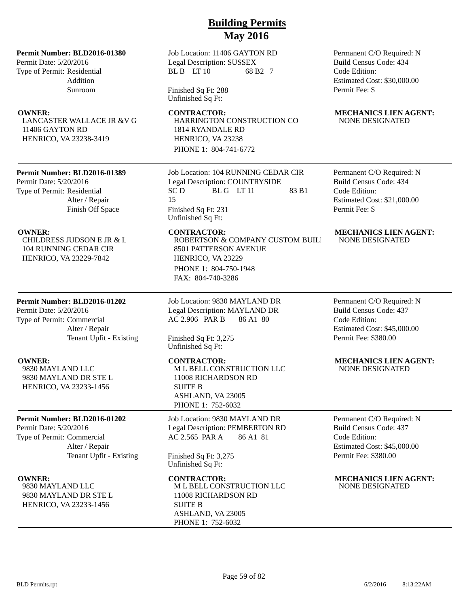**Permit Number: BLD2016-01380**

Permit Date: 5/20/2016 Type of Permit: Residential Addition Sunroom

LANCASTER WALLACE JR &V G 11406 GAYTON RD HENRICO, VA 23238-3419

### **Permit Number: BLD2016-01389**

Permit Date: 5/20/2016 Type of Permit: Residential Alter / Repair Finish Off Space

CHILDRESS JUDSON E JR & L 104 RUNNING CEDAR CIR HENRICO, VA 23229-7842

### **Permit Number: BLD2016-01202**

Permit Date: 5/20/2016 Type of Permit: Commercial Alter / Repair Tenant Upfit - Existing

9830 MAYLAND LLC 9830 MAYLAND DR STE L HENRICO, VA 23233-1456

### **Permit Number: BLD2016-01202**

Permit Date: 5/20/2016 Type of Permit: Commercial Alter / Repair Tenant Upfit - Existing

9830 MAYLAND LLC 9830 MAYLAND DR STE L HENRICO, VA 23233-1456

Job Location: 11406 GAYTON RD Legal Description: SUSSEX BL B LT 10 68 B2 7

Finished Sq Ft: 288 Unfinished Sq Ft:

HARRINGTON CONSTRUCTION CO 1814 RYANDALE RD HENRICO, VA 23238 PHONE 1: 804-741-6772

Job Location: 104 RUNNING CEDAR CIR Legal Description: COUNTRYSIDE  $SC D$  BLG LT 11 83 B1 15 Finished Sq Ft: 231 Unfinished Sq Ft:

ROBERTSON & COMPANY CUSTOM BUILD 8501 PATTERSON AVENUE HENRICO, VA 23229 PHONE 1: 804-750-1948 FAX: 804-740-3286

Job Location: 9830 MAYLAND DR Legal Description: MAYLAND DR AC 2.906 PAR B 86 A1 80

Finished Sq Ft: 3,275 Unfinished Sq Ft:

M L BELL CONSTRUCTION LLC 11008 RICHARDSON RD SUITE B ASHLAND, VA 23005 PHONE 1: 752-6032

Job Location: 9830 MAYLAND DR Legal Description: PEMBERTON RD AC 2.565 PAR A 86 A1 81

Finished Sq Ft: 3,275 Unfinished Sq Ft:

M L BELL CONSTRUCTION LLC 11008 RICHARDSON RD SUITE B ASHLAND, VA 23005 PHONE 1: 752-6032

Permanent C/O Required: N Build Census Code: 434 Code Edition: Estimated Cost: \$30,000.00 Permit Fee: \$

### **OWNER:** CONTRACTOR: MECHANICS LIEN AGENT: NONE DESIGNATED

Permanent C/O Required: N Build Census Code: 434 Code Edition: Estimated Cost: \$21,000.00 Permit Fee: \$

### **OWNER: CONTRACTOR: MECHANICS LIEN AGENT:** NONE DESIGNATED

Permanent C/O Required: N Build Census Code: 437 Code Edition: Estimated Cost: \$45,000.00 Permit Fee: \$380.00

### **OWNER: CONTRACTOR: MECHANICS LIEN AGENT:** NONE DESIGNATED

Permanent C/O Required: N Build Census Code: 437 Code Edition: Estimated Cost: \$45,000.00 Permit Fee: \$380.00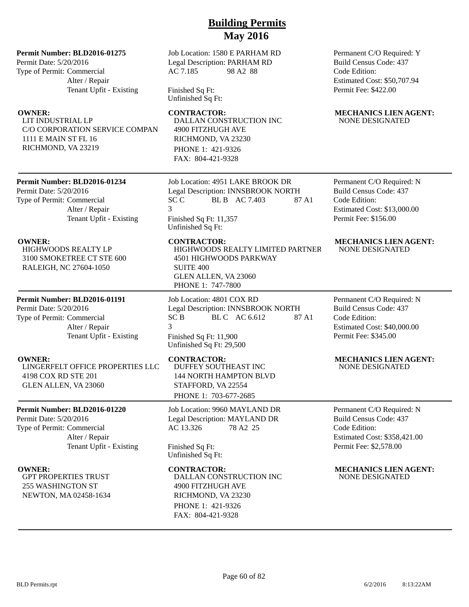### **Permit Number: BLD2016-01275**

Permit Date: 5/20/2016 Type of Permit: Commercial Alter / Repair Tenant Upfit - Existing

LIT INDUSTRIAL LP C/O CORPORATION SERVICE COMPAN 1111 E MAIN ST FL 16 RICHMOND, VA 23219

Job Location: 1580 E PARHAM RD Legal Description: PARHAM RD AC 7.185 98 A2 88

Finished Sq Ft: Unfinished Sq Ft:

> DALLAN CONSTRUCTION INC 4900 FITZHUGH AVE RICHMOND, VA 23230 PHONE 1: 421-9326

FAX: 804-421-9328

**Permit Number: BLD2016-01234**

Permit Date: 5/20/2016 Type of Permit: Commercial Alter / Repair Tenant Upfit - Existing

HIGHWOODS REALTY LP 3100 SMOKETREE CT STE 600 RALEIGH, NC 27604-1050

### **Permit Number: BLD2016-01191**

Permit Date: 5/20/2016 Type of Permit: Commercial Alter / Repair Tenant Upfit - Existing

LINGERFELT OFFICE PROPERTIES LLC 4198 COX RD STE 201 GLEN ALLEN, VA 23060

### **Permit Number: BLD2016-01220**

Permit Date: 5/20/2016 Type of Permit: Commercial Alter / Repair Tenant Upfit - Existing

GPT PROPERTIES TRUST 255 WASHINGTON ST NEWTON, MA 02458-1634

Job Location: 4951 LAKE BROOK DR Legal Description: INNSBROOK NORTH SC C BL B AC 7.403 87 A1 3 Finished Sq Ft: 11,357 Unfinished Sq Ft:

HIGHWOODS REALTY LIMITED PARTNER 4501 HIGHWOODS PARKWAY SUITE 400 GLEN ALLEN, VA 23060 PHONE 1: 747-7800

Job Location: 4801 COX RD Legal Description: INNSBROOK NORTH SC B BL C AC 6.612 87 A1 3 Finished Sq Ft: 11,900 Unfinished Sq Ft: 29,500

DUFFEY SOUTHEAST INC 144 NORTH HAMPTON BLVD STAFFORD, VA 22554 PHONE 1: 703-677-2685

Job Location: 9960 MAYLAND DR Legal Description: MAYLAND DR AC 13.326 78 A2 25

Finished Sq Ft: Unfinished Sq Ft:

DALLAN CONSTRUCTION INC 4900 FITZHUGH AVE RICHMOND, VA 23230 PHONE 1: 421-9326 FAX: 804-421-9328

Permanent C/O Required: Y Build Census Code: 437 Code Edition: Estimated Cost: \$50,707.94 Permit Fee: \$422.00

### **OWNER: CONTRACTOR: MECHANICS LIEN AGENT:** NONE DESIGNATED

Permanent C/O Required: N Build Census Code: 437 Code Edition: Estimated Cost: \$13,000.00 Permit Fee: \$156.00

### **OWNER:** CONTRACTOR: MECHANICS LIEN AGENT: NONE DESIGNATED

Permanent C/O Required: N Build Census Code: 437 Code Edition: Estimated Cost: \$40,000.00 Permit Fee: \$345.00

### **OWNER:** CONTRACTOR: MECHANICS LIEN AGENT: NONE DESIGNATED

Permanent C/O Required: N Build Census Code: 437 Code Edition: Estimated Cost: \$358,421.00 Permit Fee: \$2,578.00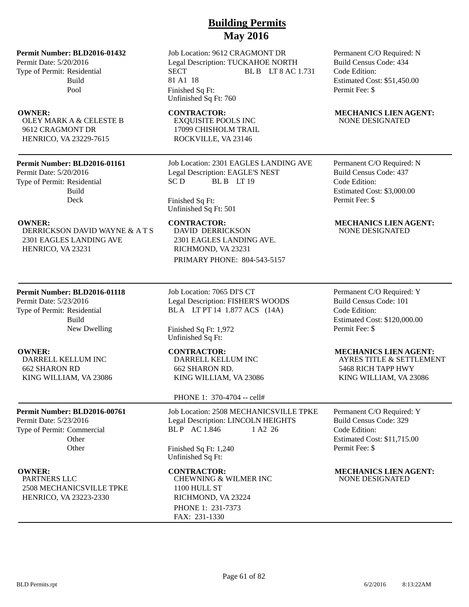### **Permit Number: BLD2016-01432**

Permit Date: 5/20/2016 Type of Permit: Residential Build Pool

OLEY MARK A & CELESTE B 9612 CRAGMONT DR HENRICO, VA 23229-7615

### **Permit Number: BLD2016-01161**

Permit Date: 5/20/2016 Type of Permit: Residential Build Deck

DERRICKSON DAVID WAYNE & A T S 2301 EAGLES LANDING AVE HENRICO, VA 23231

### **Permit Number: BLD2016-01118**

Permit Date: 5/23/2016 Type of Permit: Residential Build New Dwelling

DARRELL KELLUM INC 662 SHARON RD KING WILLIAM, VA 23086

### **Permit Number: BLD2016-00761**

Permit Date: 5/23/2016 Type of Permit: Commercial **Other Other** 

PARTNERS LLC 2508 MECHANICSVILLE TPKE HENRICO, VA 23223-2330

## **Building Permits May 2016**

Job Location: 9612 CRAGMONT DR Legal Description: TUCKAHOE NORTH SECT BLB LT 8 AC 1.731 81 A1 18 Finished Sq Ft: Unfinished Sq Ft: 760

EXQUISITE POOLS INC 17099 CHISHOLM TRAIL ROCKVILLE, VA 23146

Job Location: 2301 EAGLES LANDING AVE Legal Description: EAGLE'S NEST SC D BL B LT 19

Finished Sq Ft: Unfinished Sq Ft: 501

DAVID DERRICKSON

2301 EAGLES LANDING AVE. RICHMOND, VA 23231 PRIMARY PHONE: 804-543-5157

Job Location: 7065 DI'S CT Legal Description: FISHER'S WOODS BL A LT PT 14 1.877 ACS (14A)

Finished Sq Ft: 1,972 Unfinished Sq Ft:

DARRELL KELLUM INC 662 SHARON RD. KING WILLIAM, VA 23086

### PHONE 1: 370-4704 -- cell#

Job Location: 2508 MECHANICSVILLE TPKE Legal Description: LINCOLN HEIGHTS BL P AC 1.846 1 A2 26

Finished Sq Ft: 1,240 Unfinished Sq Ft:

CHEWNING & WILMER INC 1100 HULL ST RICHMOND, VA 23224 PHONE 1: 231-7373 FAX: 231-1330

Permanent C/O Required: N Build Census Code: 434 Code Edition: Estimated Cost: \$51,450.00 Permit Fee: \$

### **OWNER:** CONTRACTOR: MECHANICS LIEN AGENT: NONE DESIGNATED

Permanent C/O Required: N Build Census Code: 437 Code Edition: Estimated Cost: \$3,000.00 Permit Fee: \$

### **OWNER:** CONTRACTOR: MECHANICS LIEN AGENT: NONE DESIGNATED

Permanent C/O Required: Y Build Census Code: 101 Code Edition: Estimated Cost: \$120,000.00 Permit Fee: \$

### **OWNER:** CONTRACTOR: MECHANICS LIEN AGENT:

AYRES TITLE & SETTLEMENT 5468 RICH TAPP HWY KING WILLIAM, VA 23086

Permanent C/O Required: Y Build Census Code: 329 Code Edition: Estimated Cost: \$11,715.00 Permit Fee: \$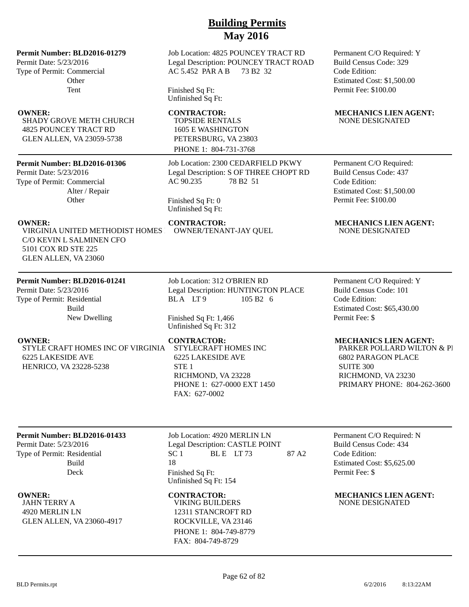### **Permit Number: BLD2016-01279**

Permit Date: 5/23/2016 Type of Permit: Commercial **Other** Tent

SHADY GROVE METH CHURCH 4825 POUNCEY TRACT RD GLEN ALLEN, VA 23059-5738

### **Permit Number: BLD2016-01306**

Permit Date: 5/23/2016 Type of Permit: Commercial Alter / Repair **Other** 

VIRGINIA UNITED METHODIST HOMES C/O KEVIN L SALMINEN CFO 5101 COX RD STE 225 GLEN ALLEN, VA 23060

### **Permit Number: BLD2016-01241**

Permit Date: 5/23/2016 Type of Permit: Residential Build New Dwelling

STYLE CRAFT HOMES INC OF VIRGINIA 6225 LAKESIDE AVE HENRICO, VA 23228-5238

Job Location: 4825 POUNCEY TRACT RD Legal Description: POUNCEY TRACT ROAD AC 5.452 PAR A B 73 B2 32

Finished Sq Ft: Unfinished Sq Ft:

TOPSIDE RENTALS 1605 E WASHINGTON PETERSBURG, VA 23803 PHONE 1: 804-731-3768

Job Location: 2300 CEDARFIELD PKWY Legal Description: S OF THREE CHOPT RD AC 90.235 78 B2 51

Finished Sq Ft: 0 Unfinished Sq Ft:

OWNER/TENANT-JAY QUEL

Job Location: 312 O'BRIEN RD Legal Description: HUNTINGTON PLACE BLA LT9 105 B2 6

Finished Sq Ft: 1,466 Unfinished Sq Ft: 312

STYLECRAFT HOMES INC 6225 LAKESIDE AVE STE<sub>1</sub> RICHMOND, VA 23228 PHONE 1: 627-0000 EXT 1450 FAX: 627-0002

Permanent C/O Required: Y Build Census Code: 329 Code Edition: Estimated Cost: \$1,500.00 Permit Fee: \$100.00

### **OWNER:** CONTRACTOR: MECHANICS LIEN AGENT: NONE DESIGNATED

Permanent C/O Required: Build Census Code: 437 Code Edition: Estimated Cost: \$1,500.00 Permit Fee: \$100.00

# **OWNER:** CONTRACTOR: MECHANICS LIEN AGENT:<br>
VIRGINIA UNITED METHODIST HOMES OWNER/TENANT-JAY OUEL NONE DESIGNATED

Permanent C/O Required: Y Build Census Code: 101 Code Edition: Estimated Cost: \$65,430.00 Permit Fee: \$

### **OWNER:** CONTRACTOR: MECHANICS LIEN AGENT:

PARKER POLLARD WILTON & PI 6802 PARAGON PLACE SUITE 300 RICHMOND, VA 23230 PRIMARY PHONE: 804-262-3600

### **Permit Number: BLD2016-01433**

Permit Date: 5/23/2016 Type of Permit: Residential Build Deck

JAHN TERRY A 4920 MERLIN LN GLEN ALLEN, VA 23060-4917 Job Location: 4920 MERLIN LN Legal Description: CASTLE POINT  $SC 1$  BLE LT 73 87 A2 18 Finished Sq Ft: Unfinished Sq Ft: 154

VIKING BUILDERS 12311 STANCROFT RD ROCKVILLE, VA 23146 PHONE 1: 804-749-8779 FAX: 804-749-8729

Permanent C/O Required: N Build Census Code: 434 Code Edition: Estimated Cost: \$5,625.00 Permit Fee: \$

**OWNER: CONTRACTOR: MECHANICS LIEN AGENT:** NONE DESIGNATED

BLD Permits.rpt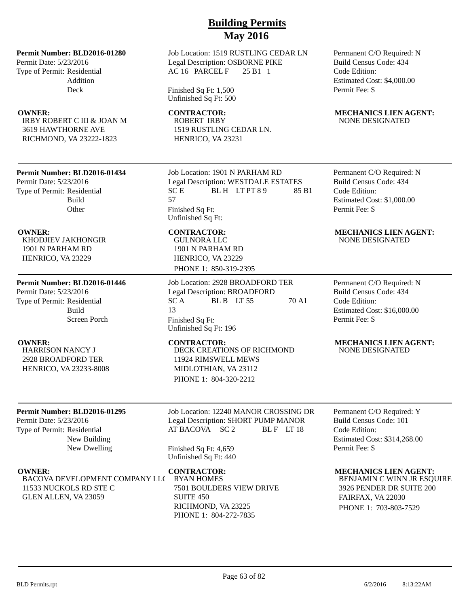### **Permit Number: BLD2016-01280**

Permit Date: 5/23/2016 Type of Permit: Residential Addition Deck

IRBY ROBERT C III & JOAN M 3619 HAWTHORNE AVE RICHMOND, VA 23222-1823

### **Permit Number: BLD2016-01434**

Permit Date: 5/23/2016 Type of Permit: Residential Build **Other** 

KHODJIEV JAKHONGIR 1901 N PARHAM RD HENRICO, VA 23229

### **Permit Number: BLD2016-01446**

Permit Date: 5/23/2016 Type of Permit: Residential Build Screen Porch

HARRISON NANCY J 2928 BROADFORD TER HENRICO, VA 23233-8008

### **Permit Number: BLD2016-01295**

Permit Date: 5/23/2016 Type of Permit: Residential New Building New Dwelling

BACOVA DEVELOPMENT COMPANY LLC 11533 NUCKOLS RD STE C GLEN ALLEN, VA 23059

Job Location: 1519 RUSTLING CEDAR LN Legal Description: OSBORNE PIKE AC 16 PARCEL F 25 B1 1

Finished Sq Ft: 1,500 Unfinished Sq Ft: 500

ROBERT IRBY 1519 RUSTLING CEDAR LN. HENRICO, VA 23231

Job Location: 1901 N PARHAM RD Legal Description: WESTDALE ESTATES  $SC E$  BLH LT PT 8 9 85 B1 57 Finished Sq Ft: Unfinished Sq Ft:

GULNORA LLC 1901 N PARHAM RD HENRICO, VA 23229 PHONE 1: 850-319-2395

Job Location: 2928 BROADFORD TER Legal Description: BROADFORD  $SC A$  BLB LT 55 70 A1 13 Finished Sq Ft: Unfinished Sq Ft: 196

DECK CREATIONS OF RICHMOND 11924 RIMSWELL MEWS MIDLOTHIAN, VA 23112 PHONE 1: 804-320-2212

Job Location: 12240 MANOR CROSSING DR Legal Description: SHORT PUMP MANOR AT BACOVA SC 2 BL F LT 18

Finished Sq Ft: 4,659 Unfinished Sq Ft: 440

RYAN HOMES 7501 BOULDERS VIEW DRIVE SUITE 450 RICHMOND, VA 23225 PHONE 1: 804-272-7835

Permanent C/O Required: N Build Census Code: 434 Code Edition: Estimated Cost: \$4,000.00 Permit Fee: \$

### **OWNER:** CONTRACTOR: MECHANICS LIEN AGENT: NONE DESIGNATED

Permanent C/O Required: N Build Census Code: 434 Code Edition: Estimated Cost: \$1,000.00 Permit Fee: \$

### **OWNER:** CONTRACTOR: MECHANICS LIEN AGENT: NONE DESIGNATED

Permanent C/O Required: N Build Census Code: 434 Code Edition: Estimated Cost: \$16,000.00 Permit Fee: \$

### **OWNER: CONTRACTOR: MECHANICS LIEN AGENT:** NONE DESIGNATED

Permanent C/O Required: Y Build Census Code: 101 Code Edition: Estimated Cost: \$314,268.00 Permit Fee: \$

### **OWNER:** CONTRACTOR: MECHANICS LIEN AGENT:

BENJAMIN C WINN JR ESQUIRE 3926 PENDER DR SUITE 200 FAIRFAX, VA 22030 PHONE 1: 703-803-7529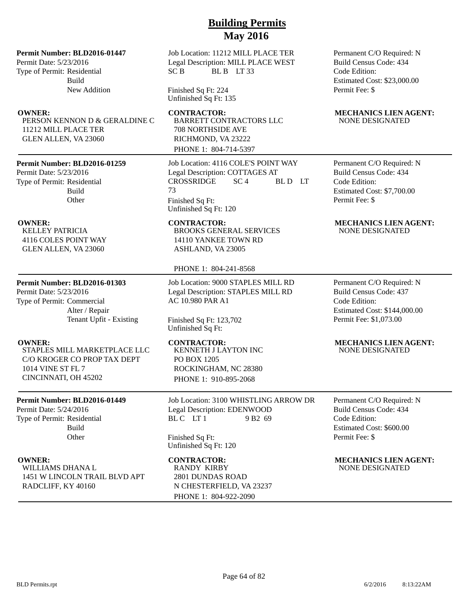### **Permit Number: BLD2016-01447**

Permit Date: 5/23/2016 Type of Permit: Residential Build New Addition

PERSON KENNON D & GERALDINE C 11212 MILL PLACE TER GLEN ALLEN, VA 23060

### **Permit Number: BLD2016-01259**

Permit Date: 5/23/2016 Type of Permit: Residential Build **Other** 

KELLEY PATRICIA 4116 COLES POINT WAY GLEN ALLEN, VA 23060

### **Permit Number: BLD2016-01303**

Permit Date: 5/23/2016 Type of Permit: Commercial Alter / Repair Tenant Upfit - Existing

STAPLES MILL MARKETPLACE LLC C/O KROGER CO PROP TAX DEPT 1014 VINE ST FL 7 CINCINNATI, OH 45202

### **Permit Number: BLD2016-01449**

Permit Date: 5/24/2016 Type of Permit: Residential Build **Other** 

WILLIAMS DHANA L 1451 W LINCOLN TRAIL BLVD APT RADCLIFF, KY 40160

Job Location: 11212 MILL PLACE TER Legal Description: MILL PLACE WEST SC B BL B LT 33

Finished Sq Ft: 224 Unfinished Sq Ft: 135

BARRETT CONTRACTORS LLC 708 NORTHSIDE AVE RICHMOND, VA 23222 PHONE 1: 804-714-5397

Job Location: 4116 COLE'S POINT WAY Legal Description: COTTAGES AT CROSSRIDGE SC 4 BL D LT 73 Finished Sq Ft: Unfinished Sq Ft: 120

BROOKS GENERAL SERVICES 14110 YANKEE TOWN RD ASHLAND, VA 23005

### PHONE 1: 804-241-8568

Job Location: 9000 STAPLES MILL RD Legal Description: STAPLES MILL RD AC 10.980 PAR A1

Finished Sq Ft: 123,702 Unfinished Sq Ft:

KENNETH J LAYTON INC PO BOX 1205 ROCKINGHAM, NC 28380 PHONE 1: 910-895-2068

Job Location: 3100 WHISTLING ARROW DR Legal Description: EDENWOOD  $BLC$   $LT1$  9 B2 69

Finished Sq Ft: Unfinished Sq Ft: 120

RANDY KIRBY 2801 DUNDAS ROAD N CHESTERFIELD, VA 23237 PHONE 1: 804-922-2090

Permanent C/O Required: N Build Census Code: 434 Code Edition: Estimated Cost: \$23,000.00 Permit Fee: \$

### **OWNER:** CONTRACTOR: MECHANICS LIEN AGENT: NONE DESIGNATED

Permanent C/O Required: N Build Census Code: 434 Code Edition: Estimated Cost: \$7,700.00 Permit Fee: \$

### **OWNER:** CONTRACTOR: MECHANICS LIEN AGENT: NONE DESIGNATED

Permanent C/O Required: N Build Census Code: 437 Code Edition: Estimated Cost: \$144,000.00 Permit Fee: \$1,073.00

### **OWNER:** CONTRACTOR: MECHANICS LIEN AGENT: NONE DESIGNATED

Permanent C/O Required: N Build Census Code: 434 Code Edition: Estimated Cost: \$600.00 Permit Fee: \$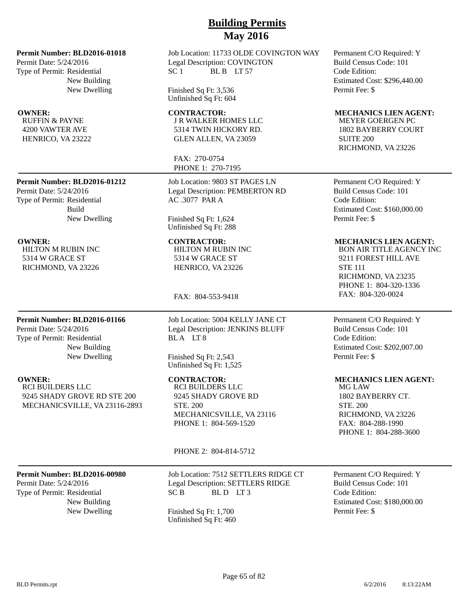### **Permit Number: BLD2016-01018**

Permit Date: 5/24/2016 Type of Permit: Residential New Building New Dwelling

RUFFIN & PAYNE 4200 VAWTER AVE HENRICO, VA 23222

### **Permit Number: BLD2016-01212**

Permit Date: 5/24/2016 Type of Permit: Residential Build New Dwelling

HILTON M RUBIN INC 5314 W GRACE ST RICHMOND, VA 23226

### **Permit Number: BLD2016-01166**

Permit Date: 5/24/2016 Type of Permit: Residential New Building New Dwelling

RCI BUILDERS LLC 9245 SHADY GROVE RD STE 200 Job Location: 11733 OLDE COVINGTON WAY Legal Description: COVINGTON SC 1 BL B LT 57

Finished Sq Ft: 3,536 Unfinished Sq Ft: 604

J R WALKER HOMES LLC 5314 TWIN HICKORY RD. GLEN ALLEN, VA 23059

FAX: 270-0754 PHONE 1: 270-7195

Job Location: 9803 ST PAGES LN Legal Description: PEMBERTON RD AC .3077 PAR A

Finished Sq Ft: 1,624 Unfinished Sq Ft: 288

HILTON M RUBIN INC 5314 W GRACE ST HENRICO, VA 23226

FAX: 804-553-9418

Job Location: 5004 KELLY JANE CT Legal Description: JENKINS BLUFF BLA LT8

Finished Sq Ft: 2,543 Unfinished Sq Ft: 1,525

RCI BUILDERS LLC 9245 SHADY GROVE RD STE. 200 MECHANICSVILLE, VA 23116 PHONE 1: 804-569-1520

PHONE 2: 804-814-5712

### **Permit Number: BLD2016-00980**

MECHANICSVILLE, VA 23116-2893

Permit Date: 5/24/2016 Type of Permit: Residential New Building Job Location: 7512 SETTLERS RIDGE CT Legal Description: SETTLERS RIDGE SC B BLD LT3

New Dwelling Finished Sq Ft: 1,700 Unfinished Sq Ft: 460 Permanent C/O Required: Y Build Census Code: 101 Code Edition: Estimated Cost: \$296,440.00 Permit Fee: \$

### **OWNER: CONTRACTOR: MECHANICS LIEN AGENT:**

MEYER GOERGEN PC 1802 BAYBERRY COURT SUITE 200 RICHMOND, VA 23226

Permanent C/O Required: Y Build Census Code: 101 Code Edition: Estimated Cost: \$160,000.00 Permit Fee: \$

### **OWNER: CONTRACTOR: MECHANICS LIEN AGENT:**

BON AIR TITLE AGENCY INC 9211 FOREST HILL AVE STE 111 RICHMOND, VA 23235 PHONE 1: 804-320-1336 FAX: 804-320-0024

Permanent C/O Required: Y Build Census Code: 101 Code Edition: Estimated Cost: \$202,007.00 Permit Fee: \$

### **OWNER:** CONTRACTOR: MECHANICS LIEN AGENT:

MG LAW 1802 BAYBERRY CT. STE. 200 RICHMOND, VA 23226 FAX: 804-288-1990 PHONE 1: 804-288-3600

Permanent C/O Required: Y Build Census Code: 101 Code Edition: Estimated Cost: \$180,000.00 Permit Fee: \$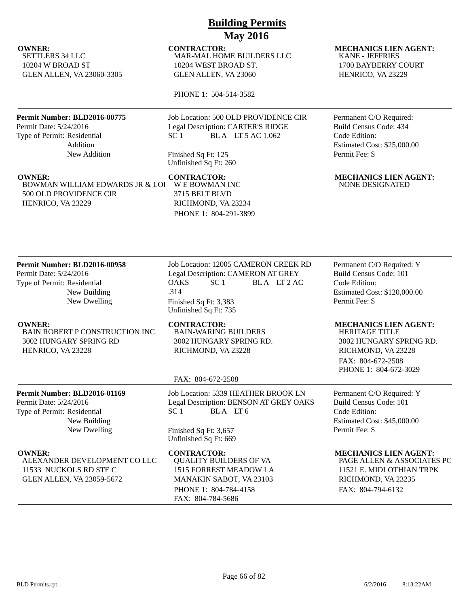SETTLERS 34 LLC 10204 W BROAD ST GLEN ALLEN, VA 23060-3305

### **Permit Number: BLD2016-00775**

Permit Date: 5/24/2016 Type of Permit: Residential Addition New Addition

BOWMAN WILLIAM EDWARDS JR & LOI 500 OLD PROVIDENCE CIR HENRICO, VA 23229

## **Building Permits May 2016**

MAR-MAL HOME BUILDERS LLC 10204 WEST BROAD ST. GLEN ALLEN, VA 23060

PHONE 1: 504-514-3582

Job Location: 500 OLD PROVIDENCE CIR Legal Description: CARTER'S RIDGE SC 1 BLA LT 5 AC 1.062

Finished Sq Ft: 125 Unfinished Sq Ft: 260

W E BOWMAN INC 3715 BELT BLVD RICHMOND, VA 23234 PHONE 1: 804-291-3899

**OWNER:** CONTRACTOR: MECHANICS LIEN AGENT: KANE - JEFFRIES 1700 BAYBERRY COURT HENRICO, VA 23229

> Permanent C/O Required: Build Census Code: 434 Code Edition: Estimated Cost: \$25,000.00 Permit Fee: \$

**OWNER:** CONTRACTOR: MECHANICS LIEN AGENT: NONE DESIGNATED

### **Permit Number: BLD2016-00958**

Permit Date: 5/24/2016 Type of Permit: Residential New Building New Dwelling

BAIN ROBERT P CONSTRUCTION INC 3002 HUNGARY SPRING RD HENRICO, VA 23228

> New Building New Dwelling

ALEXANDER DEVELOPMENT CO LLC

**Permit Number: BLD2016-01169**

11533 NUCKOLS RD STE C GLEN ALLEN, VA 23059-5672

Permit Date: 5/24/2016 Type of Permit: Residential

Job Location: 12005 CAMERON CREEK RD Legal Description: CAMERON AT GREY OAKS SC 1 BLA LT 2 AC .314 Finished Sq Ft: 3,383 Unfinished Sq Ft: 735

BAIN-WARING BUILDERS 3002 HUNGARY SPRING RD. RICHMOND, VA 23228

### FAX: 804-672-2508

Job Location: 5339 HEATHER BROOK LN Legal Description: BENSON AT GREY OAKS  $SC1$  BLA LT6

Finished Sq Ft: 3,657 Unfinished Sq Ft: 669

QUALITY BUILDERS OF VA 1515 FORREST MEADOW LA MANAKIN SABOT, VA 23103 PHONE 1: 804-784-4158 FAX: 804-784-5686

Permanent C/O Required: Y Build Census Code: 101 Code Edition: Estimated Cost: \$120,000.00 Permit Fee: \$

### **OWNER:** CONTRACTOR: MECHANICS LIEN AGENT:

HERITAGE TITLE 3002 HUNGARY SPRING RD. RICHMOND, VA 23228 FAX: 804-672-2508 PHONE 1: 804-672-3029

Permanent C/O Required: Y Build Census Code: 101 Code Edition: Estimated Cost: \$45,000.00 Permit Fee: \$

### **OWNER:** CONTRACTOR: MECHANICS LIEN AGENT:

PAGE ALLEN & ASSOCIATES PC 11521 E. MIDLOTHIAN TRPK RICHMOND, VA 23235 FAX: 804-794-6132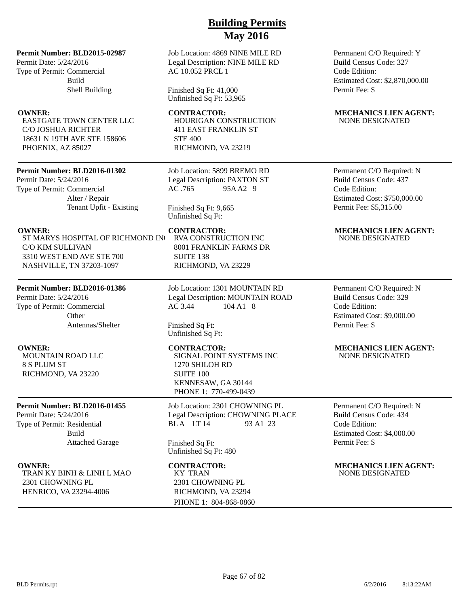### **Permit Number: BLD2015-02987**

Permit Date: 5/24/2016 Type of Permit: Commercial Build Shell Building

EASTGATE TOWN CENTER LLC C/O JOSHUA RICHTER 18631 N 19TH AVE STE 158606 PHOENIX, AZ 85027

### **Permit Number: BLD2016-01302**

Permit Date: 5/24/2016 Type of Permit: Commercial Alter / Repair Tenant Upfit - Existing

ST MARYS HOSPITAL OF RICHMOND INC C/O KIM SULLIVAN 3310 WEST END AVE STE 700 NASHVILLE, TN 37203-1097

### **Permit Number: BLD2016-01386**

Permit Date: 5/24/2016 Type of Permit: Commercial **Other** Antennas/Shelter

MOUNTAIN ROAD LLC 8 S PLUM ST RICHMOND, VA 23220

### **Permit Number: BLD2016-01455**

Permit Date: 5/24/2016 Type of Permit: Residential Build Attached Garage

TRAN KY BINH & LINH L MAO 2301 CHOWNING PL HENRICO, VA 23294-4006

Job Location: 4869 NINE MILE RD Legal Description: NINE MILE RD AC 10.052 PRCL 1

Finished Sq Ft: 41,000 Unfinished Sq Ft: 53,965

HOURIGAN CONSTRUCTION 411 EAST FRANKLIN ST STE 400 RICHMOND, VA 23219

Job Location: 5899 BREMO RD Legal Description: PAXTON ST AC .765 95A A2 9

Finished Sq Ft: 9,665 Unfinished Sq Ft:

RVA CONSTRUCTION INC 8001 FRANKLIN FARMS DR SUITE 138 RICHMOND, VA 23229

Job Location: 1301 MOUNTAIN RD Legal Description: MOUNTAIN ROAD AC 3.44 104 A1 8

Finished Sq Ft: Unfinished Sq Ft:

SIGNAL POINT SYSTEMS INC 1270 SHILOH RD SUITE 100 KENNESAW, GA 30144 PHONE 1: 770-499-0439

Job Location: 2301 CHOWNING PL Legal Description: CHOWNING PLACE<br>BLA LT 14 93 A1 23 BLA LT 14

Finished Sq Ft: Unfinished Sq Ft: 480

KY TRAN 2301 CHOWNING PL RICHMOND, VA 23294 PHONE 1: 804-868-0860

Permanent C/O Required: Y Build Census Code: 327 Code Edition: Estimated Cost: \$2,870,000.00 Permit Fee: \$

### **OWNER:** CONTRACTOR: MECHANICS LIEN AGENT: NONE DESIGNATED

Permanent C/O Required: N Build Census Code: 437 Code Edition: Estimated Cost: \$750,000.00 Permit Fee: \$5,315.00

### **OWNER: CONTRACTOR: MECHANICS LIEN AGENT:** NONE DESIGNATED

Permanent C/O Required: N Build Census Code: 329 Code Edition: Estimated Cost: \$9,000.00 Permit Fee: \$

### **OWNER: CONTRACTOR: MECHANICS LIEN AGENT:** NONE DESIGNATED

Permanent C/O Required: N Build Census Code: 434 Code Edition: Estimated Cost: \$4,000.00 Permit Fee: \$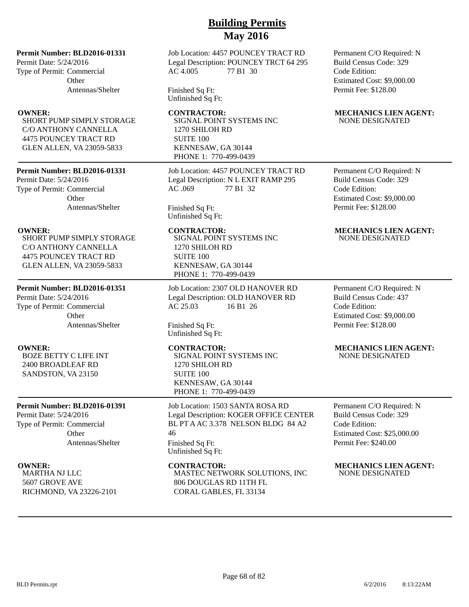### **Permit Number: BLD2016-01331**

Permit Date: 5/24/2016 Type of Permit: Commercial **Other** Antennas/Shelter

SHORT PUMP SIMPLY STORAGE C/O ANTHONY CANNELLA 4475 POUNCEY TRACT RD GLEN ALLEN, VA 23059-5833

### **Permit Number: BLD2016-01331**

Permit Date: 5/24/2016 Type of Permit: Commercial **Other** Antennas/Shelter

SHORT PUMP SIMPLY STORAGE C/O ANTHONY CANNELLA 4475 POUNCEY TRACT RD GLEN ALLEN, VA 23059-5833

### **Permit Number: BLD2016-01351**

Permit Date: 5/24/2016 Type of Permit: Commercial **Other** Antennas/Shelter

BOZE BETTY C LIFE INT 2400 BROADLEAF RD SANDSTON, VA 23150

### **Permit Number: BLD2016-01391**

Permit Date: 5/24/2016 Type of Permit: Commercial Other Antennas/Shelter

MARTHA NJ LLC 5607 GROVE AVE RICHMOND, VA 23226-2101 Job Location: 4457 POUNCEY TRACT RD Legal Description: POUNCEY TRCT 64 295 AC 4.005 77 B1 30

Finished Sq Ft: Unfinished Sq Ft:

SIGNAL POINT SYSTEMS INC 1270 SHILOH RD SUITE 100 KENNESAW, GA 30144 PHONE 1: 770-499-0439

Job Location: 4457 POUNCEY TRACT RD Legal Description: N L EXIT RAMP 295 AC .069 77 B1 32

Finished Sq Ft: Unfinished Sq Ft:

SIGNAL POINT SYSTEMS INC 1270 SHILOH RD SUITE 100 KENNESAW, GA 30144 PHONE 1: 770-499-0439

Job Location: 2307 OLD HANOVER RD Legal Description: OLD HANOVER RD AC 25.03 16 B1 26

Finished Sq Ft: Unfinished Sq Ft:

SIGNAL POINT SYSTEMS INC 1270 SHILOH RD SUITE 100 KENNESAW, GA 30144 PHONE 1: 770-499-0439

Job Location: 1503 SANTA ROSA RD Legal Description: KOGER OFFICE CENTER BL PT A AC 3.378 NELSON BLDG 84 A2 46 Finished Sq Ft: Unfinished Sq Ft:

MASTEC NETWORK SOLUTIONS, INC 806 DOUGLAS RD 11TH FL CORAL GABLES, FL 33134

Permanent C/O Required: N Build Census Code: 329 Code Edition: Estimated Cost: \$9,000.00 Permit Fee: \$128.00

### **OWNER:** CONTRACTOR: MECHANICS LIEN AGENT: NONE DESIGNATED

Permanent C/O Required: N Build Census Code: 329 Code Edition: Estimated Cost: \$9,000.00 Permit Fee: \$128.00

### **OWNER: CONTRACTOR: MECHANICS LIEN AGENT:** NONE DESIGNATED

Permanent C/O Required: N Build Census Code: 437 Code Edition: Estimated Cost: \$9,000.00 Permit Fee: \$128.00

### **OWNER: CONTRACTOR: MECHANICS LIEN AGENT:** NONE DESIGNATED

Permanent C/O Required: N Build Census Code: 329 Code Edition: Estimated Cost: \$25,000.00 Permit Fee: \$240.00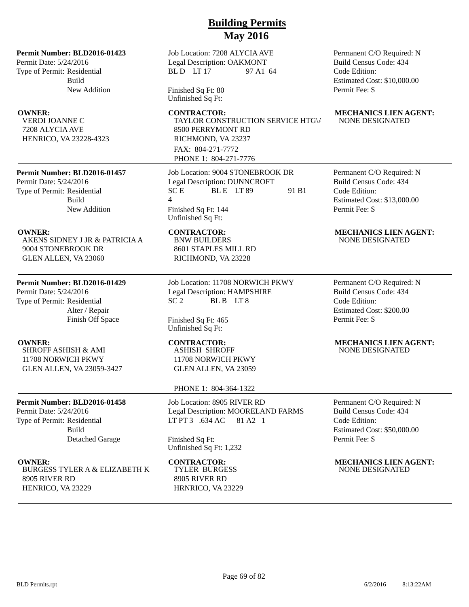**Permit Number: BLD2016-01423**

Permit Date: 5/24/2016 Type of Permit: Residential Build New Addition

VERDI JOANNE C 7208 ALYCIA AVE HENRICO, VA 23228-4323

### **Permit Number: BLD2016-01457**

Permit Date: 5/24/2016 Type of Permit: Residential Build New Addition

AKENS SIDNEY J JR & PATRICIA A 9004 STONEBROOK DR GLEN ALLEN, VA 23060

### **Permit Number: BLD2016-01429**

Permit Date: 5/24/2016 Type of Permit: Residential Alter / Repair Finish Off Space

SHROFF ASHISH & AMI 11708 NORWICH PKWY GLEN ALLEN, VA 23059-3427

### **Permit Number: BLD2016-01458**

Permit Date: 5/24/2016 Type of Permit: Residential Build Detached Garage

BURGESS TYLER A & ELIZABETH K 8905 RIVER RD HENRICO, VA 23229

Job Location: 7208 ALYCIA AVE Legal Description: OAKMONT BL D LT 17 97 A1 64

Finished Sq Ft: 80 Unfinished Sq Ft:

**OWNER:** CONTRACTOR: MECHANICS LIEN AGENT: TAYLOR CONSTRUCTION SERVICE HTG\/ 8500 PERRYMONT RD RICHMOND, VA 23237 FAX: 804-271-7772 PHONE 1: 804-271-7776

> Job Location: 9004 STONEBROOK DR Legal Description: DUNNCROFT  $SC E$  BLE LT 89 91 B1  $\Lambda$ Finished Sq Ft: 144 Unfinished Sq Ft:

BNW BUILDERS 8601 STAPLES MILL RD RICHMOND, VA 23228

Job Location: 11708 NORWICH PKWY Legal Description: HAMPSHIRE SC 2 BL B LT 8

Finished Sq Ft: 465 Unfinished Sq Ft:

ASHISH SHROFF 11708 NORWICH PKWY GLEN ALLEN, VA 23059

### PHONE 1: 804-364-1322

Job Location: 8905 RIVER RD Legal Description: MOORELAND FARMS LT PT 3 .634 AC 81 A2 1

Finished Sq Ft: Unfinished Sq Ft: 1,232

TYLER BURGESS 8905 RIVER RD HRNRICO, VA 23229 Permanent C/O Required: N Build Census Code: 434 Code Edition: Estimated Cost: \$10,000.00 Permit Fee: \$

# NONE DESIGNATED

Permanent C/O Required: N Build Census Code: 434 Code Edition: Estimated Cost: \$13,000.00 Permit Fee: \$

### **OWNER: CONTRACTOR: MECHANICS LIEN AGENT:** NONE DESIGNATED

Permanent C/O Required: N Build Census Code: 434 Code Edition: Estimated Cost: \$200.00 Permit Fee: \$

### **OWNER: CONTRACTOR: MECHANICS LIEN AGENT:** NONE DESIGNATED

Permanent C/O Required: N Build Census Code: 434 Code Edition: Estimated Cost: \$50,000.00 Permit Fee: \$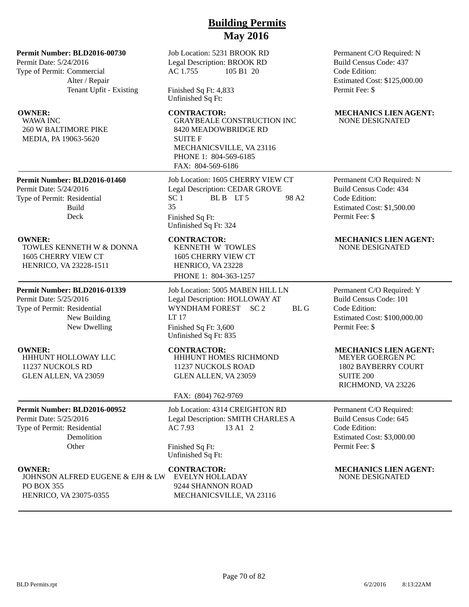### **Permit Number: BLD2016-00730**

Permit Date: 5/24/2016 Type of Permit: Commercial Alter / Repair Tenant Upfit - Existing

WAWA INC 260 W BALTIMORE PIKE MEDIA, PA 19063-5620

**Permit Number: BLD2016-01460** Permit Date: 5/24/2016 Type of Permit: Residential Build Deck

TOWLES KENNETH W & DONNA 1605 CHERRY VIEW CT HENRICO, VA 23228-1511

### **Permit Number: BLD2016-01339**

Permit Date: 5/25/2016 Type of Permit: Residential New Building New Dwelling

HHHUNT HOLLOWAY LLC 11237 NUCKOLS RD GLEN ALLEN, VA 23059

### **Permit Number: BLD2016-00952**

Permit Date: 5/25/2016 Type of Permit: Residential Demolition **Other** 

JOHNSON ALFRED EUGENE & EJH & LW PO BOX 355 HENRICO, VA 23075-0355

Job Location: 5231 BROOK RD Legal Description: BROOK RD AC 1.755 105 B1 20

Finished Sq Ft: 4,833 Unfinished Sq Ft:

GRAYBEALE CONSTRUCTION INC 8420 MEADOWBRIDGE RD SUITE F MECHANICSVILLE, VA 23116 PHONE 1: 804-569-6185 FAX: 804-569-6186

Job Location: 1605 CHERRY VIEW CT Legal Description: CEDAR GROVE  $SC 1$  BLB LT5 98 A2 35 Finished Sq Ft: Unfinished Sq Ft: 324

KENNETH W TOWLES 1605 CHERRY VIEW CT HENRICO, VA 23228 PHONE 1: 804-363-1257

Job Location: 5005 MABEN HILL LN Legal Description: HOLLOWAY AT WYNDHAM FOREST SC 2 BL G LT 17 Finished Sq Ft: 3,600 Unfinished Sq Ft: 835

HHHUNT HOMES RICHMOND 11237 NUCKOLS ROAD GLEN ALLEN, VA 23059

### FAX: (804) 762-9769

Job Location: 4314 CREIGHTON RD Legal Description: SMITH CHARLES A AC 7.93 13 A1 2

Finished Sq Ft: Unfinished Sq Ft:

EVELYN HOLLADAY 9244 SHANNON ROAD MECHANICSVILLE, VA 23116 Permanent C/O Required: N Build Census Code: 437 Code Edition: Estimated Cost: \$125,000.00 Permit Fee: \$

### **OWNER: CONTRACTOR: MECHANICS LIEN AGENT:** NONE DESIGNATED

### Permanent C/O Required: N Build Census Code: 434 Code Edition: Estimated Cost: \$1,500.00 Permit Fee: \$

### **OWNER:** CONTRACTOR: MECHANICS LIEN AGENT: NONE DESIGNATED

Permanent C/O Required: Y Build Census Code: 101 Code Edition: Estimated Cost: \$100,000.00 Permit Fee: \$

### **OWNER: CONTRACTOR: MECHANICS LIEN AGENT:**

MEYER GOERGEN PC 1802 BAYBERRY COURT SUITE 200 RICHMOND, VA 23226

Permanent C/O Required: Build Census Code: 645 Code Edition: Estimated Cost: \$3,000.00 Permit Fee: \$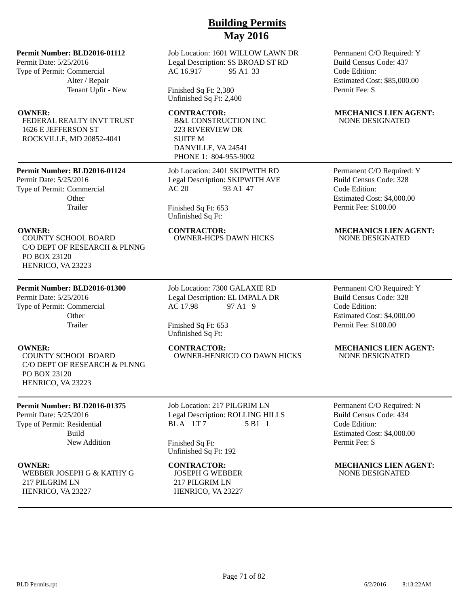### **Permit Number: BLD2016-01112**

Permit Date: 5/25/2016 Type of Permit: Commercial Alter / Repair Tenant Upfit - New

FEDERAL REALTY INVT TRUST 1626 E JEFFERSON ST ROCKVILLE, MD 20852-4041

### **Permit Number: BLD2016-01124**

Permit Date: 5/25/2016 Type of Permit: Commercial **Other** Trailer

COUNTY SCHOOL BOARD C/O DEPT OF RESEARCH & PLNNG PO BOX 23120 HENRICO, VA 23223

### **Permit Number: BLD2016-01300**

Permit Date: 5/25/2016 Type of Permit: Commercial **Other** Trailer

COUNTY SCHOOL BOARD C/O DEPT OF RESEARCH & PLNNG PO BOX 23120 HENRICO, VA 23223

### **Permit Number: BLD2016-01375**

Permit Date: 5/25/2016 Type of Permit: Residential Build New Addition

WEBBER JOSEPH G & KATHY G 217 PILGRIM LN HENRICO, VA 23227

Job Location: 1601 WILLOW LAWN DR Legal Description: SS BROAD ST RD AC 16.917 95 A1 33

Finished Sq Ft: 2,380 Unfinished Sq Ft: 2,400

B&L CONSTRUCTION INC 223 RIVERVIEW DR SUITE M DANVILLE, VA 24541 PHONE 1: 804-955-9002

Job Location: 2401 SKIPWITH RD Legal Description: SKIPWITH AVE AC 20 93 A1 47

Finished Sq Ft: 653 Unfinished Sq Ft:

**OWNER: CONTRACTOR: MECHANICS LIEN AGENT:** OWNER-HCPS DAWN HICKS NONE DESIGNATED

> Job Location: 7300 GALAXIE RD Legal Description: EL IMPALA DR AC 17.98 97 A1 9

Finished Sq Ft: 653 Unfinished Sq Ft:

## OWNER-HENRICO CO DAWN HICKS NONE DESIGNATED

Job Location: 217 PILGRIM LN Legal Description: ROLLING HILLS BLA LT7 5 B1 1

Finished Sq Ft: Unfinished Sq Ft: 192

# JOSEPH G WEBBER

217 PILGRIM LN HENRICO, VA 23227 Permanent C/O Required: Y Build Census Code: 437 Code Edition: Estimated Cost: \$85,000.00 Permit Fee: \$

### **OWNER:** CONTRACTOR: MECHANICS LIEN AGENT: NONE DESIGNATED

Permanent C/O Required: Y Build Census Code: 328 Code Edition: Estimated Cost: \$4,000.00 Permit Fee: \$100.00

Permanent C/O Required: Y Build Census Code: 328 Code Edition: Estimated Cost: \$4,000.00 Permit Fee: \$100.00

# **OWNER: CONTRACTOR: MECHANICS LIEN AGENT:**

Permanent C/O Required: N Build Census Code: 434 Code Edition: Estimated Cost: \$4,000.00 Permit Fee: \$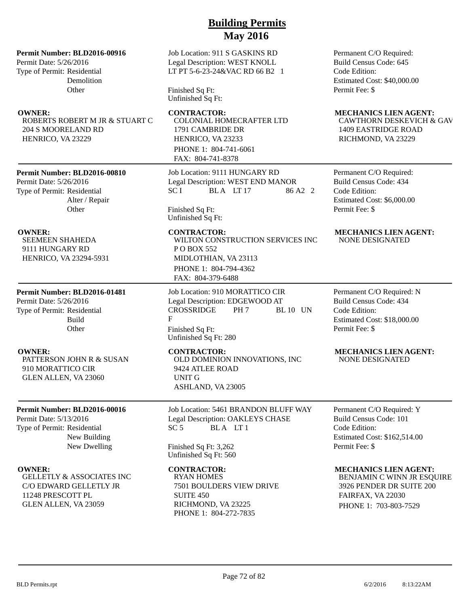### **Permit Number: BLD2016-00916**

Permit Date: 5/26/2016 Type of Permit: Residential Demolition **Other** 

ROBERTS ROBERT M JR & STUART C 204 S MOORELAND RD HENRICO, VA 23229

### **Permit Number: BLD2016-00810**

Permit Date: 5/26/2016 Type of Permit: Residential Alter / Repair **Other** 

SEEMEEN SHAHEDA 9111 HUNGARY RD HENRICO, VA 23294-5931

## **Permit Number: BLD2016-01481**

Permit Date: 5/26/2016 Type of Permit: Residential Build **Other** 

PATTERSON JOHN R & SUSAN 910 MORATTICO CIR GLEN ALLEN, VA 23060

### **Permit Number: BLD2016-00016**

Permit Date: 5/13/2016 Type of Permit: Residential New Building New Dwelling

GELLETLY & ASSOCIATES INC C/O EDWARD GELLETLY JR 11248 PRESCOTT PL GLEN ALLEN, VA 23059

### Job Location: 911 S GASKINS RD Legal Description: WEST KNOLL LT PT 5-6-23-24&VAC RD 66 B2 1

Finished Sq Ft: Unfinished Sq Ft:

COLONIAL HOMECRAFTER LTD

1791 CAMBRIDE DR HENRICO, VA 23233 PHONE 1: 804-741-6061 FAX: 804-741-8378

Job Location: 9111 HUNGARY RD Legal Description: WEST END MANOR  $SCI$  BLA LT 17 86 A2 2

Finished Sq Ft: Unfinished Sq Ft:

WILTON CONSTRUCTION SERVICES INC P O BOX 552 MIDLOTHIAN, VA 23113 PHONE 1: 804-794-4362 FAX: 804-379-6488

Job Location: 910 MORATTICO CIR Legal Description: EDGEWOOD AT CROSSRIDGE PH 7 BL 10 UN F Finished Sq Ft: Unfinished Sq Ft: 280

OLD DOMINION INNOVATIONS, INC 9424 ATLEE ROAD UNIT G ASHLAND, VA 23005

Job Location: 5461 BRANDON BLUFF WAY Legal Description: OAKLEYS CHASE SC 5 BLA LT 1

Finished Sq Ft: 3,262 Unfinished Sq Ft: 560

RYAN HOMES 7501 BOULDERS VIEW DRIVE SUITE 450 RICHMOND, VA 23225 PHONE 1: 804-272-7835

Permanent C/O Required: Build Census Code: 645 Code Edition: Estimated Cost: \$40,000.00 Permit Fee: \$

### **OWNER:** CONTRACTOR: MECHANICS LIEN AGENT:

CAWTHORN DESKEVICH & GAV 1409 EASTRIDGE ROAD RICHMOND, VA 23229

Permanent C/O Required: Build Census Code: 434 Code Edition: Estimated Cost: \$6,000.00 Permit Fee: \$

### **OWNER: CONTRACTOR: MECHANICS LIEN AGENT:** NONE DESIGNATED

Permanent C/O Required: N Build Census Code: 434 Code Edition: Estimated Cost: \$18,000.00 Permit Fee: \$

### **OWNER:** CONTRACTOR: MECHANICS LIEN AGENT: NONE DESIGNATED

Permanent C/O Required: Y Build Census Code: 101 Code Edition: Estimated Cost: \$162,514.00 Permit Fee: \$

### **OWNER:** CONTRACTOR: MECHANICS LIEN AGENT:

BENJAMIN C WINN JR ESQUIRE 3926 PENDER DR SUITE 200 FAIRFAX, VA 22030 PHONE 1: 703-803-7529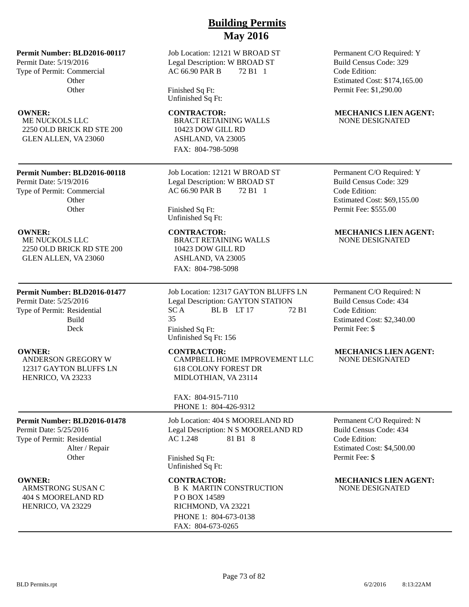**Permit Number: BLD2016-00117**

Permit Date: 5/19/2016 Type of Permit: Commercial **Other Other** 

ME NUCKOLS LLC 2250 OLD BRICK RD STE 200 GLEN ALLEN, VA 23060

### **Permit Number: BLD2016-00118**

Permit Date: 5/19/2016 Type of Permit: Commercial **Other Other** 

ME NUCKOLS LLC 2250 OLD BRICK RD STE 200 GLEN ALLEN, VA 23060

### **Permit Number: BLD2016-01477**

Permit Date: 5/25/2016 Type of Permit: Residential Build Deck

ANDERSON GREGORY W 12317 GAYTON BLUFFS LN HENRICO, VA 23233

### **Permit Number: BLD2016-01478**

Permit Date: 5/25/2016 Type of Permit: Residential Alter / Repair **Other** 

ARMSTRONG SUSAN C 404 S MOORELAND RD HENRICO, VA 23229

### Job Location: 12121 W BROAD ST Legal Description: W BROAD ST AC 66.90 PAR B 72 B1 1

Finished Sq Ft: Unfinished Sq Ft:

BRACT RETAINING WALLS 10423 DOW GILL RD ASHLAND, VA 23005 FAX: 804-798-5098

Job Location: 12121 W BROAD ST Legal Description: W BROAD ST AC 66.90 PAR B 72 B1 1

Finished Sq Ft: Unfinished Sq Ft:

BRACT RETAINING WALLS 10423 DOW GILL RD ASHLAND, VA 23005 FAX: 804-798-5098

Job Location: 12317 GAYTON BLUFFS LN Legal Description: GAYTON STATION  $SC A$  BL B LT 17 72 B1 35 Finished Sq Ft: Unfinished Sq Ft: 156

CAMPBELL HOME IMPROVEMENT LLC 618 COLONY FOREST DR MIDLOTHIAN, VA 23114

FAX: 804-915-7110 PHONE 1: 804-426-9312

Job Location: 404 S MOORELAND RD Legal Description: N S MOORELAND RD AC 1.248 81 B1 8

Finished Sq Ft: Unfinished Sq Ft:

# B K MARTIN CONSTRUCTION P O BOX 14589 RICHMOND, VA 23221 PHONE 1: 804-673-0138 FAX: 804-673-0265

Permanent C/O Required: Y Build Census Code: 329 Code Edition: Estimated Cost: \$174,165.00 Permit Fee: \$1,290.00

### **OWNER:** CONTRACTOR: MECHANICS LIEN AGENT: NONE DESIGNATED

Permanent C/O Required: Y Build Census Code: 329 Code Edition: Estimated Cost: \$69,155.00 Permit Fee: \$555.00

### **OWNER: CONTRACTOR: MECHANICS LIEN AGENT:** NONE DESIGNATED

Permanent C/O Required: N Build Census Code: 434 Code Edition: Estimated Cost: \$2,340.00 Permit Fee: \$

### **OWNER:** CONTRACTOR: MECHANICS LIEN AGENT: NONE DESIGNATED

Permanent C/O Required: N Build Census Code: 434 Code Edition: Estimated Cost: \$4,500.00 Permit Fee: \$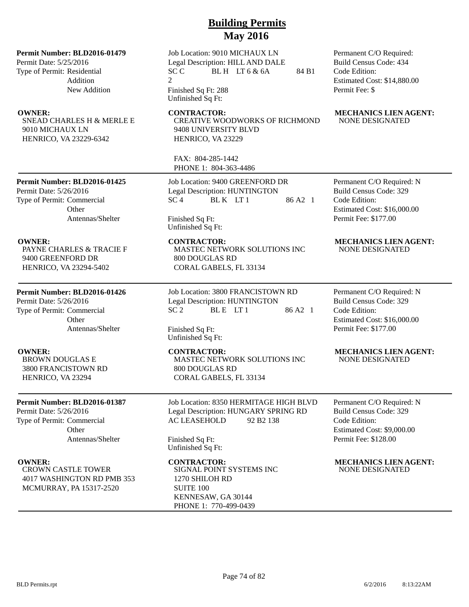### **Permit Number: BLD2016-01479**

Permit Date: 5/25/2016 Type of Permit: Residential Addition New Addition

SNEAD CHARLES H & MERLE E 9010 MICHAUX LN HENRICO, VA 23229-6342

Job Location: 9010 MICHAUX LN Legal Description: HILL AND DALE  $SCC$  BLH LT 6 & 6A 84 B1 2

Finished Sq Ft: 288 Unfinished Sq Ft:

**OWNER: CONTRACTOR: MECHANICS LIEN AGENT:** CREATIVE WOODWORKS OF RICHMOND 9408 UNIVERSITY BLVD HENRICO, VA 23229

> FAX: 804-285-1442 PHONE 1: 804-363-4486

Job Location: 9400 GREENFORD DR Legal Description: HUNTINGTON  $SC<sub>4</sub>$  BLK LT1 86 A2 1

Permit Date: 5/26/2016 Type of Permit: Commercial

**Permit Number: BLD2016-01425**

**Other** Antennas/Shelter

PAYNE CHARLES & TRACIE F 9400 GREENFORD DR HENRICO, VA 23294-5402

### **Permit Number: BLD2016-01426**

Permit Date: 5/26/2016 Type of Permit: Commercial Other Antennas/Shelter

BROWN DOUGLAS E 3800 FRANCISTOWN RD HENRICO, VA 23294

### **Permit Number: BLD2016-01387**

Permit Date: 5/26/2016 Type of Permit: Commercial **Other** Antennas/Shelter

CROWN CASTLE TOWER 4017 WASHINGTON RD PMB 353 MCMURRAY, PA 15317-2520

Finished Sq Ft: Unfinished Sq Ft:

MASTEC NETWORK SOLUTIONS INC 800 DOUGLAS RD CORAL GABELS, FL 33134

Job Location: 3800 FRANCISTOWN RD Legal Description: HUNTINGTON  $SC 2$  BLE LT1 86 A2 1

Finished Sq Ft: Unfinished Sq Ft:

MASTEC NETWORK SOLUTIONS INC 800 DOUGLAS RD CORAL GABELS, FL 33134

Job Location: 8350 HERMITAGE HIGH BLVD Legal Description: HUNGARY SPRING RD AC LEASEHOLD 92 B2 138

Finished Sq Ft: Unfinished Sq Ft:

SIGNAL POINT SYSTEMS INC 1270 SHILOH RD SUITE 100 KENNESAW, GA 30144 PHONE 1: 770-499-0439

Permanent C/O Required: Build Census Code: 434 Code Edition: Estimated Cost: \$14,880.00 Permit Fee: \$

# NONE DESIGNATED

Permanent C/O Required: N Build Census Code: 329 Code Edition: Estimated Cost: \$16,000.00 Permit Fee: \$177.00

### **OWNER:** CONTRACTOR: MECHANICS LIEN AGENT: NONE DESIGNATED

Permanent C/O Required: N Build Census Code: 329 Code Edition: Estimated Cost: \$16,000.00 Permit Fee: \$177.00

### **OWNER:** CONTRACTOR: MECHANICS LIEN AGENT: NONE DESIGNATED

Permanent C/O Required: N Build Census Code: 329 Code Edition: Estimated Cost: \$9,000.00 Permit Fee: \$128.00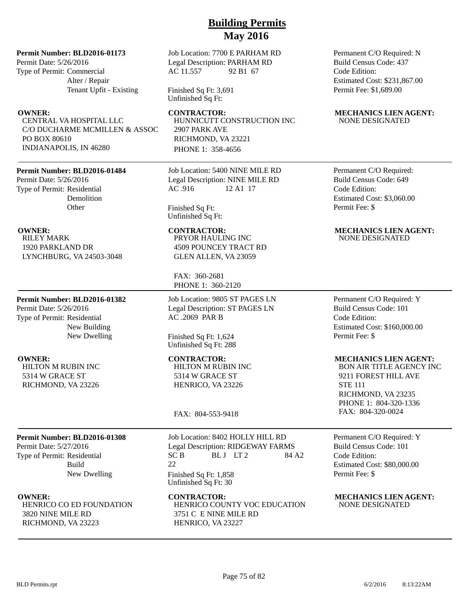### **Permit Number: BLD2016-01173**

Permit Date: 5/26/2016 Type of Permit: Commercial Alter / Repair Tenant Upfit - Existing

CENTRAL VA HOSPITAL LLC C/O DUCHARME MCMILLEN & ASSOC PO BOX 80610 INDIANAPOLIS, IN 46280

### **Permit Number: BLD2016-01484**

Permit Date: 5/26/2016 Type of Permit: Residential Demolition **Other** 

RILEY MARK 1920 PARKLAND DR LYNCHBURG, VA 24503-3048

### **Permit Number: BLD2016-01382**

Permit Date: 5/26/2016 Type of Permit: Residential New Building New Dwelling

HILTON M RUBIN INC 5314 W GRACE ST RICHMOND, VA 23226

# **Permit Number: BLD2016-01308**

Permit Date: 5/27/2016 Type of Permit: Residential Build New Dwelling

HENRICO CO ED FOUNDATION 3820 NINE MILE RD RICHMOND, VA 23223

Job Location: 7700 E PARHAM RD Legal Description: PARHAM RD AC 11.557 92 B1 67

Finished Sq Ft: 3,691 Unfinished Sq Ft:

HUNNICUTT CONSTRUCTION INC 2907 PARK AVE RICHMOND, VA 23221 PHONE 1: 358-4656

Job Location: 5400 NINE MILE RD Legal Description: NINE MILE RD AC .916 12 A1 17

Finished Sq Ft: Unfinished Sq Ft:

PRYOR HAULING INC 4509 POUNCEY TRACT RD GLEN ALLEN, VA 23059

FAX: 360-2681 PHONE 1: 360-2120

Job Location: 9805 ST PAGES LN Legal Description: ST PAGES LN AC .2069 PAR B

Finished Sq Ft: 1,624 Unfinished Sq Ft: 288

HILTON M RUBIN INC 5314 W GRACE ST HENRICO, VA 23226

FAX: 804-553-9418

Job Location: 8402 HOLLY HILL RD Legal Description: RIDGEWAY FARMS  $SC B$  BLJ LT2 84 A2 22 Finished Sq Ft: 1,858 Unfinished Sq Ft: 30

**OWNER: CONTRACTOR: MECHANICS LIEN AGENT:** HENRICO COUNTY VOC EDUCATION 3751 C E NINE MILE RD HENRICO, VA 23227

Permanent C/O Required: N Build Census Code: 437 Code Edition: Estimated Cost: \$231,867.00 Permit Fee: \$1,689.00

### **OWNER:** CONTRACTOR: MECHANICS LIEN AGENT: NONE DESIGNATED

Permanent C/O Required: Build Census Code: 649 Code Edition: Estimated Cost: \$3,060.00 Permit Fee: \$

### **OWNER:** CONTRACTOR: MECHANICS LIEN AGENT: NONE DESIGNATED

Permanent C/O Required: Y Build Census Code: 101 Code Edition: Estimated Cost: \$160,000.00 Permit Fee: \$

### **OWNER: CONTRACTOR: MECHANICS LIEN AGENT:**

BON AIR TITLE AGENCY INC 9211 FOREST HILL AVE STE 111 RICHMOND, VA 23235 PHONE 1: 804-320-1336 FAX: 804-320-0024

Permanent C/O Required: Y Build Census Code: 101 Code Edition: Estimated Cost: \$80,000.00 Permit Fee: \$

NONE DESIGNATED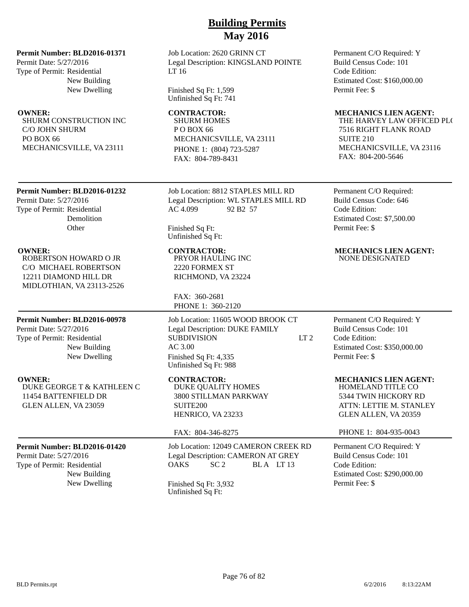**Permit Number: BLD2016-01371**

Permit Date: 5/27/2016 Type of Permit: Residential New Building New Dwelling

SHURM CONSTRUCTION INC C/O JOHN SHURM PO BOX 66 MECHANICSVILLE, VA 23111

### Job Location: 2620 GRINN CT Legal Description: KINGSLAND POINTE LT 16

Finished Sq Ft: 1,599 Unfinished Sq Ft: 741

SHURM HOMES PO BOX 66 MECHANICSVILLE, VA 23111 PHONE 1: (804) 723-5287 FAX: 804-789-8431

**Permit Number: BLD2016-01232**

Permit Date: 5/27/2016 Type of Permit: Residential Demolition **Other** 

ROBERTSON HOWARD O JR C/O MICHAEL ROBERTSON 12211 DIAMOND HILL DR MIDLOTHIAN, VA 23113-2526

**Permit Number: BLD2016-00978**

Permit Date: 5/27/2016 Type of Permit: Residential New Building New Dwelling

DUKE GEORGE T & KATHLEEN C 11454 BATTENFIELD DR GLEN ALLEN, VA 23059

### **Permit Number: BLD2016-01420**

Permit Date: 5/27/2016 Type of Permit: Residential New Building Job Location: 8812 STAPLES MILL RD Legal Description: WL STAPLES MILL RD AC 4.099 92 B2 57

Finished Sq Ft: Unfinished Sq Ft:

PRYOR HAULING INC 2220 FORMEX ST RICHMOND, VA 23224

FAX: 360-2681 PHONE 1: 360-2120

Job Location: 11605 WOOD BROOK CT Legal Description: DUKE FAMILY SUBDIVISION LT 2 AC 3.00 Finished Sq Ft: 4,335 Unfinished Sq Ft: 988

DUKE QUALITY HOMES 3800 STILLMAN PARKWAY SUITE200 HENRICO, VA 23233

### FAX: 804-346-8275

Job Location: 12049 CAMERON CREEK RD Legal Description: CAMERON AT GREY OAKS SC 2 BLA LT 13

New Dwelling Finished Sq Ft: 3,932 Unfinished Sq Ft:

Permanent C/O Required: Y Build Census Code: 101 Code Edition: Estimated Cost: \$160,000.00 Permit Fee: \$

### **OWNER:** CONTRACTOR: MECHANICS LIEN AGENT:

THE HARVEY LAW OFFICED PLC 7516 RIGHT FLANK ROAD SUITE 210 MECHANICSVILLE, VA 23116 FAX: 804-200-5646

Permanent C/O Required: Build Census Code: 646 Code Edition: Estimated Cost: \$7,500.00 Permit Fee: \$

### **OWNER: CONTRACTOR: MECHANICS LIEN AGENT:** NONE DESIGNATED

Permanent C/O Required: Y Build Census Code: 101 Code Edition: Estimated Cost: \$350,000.00 Permit Fee: \$

**OWNER: CONTRACTOR: MECHANICS LIEN AGENT:** 

HOMELAND TITLE CO 5344 TWIN HICKORY RD ATTN: LETTIE M. STANLEY GLEN ALLEN, VA 20359

### PHONE 1: 804-935-0043

Permanent C/O Required: Y Build Census Code: 101 Code Edition: Estimated Cost: \$290,000.00 Permit Fee: \$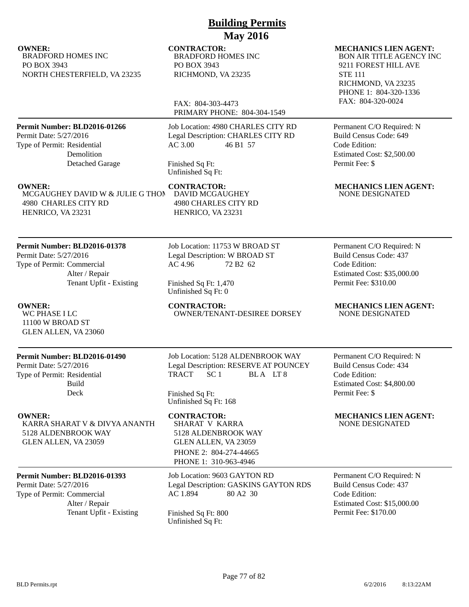**OWNER:** CONTRACTOR: MECHANICS LIEN AGENT: BRADFORD HOMES INC PO BOX 3943 NORTH CHESTERFIELD, VA 23235

### **Permit Number: BLD2016-01266**

Permit Date: 5/27/2016 Type of Permit: Residential Demolition Detached Garage

MCGAUGHEY DAVID W & JULIE G THOM 4980 CHARLES CITY RD HENRICO, VA 23231

### **Permit Number: BLD2016-01378**

Permit Date: 5/27/2016 Type of Permit: Commercial Alter / Repair Tenant Upfit - Existing

WC PHASE I LC 11100 W BROAD ST GLEN ALLEN, VA 23060

### **Permit Number: BLD2016-01490**

Permit Date: 5/27/2016 Type of Permit: Residential Build Deck

KARRA SHARAT V & DIVYA ANANTH 5128 ALDENBROOK WAY GLEN ALLEN, VA 23059

## **Permit Number: BLD2016-01393**

Permit Date: 5/27/2016 Type of Permit: Commercial Alter / Repair Tenant Upfit - Existing Finished Sq Ft: 800

Job Location: 4980 CHARLES CITY RD Legal Description: CHARLES CITY RD AC 3.00 46 B1 57

PRIMARY PHONE: 804-304-1549

**Building Permits May 2016**

Finished Sq Ft: Unfinished Sq Ft:

DAVID MCGAUGHEY 4980 CHARLES CITY RD HENRICO, VA 23231

BRADFORD HOMES INC

RICHMOND, VA 23235

FAX: 804-303-4473

PO BOX 3943

Job Location: 11753 W BROAD ST Legal Description: W BROAD ST AC 4.96 72 B2 62

Finished Sq Ft: 1,470 Unfinished Sq Ft: 0

**OWNER:** CONTRACTOR: MECHANICS LIEN AGENT:<br>WE PHASE I LC WINDER TENANT-DESIREE DORSEY NONE DESIGNATED OWNER/TENANT-DESIREE DORSEY

> Job Location: 5128 ALDENBROOK WAY Legal Description: RESERVE AT POUNCEY TRACT SC 1 BLA LT 8

Finished Sq Ft: Unfinished Sq Ft: 168

SHARAT V KARRA 5128 ALDENBROOK WAY GLEN ALLEN, VA 23059 PHONE 2: 804-274-44665 PHONE 1: 310-963-4946

Job Location: 9603 GAYTON RD Legal Description: GASKINS GAYTON RDS AC 1.894 80 A2 30

Unfinished Sq Ft:

BON AIR TITLE AGENCY INC 9211 FOREST HILL AVE STE 111 RICHMOND, VA 23235 PHONE 1: 804-320-1336

FAX: 804-320-0024

Permanent C/O Required: N Build Census Code: 649 Code Edition: Estimated Cost: \$2,500.00 Permit Fee: \$

**OWNER: CONTRACTOR: MECHANICS LIEN AGENT:** NONE DESIGNATED

> Permanent C/O Required: N Build Census Code: 437 Code Edition: Estimated Cost: \$35,000.00 Permit Fee: \$310.00

Permanent C/O Required: N Build Census Code: 434 Code Edition: Estimated Cost: \$4,800.00 Permit Fee: \$

**OWNER: CONTRACTOR: MECHANICS LIEN AGENT:** NONE DESIGNATED

> Permanent C/O Required: N Build Census Code: 437 Code Edition: Estimated Cost: \$15,000.00 Permit Fee: \$170.00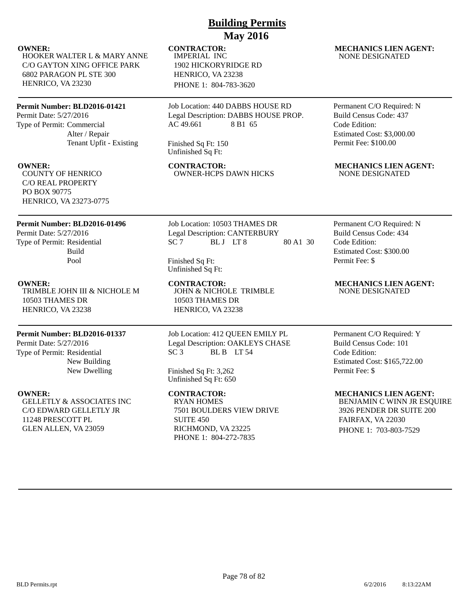HOOKER WALTER L & MARY ANNE C/O GAYTON XING OFFICE PARK 6802 PARAGON PL STE 300 HENRICO, VA 23230

# **Permit Number: BLD2016-01421**

Permit Date: 5/27/2016 Type of Permit: Commercial Alter / Repair Tenant Upfit - Existing

COUNTY OF HENRICO C/O REAL PROPERTY PO BOX 90775 HENRICO, VA 23273-0775

# **Permit Number: BLD2016-01496**

Permit Date: 5/27/2016 Type of Permit: Residential Build Pool

TRIMBLE JOHN III & NICHOLE M 10503 THAMES DR HENRICO, VA 23238

### **Permit Number: BLD2016-01337**

Permit Date: 5/27/2016 Type of Permit: Residential New Building New Dwelling

GELLETLY & ASSOCIATES INC C/O EDWARD GELLETLY JR 11248 PRESCOTT PL GLEN ALLEN, VA 23059

IMPERIAL INC 1902 HICKORYRIDGE RD HENRICO, VA 23238 PHONE 1: 804-783-3620

Job Location: 440 DABBS HOUSE RD Legal Description: DABBS HOUSE PROP. AC 49.661 8 B1 65

Finished Sq Ft: 150 Unfinished Sq Ft:

**OWNER:** CONTRACTOR: MECHANICS LIEN AGENT: COUNTY OF HENRICO CONTRACTOR: MECHANICS LIEN AGENT: **OWNER-HCPS DAWN HICKS** 

> Job Location: 10503 THAMES DR Legal Description: CANTERBURY SC 7 BLJ LT 8 80 A1 30

Finished Sq Ft: Unfinished Sq Ft:

JOHN & NICHOLE TRIMBLE 10503 THAMES DR HENRICO, VA 23238

### Job Location: 412 QUEEN EMILY PL Legal Description: OAKLEYS CHASE SC 3 BL B LT 54

Finished Sq Ft: 3,262 Unfinished Sq Ft: 650

RYAN HOMES 7501 BOULDERS VIEW DRIVE SUITE 450 RICHMOND, VA 23225 PHONE 1: 804-272-7835

### **OWNER:** CONTRACTOR: MECHANICS LIEN AGENT: NONE DESIGNATED

Permanent C/O Required: N Build Census Code: 437 Code Edition: Estimated Cost: \$3,000.00 Permit Fee: \$100.00

Permanent C/O Required: N Build Census Code: 434 Code Edition: Estimated Cost: \$300.00 Permit Fee: \$

**OWNER: CONTRACTOR: MECHANICS LIEN AGENT:** NONE DESIGNATED

> Permanent C/O Required: Y Build Census Code: 101 Code Edition: Estimated Cost: \$165,722.00 Permit Fee: \$

## **OWNER: CONTRACTOR: MECHANICS LIEN AGENT:**

BENJAMIN C WINN JR ESQUIRE 3926 PENDER DR SUITE 200 FAIRFAX, VA 22030 PHONE 1: 703-803-7529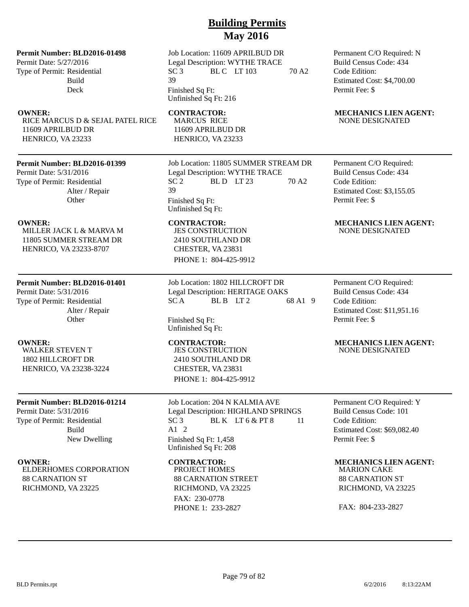### **Permit Number: BLD2016-01498**

Permit Date: 5/27/2016 Type of Permit: Residential Build Deck

RICE MARCUS D & SEJAL PATEL RICE 11609 APRILBUD DR HENRICO, VA 23233

### **Permit Number: BLD2016-01399**

Permit Date: 5/31/2016 Type of Permit: Residential Alter / Repair **Other** 

MILLER JACK L & MARVA M 11805 SUMMER STREAM DR HENRICO, VA 23233-8707

### **Permit Number: BLD2016-01401**

Permit Date: 5/31/2016 Type of Permit: Residential Alter / Repair **Other** 

WALKER STEVEN T 1802 HILLCROFT DR HENRICO, VA 23238-3224

### **Permit Number: BLD2016-01214**

Permit Date: 5/31/2016 Type of Permit: Residential Build New Dwelling

ELDERHOMES CORPORATION 88 CARNATION ST RICHMOND, VA 23225

Job Location: 11609 APRILBUD DR Legal Description: WYTHE TRACE SC 3 BL C LT 103 70 A2 39 Finished Sq Ft: Unfinished Sq Ft: 216

MARCUS RICE 11609 APRILBUD DR HENRICO, VA 23233

Job Location: 11805 SUMMER STREAM DR Legal Description: WYTHE TRACE<br>SC 2 BL D LT 23  $BLD$   $LT$  23 70 A2 39 Finished Sq Ft: Unfinished Sq Ft:

JES CONSTRUCTION 2410 SOUTHLAND DR CHESTER, VA 23831 PHONE 1: 804-425-9912

Job Location: 1802 HILLCROFT DR Legal Description: HERITAGE OAKS  $SC A$  BLB LT2 68 A1 9

Finished Sq Ft: Unfinished Sq Ft:

JES CONSTRUCTION 2410 SOUTHLAND DR CHESTER, VA 23831 PHONE 1: 804-425-9912

Job Location: 204 N KALMIA AVE Legal Description: HIGHLAND SPRINGS  $SC3$  BLK LT 6 & PT 8 11 A1 2 Finished Sq Ft: 1,458 Unfinished Sq Ft: 208

PROJECT HOMES 88 CARNATION STREET RICHMOND, VA 23225 FAX: 230-0778 PHONE 1: 233-2827

Permanent C/O Required: N Build Census Code: 434 Code Edition: Estimated Cost: \$4,700.00 Permit Fee: \$

### **OWNER:** CONTRACTOR: MECHANICS LIEN AGENT: NONE DESIGNATED

Permanent C/O Required: Build Census Code: 434 Code Edition: Estimated Cost: \$3,155.05 Permit Fee: \$

### **OWNER:** CONTRACTOR: MECHANICS LIEN AGENT: NONE DESIGNATED

Permanent C/O Required: Build Census Code: 434 Code Edition: Estimated Cost: \$11,951.16 Permit Fee: \$

### **OWNER: CONTRACTOR: MECHANICS LIEN AGENT:** NONE DESIGNATED

Permanent C/O Required: Y Build Census Code: 101 Code Edition: Estimated Cost: \$69,082.40 Permit Fee: \$

### **OWNER: CONTRACTOR: MECHANICS LIEN AGENT:**

MARION CAKE 88 CARNATION ST RICHMOND, VA 23225

FAX: 804-233-2827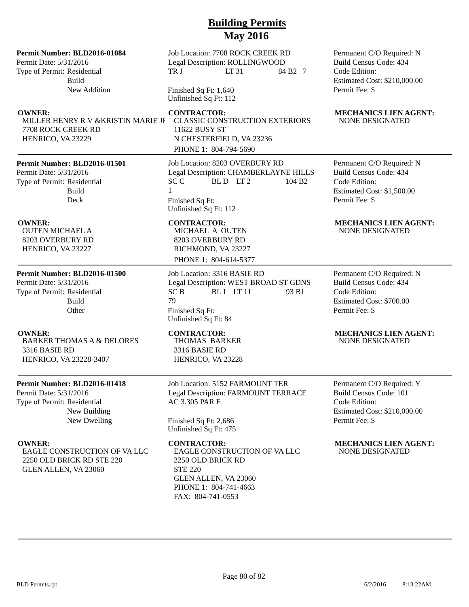### **Permit Number: BLD2016-01084**

Permit Date: 5/31/2016 Type of Permit: Residential Build New Addition

MILLER HENRY R V &KRISTIN MARIE JE 7708 ROCK CREEK RD HENRICO, VA 23229

### **Permit Number: BLD2016-01501**

Permit Date: 5/31/2016 Type of Permit: Residential Build Deck

# OUTEN MICHAEL A

8203 OVERBURY RD HENRICO, VA 23227

### **Permit Number: BLD2016-01500**

Permit Date: 5/31/2016 Type of Permit: Residential Build **Other** 

BARKER THOMAS A & DELORES 3316 BASIE RD HENRICO, VA 23228-3407

### **Permit Number: BLD2016-01418**

Permit Date: 5/31/2016 Type of Permit: Residential New Building New Dwelling

EAGLE CONSTRUCTION OF VA LLC 2250 OLD BRICK RD STE 220 GLEN ALLEN, VA 23060

Job Location: 7708 ROCK CREEK RD Legal Description: ROLLINGWOOD TR J LT 31 84 B2 7

Finished Sq Ft: 1,640 Unfinished Sq Ft: 112

CLASSIC CONSTRUCTION EXTERIORS 11622 BUSY ST N CHESTERFIELD, VA 23236 PHONE 1: 804-794-5690

Job Location: 8203 OVERBURY RD Legal Description: CHAMBERLAYNE HILLS  $SCC$  BLD LT2 104 B2 1 Finished Sq Ft: Unfinished Sq Ft: 112

MICHAEL A OUTEN 8203 OVERBURY RD RICHMOND, VA 23227 PHONE 1: 804-614-5377

Job Location: 3316 BASIE RD Legal Description: WEST BROAD ST GDNS  $SC B$  BLI LT 11 93 B1 79 Finished Sq Ft:

Unfinished Sq Ft: 84

THOMAS BARKER 3316 BASIE RD HENRICO, VA 23228

Job Location: 5152 FARMOUNT TER Legal Description: FARMOUNT TERRACE AC 3.305 PAR E

Finished Sq Ft: 2,686 Unfinished Sq Ft: 475

EAGLE CONSTRUCTION OF VA LLC 2250 OLD BRICK RD STE 220 GLEN ALLEN, VA 23060 PHONE 1: 804-741-4663 FAX: 804-741-0553

Permanent C/O Required: N Build Census Code: 434 Code Edition: Estimated Cost: \$210,000.00 Permit Fee: \$

### **OWNER:** CONTRACTOR: MECHANICS LIEN AGENT: NONE DESIGNATED

Permanent C/O Required: N Build Census Code: 434 Code Edition: Estimated Cost: \$1,500.00 Permit Fee: \$

### **OWNER:** CONTRACTOR: MECHANICS LIEN AGENT: NONE DESIGNATED

Permanent C/O Required: N Build Census Code: 434 Code Edition: Estimated Cost: \$700.00 Permit Fee: \$

### **OWNER: CONTRACTOR: MECHANICS LIEN AGENT:** NONE DESIGNATED

Permanent C/O Required: Y Build Census Code: 101 Code Edition: Estimated Cost: \$210,000.00 Permit Fee: \$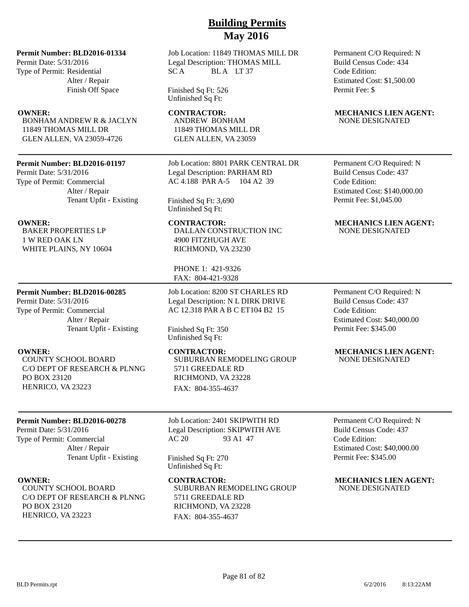### **Permit Number: BLD2016-01334**

Permit Date: 5/31/2016 Type of Permit: Residential Alter / Repair Finish Off Space

BONHAM ANDREW R & JACLYN 11849 THOMAS MILL DR GLEN ALLEN, VA 23059-4726

### **Permit Number: BLD2016-01197**

Permit Date: 5/31/2016 Type of Permit: Commercial Alter / Repair Tenant Upfit - Existing

BAKER PROPERTIES LP 1 W RED OAK LN WHITE PLAINS, NY 10604

## **Permit Number: BLD2016-00285**

Permit Date: 5/31/2016 Type of Permit: Commercial Alter / Repair Tenant Upfit - Existing

COUNTY SCHOOL BOARD C/O DEPT OF RESEARCH & PLNNG PO BOX 23120 HENRICO, VA 23223

### **Permit Number: BLD2016-00278**

Permit Date: 5/31/2016 Type of Permit: Commercial Alter / Repair Tenant Upfit - Existing

COUNTY SCHOOL BOARD C/O DEPT OF RESEARCH & PLNNG PO BOX 23120 HENRICO, VA 23223

Job Location: 11849 THOMAS MILL DR Legal Description: THOMAS MILL SCA BLA LT 37

Finished Sq Ft: 526 Unfinished Sq Ft:

ANDREW BONHAM 11849 THOMAS MILL DR GLEN ALLEN, VA 23059

Job Location: 8801 PARK CENTRAL DR Legal Description: PARHAM RD AC 4.188 PAR A-5 104 A2 39

Finished Sq Ft: 3,690 Unfinished Sq Ft:

DALLAN CONSTRUCTION INC 4900 FITZHUGH AVE RICHMOND, VA 23230

PHONE 1: 421-9326 FAX: 804-421-9328

Job Location: 8200 ST CHARLES RD Legal Description: N L DIRK DRIVE AC 12.318 PAR A B C ET104 B2 15

Finished Sq Ft: 350 Unfinished Sq Ft:

SUBURBAN REMODELING GROUP 5711 GREEDALE RD RICHMOND, VA 23228 FAX: 804-355-4637

Job Location: 2401 SKIPWITH RD Legal Description: SKIPWITH AVE AC 20 93 A1 47

Finished Sq Ft: 270 Unfinished Sq Ft:

**OWNER:** CONTRACTOR: MECHANICS LIEN AGENT: SUBURBAN REMODELING GROUP 5711 GREEDALE RD RICHMOND, VA 23228 FAX: 804-355-4637

Permanent C/O Required: N Build Census Code: 434 Code Edition: Estimated Cost: \$1,500.00 Permit Fee: \$

### **OWNER:** CONTRACTOR: MECHANICS LIEN AGENT: NONE DESIGNATED

Permanent C/O Required: N Build Census Code: 437 Code Edition: Estimated Cost: \$140,000.00 Permit Fee: \$1,045.00

### **OWNER:** CONTRACTOR: MECHANICS LIEN AGENT: NONE DESIGNATED

Permanent C/O Required: N Build Census Code: 437 Code Edition: Estimated Cost: \$40,000.00 Permit Fee: \$345.00

### **OWNER:** CONTRACTOR: MECHANICS LIEN AGENT: NONE DESIGNATED

Permanent C/O Required: N Build Census Code: 437 Code Edition: Estimated Cost: \$40,000.00 Permit Fee: \$345.00

# NONE DESIGNATED